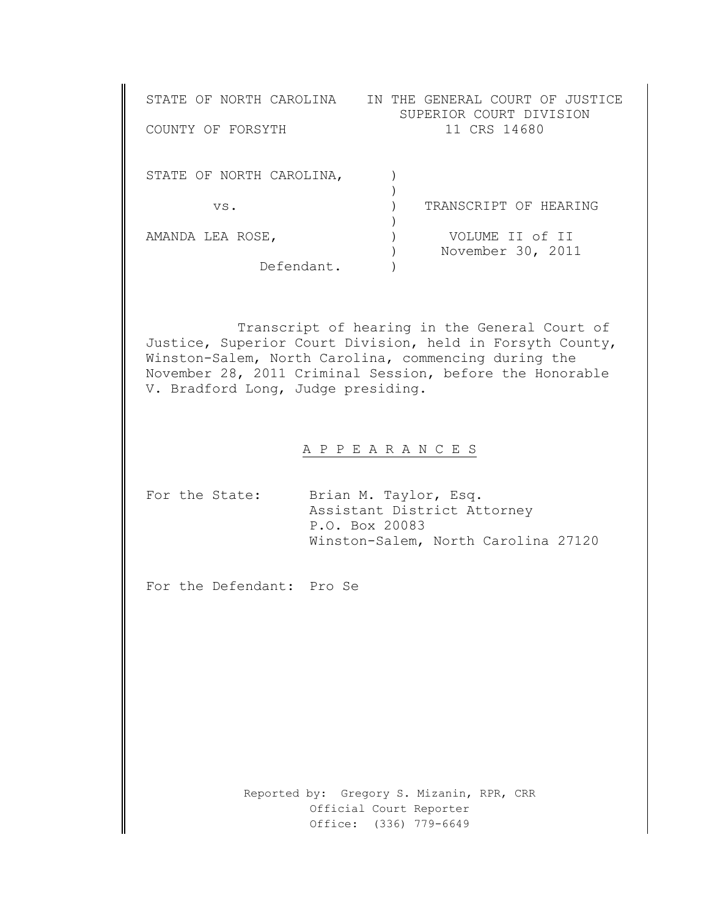| STATE OF NORTH CAROLINA<br>COUNTY OF FORSYTH | IN THE GENERAL COURT OF JUSTICE<br>SUPERIOR COURT DIVISION<br>11 CRS 14680 |
|----------------------------------------------|----------------------------------------------------------------------------|
| STATE OF NORTH CAROLINA,                     |                                                                            |
| VS.                                          | TRANSCRIPT OF HEARING                                                      |
| AMANDA LEA ROSE,                             | VOLUME IT of IT<br>November 30, 2011                                       |
| Defendant.                                   |                                                                            |

Transcript of hearing in the General Court of Justice, Superior Court Division, held in Forsyth County, Winston-Salem, North Carolina, commencing during the November 28, 2011 Criminal Session, before the Honorable V. Bradford Long, Judge presiding.

## A P P E A R A N C E S

| For the State: | Brian M. Taylor, Esq.               |  |
|----------------|-------------------------------------|--|
|                | Assistant District Attorney         |  |
|                | P.O. Box 20083                      |  |
|                | Winston-Salem, North Carolina 27120 |  |

For the Defendant: Pro Se

Reported by: Gregory S. Mizanin, RPR, CRR Official Court Reporter Office: (336) 779-6649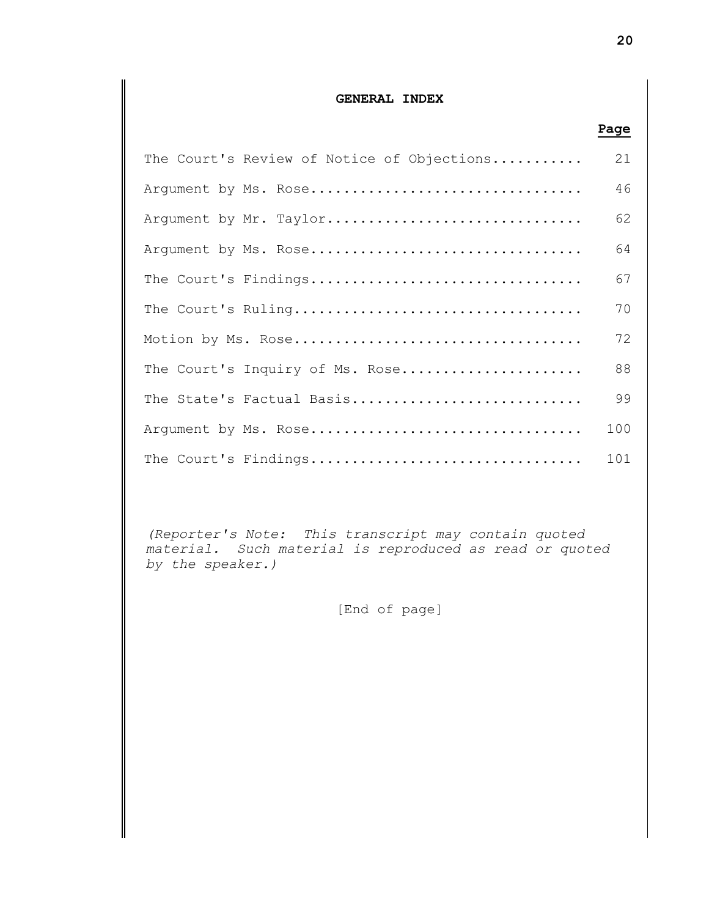## **GENERAL INDEX**

|                                            | Page |
|--------------------------------------------|------|
| The Court's Review of Notice of Objections | 21   |
| Argument by Ms. Rose                       | 46   |
| Argument by Mr. Taylor                     | 62   |
| Argument by Ms. Rose                       | 64   |
| The Court's Findings                       | 67   |
| The Court's Ruling                         | 70   |
| Motion by Ms. Rose                         | 72   |
| The Court's Inquiry of Ms. Rose            | 88   |
| The State's Factual Basis                  | 99   |
| Argument by Ms. Rose                       | 100  |
| The Court's Findings                       | 101  |

*(Reporter's Note: This transcript may contain quoted material. Such material is reproduced as read or quoted by the speaker.)*

[End of page]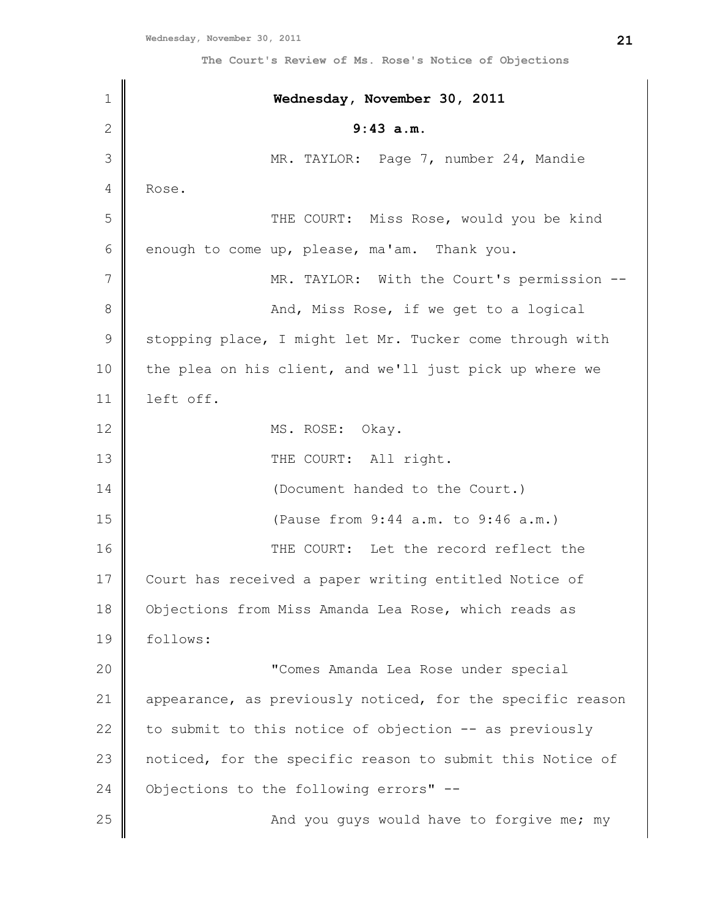| $1\,$         | Wednesday, November 30, 2011                               |
|---------------|------------------------------------------------------------|
| $\mathbf{2}$  | 9:43 a.m.                                                  |
| 3             | MR. TAYLOR: Page 7, number 24, Mandie                      |
| 4             | Rose.                                                      |
| 5             | THE COURT: Miss Rose, would you be kind                    |
| 6             | enough to come up, please, ma'am. Thank you.               |
| 7             | MR. TAYLOR: With the Court's permission --                 |
| 8             | And, Miss Rose, if we get to a logical                     |
| $\mathcal{G}$ | stopping place, I might let Mr. Tucker come through with   |
| 10            | the plea on his client, and we'll just pick up where we    |
| 11            | left off.                                                  |
| 12            | MS. ROSE:<br>Okay.                                         |
| 13            | THE COURT: All right.                                      |
| 14            | (Document handed to the Court.)                            |
| 15            | (Pause from 9:44 a.m. to 9:46 a.m.)                        |
| 16            | THE COURT: Let the record reflect the                      |
| 17            | Court has received a paper writing entitled Notice of      |
| 18            | Objections from Miss Amanda Lea Rose, which reads as       |
| 19            | follows:                                                   |
| 20            | "Comes Amanda Lea Rose under special                       |
| 21            | appearance, as previously noticed, for the specific reason |
| 22            | to submit to this notice of objection -- as previously     |
| 23            | noticed, for the specific reason to submit this Notice of  |
| 24            | Objections to the following errors" --                     |
| 25            | And you guys would have to forgive me; my                  |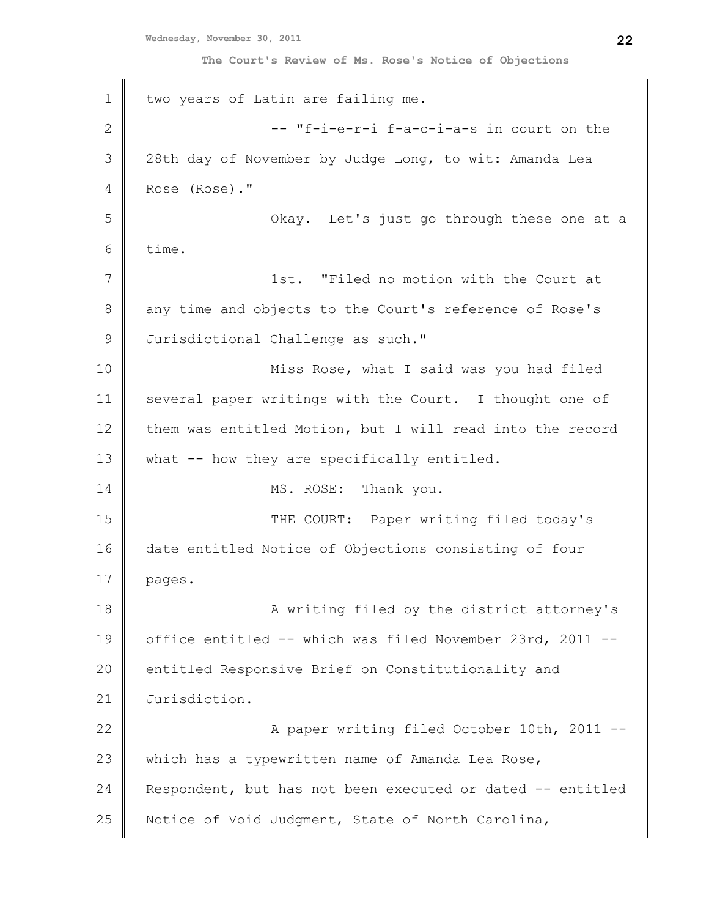1 2 3 4 5 6 7 8 9 10 11 12 13 14 15 16 17 18 19 20 21 22 23 24 25 two years of Latin are failing me. -- "f-i-e-r-i f-a-c-i-a-s in court on the 28th day of November by Judge Long, to wit: Amanda Lea Rose (Rose)." Okay. Let's just go through these one at a time. 1st. "Filed no motion with the Court at any time and objects to the Court's reference of Rose's Jurisdictional Challenge as such." Miss Rose, what I said was you had filed several paper writings with the Court. I thought one of them was entitled Motion, but I will read into the record what -- how they are specifically entitled. MS. ROSE: Thank you. THE COURT: Paper writing filed today's date entitled Notice of Objections consisting of four pages. A writing filed by the district attorney's office entitled -- which was filed November 23rd, 2011 - entitled Responsive Brief on Constitutionality and Jurisdiction. A paper writing filed October 10th, 2011 - which has a typewritten name of Amanda Lea Rose, Respondent, but has not been executed or dated -- entitled Notice of Void Judgment, State of North Carolina,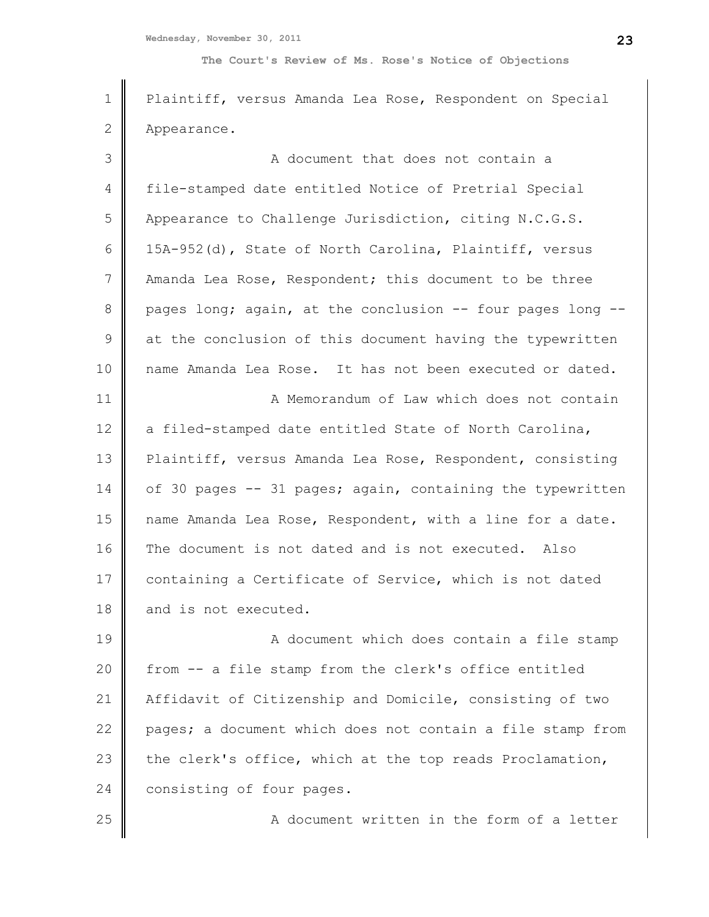**Wednesday, November 30, 2011**

**The Court's Review of Ms. Rose's Notice of Objections**

1 2 3 4 5 6 7 8 9 10 11 12 13 14 15 16 17 18 19 20 21 22 23 24 25 Plaintiff, versus Amanda Lea Rose, Respondent on Special Appearance. A document that does not contain a file-stamped date entitled Notice of Pretrial Special Appearance to Challenge Jurisdiction, citing N.C.G.S. 15A-952(d), State of North Carolina, Plaintiff, versus Amanda Lea Rose, Respondent; this document to be three pages long; again, at the conclusion -- four pages long - at the conclusion of this document having the typewritten name Amanda Lea Rose. It has not been executed or dated. A Memorandum of Law which does not contain a filed-stamped date entitled State of North Carolina, Plaintiff, versus Amanda Lea Rose, Respondent, consisting of 30 pages -- 31 pages; again, containing the typewritten name Amanda Lea Rose, Respondent, with a line for a date. The document is not dated and is not executed. Also containing a Certificate of Service, which is not dated and is not executed. A document which does contain a file stamp from -- a file stamp from the clerk's office entitled Affidavit of Citizenship and Domicile, consisting of two pages; a document which does not contain a file stamp from the clerk's office, which at the top reads Proclamation, consisting of four pages. A document written in the form of a letter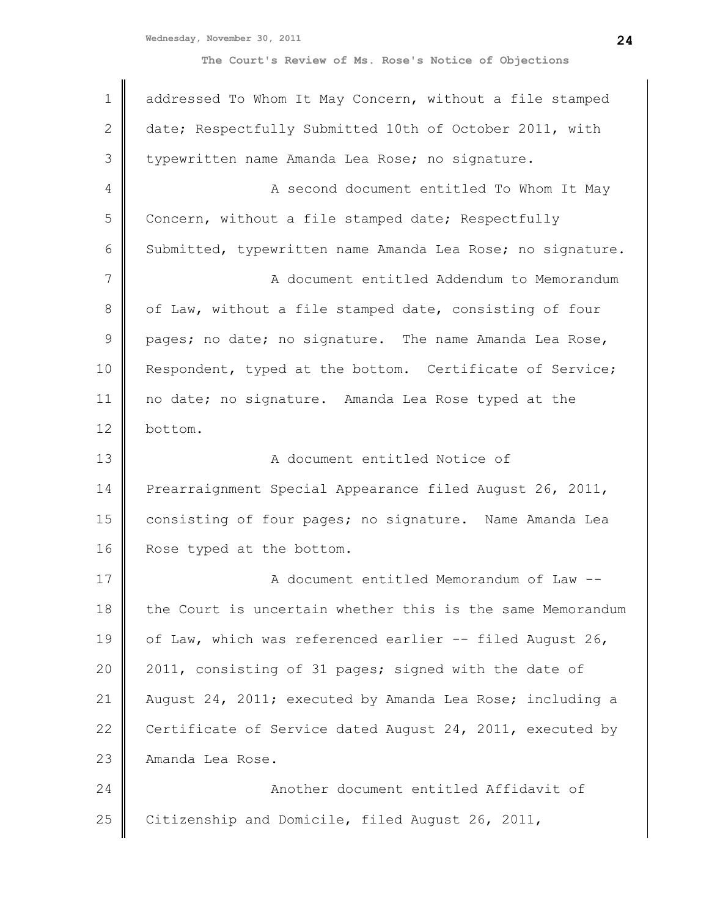| $\mathbf 1$   | addressed To Whom It May Concern, without a file stamped   |
|---------------|------------------------------------------------------------|
| $\mathbf{2}$  | date; Respectfully Submitted 10th of October 2011, with    |
| 3             | typewritten name Amanda Lea Rose; no signature.            |
| 4             | A second document entitled To Whom It May                  |
|               |                                                            |
| 5             | Concern, without a file stamped date; Respectfully         |
| 6             | Submitted, typewritten name Amanda Lea Rose; no signature. |
| 7             | A document entitled Addendum to Memorandum                 |
| 8             | of Law, without a file stamped date, consisting of four    |
| $\mathcal{G}$ | pages; no date; no signature. The name Amanda Lea Rose,    |
| 10            | Respondent, typed at the bottom. Certificate of Service;   |
| 11            | no date; no signature. Amanda Lea Rose typed at the        |
| 12            | bottom.                                                    |
| 13            | A document entitled Notice of                              |
| 14            | Prearraignment Special Appearance filed August 26, 2011,   |
| 15            | consisting of four pages; no signature. Name Amanda Lea    |
| 16            | Rose typed at the bottom.                                  |
| 17            | A document entitled Memorandum of Law --                   |
| 18            | the Court is uncertain whether this is the same Memorandum |
| 19            | of Law, which was referenced earlier -- filed August 26,   |
| 20            | 2011, consisting of 31 pages; signed with the date of      |
| 21            | August 24, 2011; executed by Amanda Lea Rose; including a  |
| 22            | Certificate of Service dated August 24, 2011, executed by  |
| 23            | Amanda Lea Rose.                                           |
| 24            | Another document entitled Affidavit of                     |
| 25            | Citizenship and Domicile, filed August 26, 2011,           |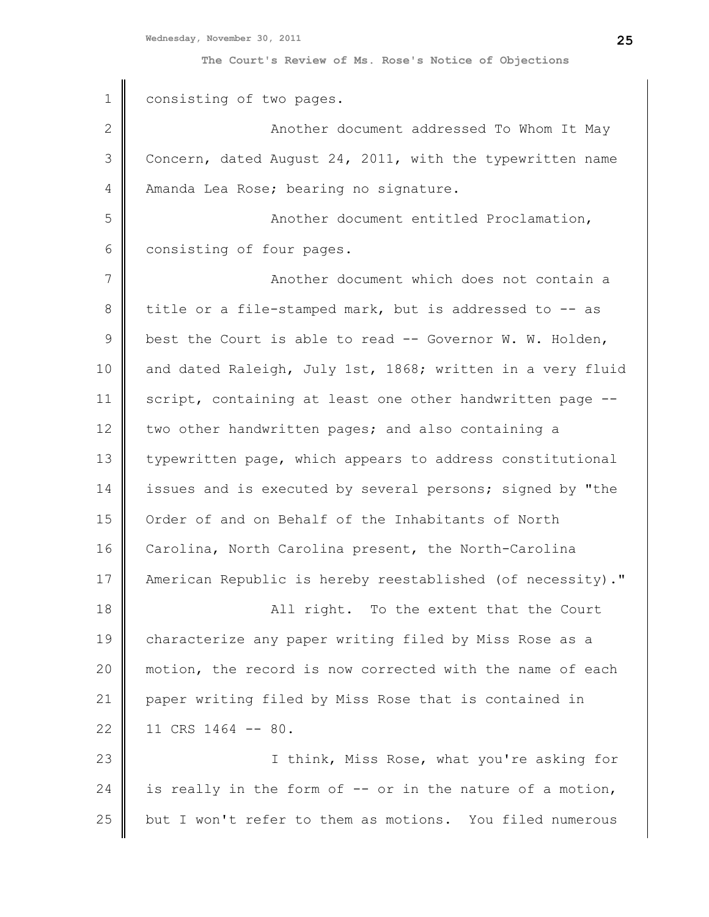| $\mathbf 1$   | consisting of two pages.                                   |
|---------------|------------------------------------------------------------|
| $\mathbf{2}$  | Another document addressed To Whom It May                  |
| 3             | Concern, dated August 24, 2011, with the typewritten name  |
| 4             | Amanda Lea Rose; bearing no signature.                     |
| 5             | Another document entitled Proclamation,                    |
| 6             | consisting of four pages.                                  |
| 7             | Another document which does not contain a                  |
| 8             | title or a file-stamped mark, but is addressed to -- as    |
| $\mathcal{G}$ | best the Court is able to read -- Governor W. W. Holden,   |
| 10            | and dated Raleigh, July 1st, 1868; written in a very fluid |
| 11            | script, containing at least one other handwritten page --  |
| 12            | two other handwritten pages; and also containing a         |
| 13            | typewritten page, which appears to address constitutional  |
| 14            | issues and is executed by several persons; signed by "the  |
| 15            | Order of and on Behalf of the Inhabitants of North         |
| 16            | Carolina, North Carolina present, the North-Carolina       |
| 17            | American Republic is hereby reestablished (of necessity)." |
| 18            | All right. To the extent that the Court                    |
| 19            | characterize any paper writing filed by Miss Rose as a     |
| 20            | motion, the record is now corrected with the name of each  |
| 21            | paper writing filed by Miss Rose that is contained in      |
| 22            | 11 CRS 1464 -- 80.                                         |
| 23            | I think, Miss Rose, what you're asking for                 |
| 24            | is really in the form of -- or in the nature of a motion,  |
| 25            | but I won't refer to them as motions. You filed numerous   |
|               |                                                            |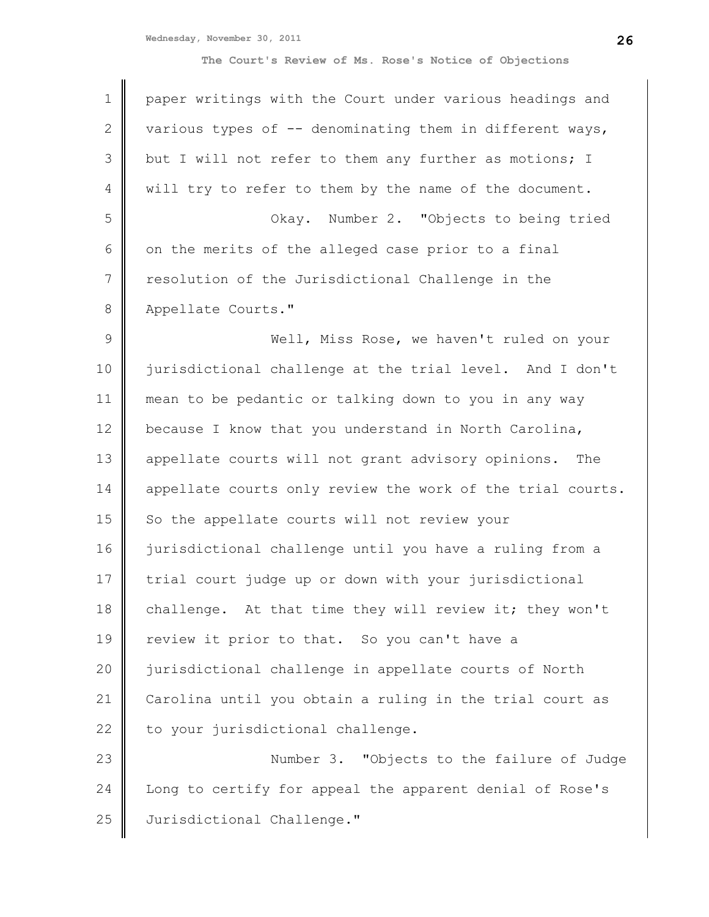**Wednesday, November 30, 2011**

| $\mathbf 1$   | paper writings with the Court under various headings and   |
|---------------|------------------------------------------------------------|
| 2             | various types of -- denominating them in different ways,   |
| 3             | but I will not refer to them any further as motions; I     |
| 4             | will try to refer to them by the name of the document.     |
| 5             | Okay. Number 2. "Objects to being tried                    |
| 6             | on the merits of the alleged case prior to a final         |
| 7             | resolution of the Jurisdictional Challenge in the          |
| 8             | Appellate Courts."                                         |
| $\mathcal{G}$ | Well, Miss Rose, we haven't ruled on your                  |
| 10            | jurisdictional challenge at the trial level. And I don't   |
| 11            | mean to be pedantic or talking down to you in any way      |
| 12            | because I know that you understand in North Carolina,      |
| 13            | appellate courts will not grant advisory opinions.<br>The  |
| 14            | appellate courts only review the work of the trial courts. |
| 15            | So the appellate courts will not review your               |
| 16            | jurisdictional challenge until you have a ruling from a    |
| 17            | trial court judge up or down with your jurisdictional      |
| 18            | challenge. At that time they will review it; they won't    |
| 19            | review it prior to that. So you can't have a               |
| 20            | jurisdictional challenge in appellate courts of North      |
| 21            | Carolina until you obtain a ruling in the trial court as   |
| 22            | to your jurisdictional challenge.                          |
| 23            | Number 3. "Objects to the failure of Judge                 |
| 24            | Long to certify for appeal the apparent denial of Rose's   |
| 25            | Jurisdictional Challenge."                                 |
|               |                                                            |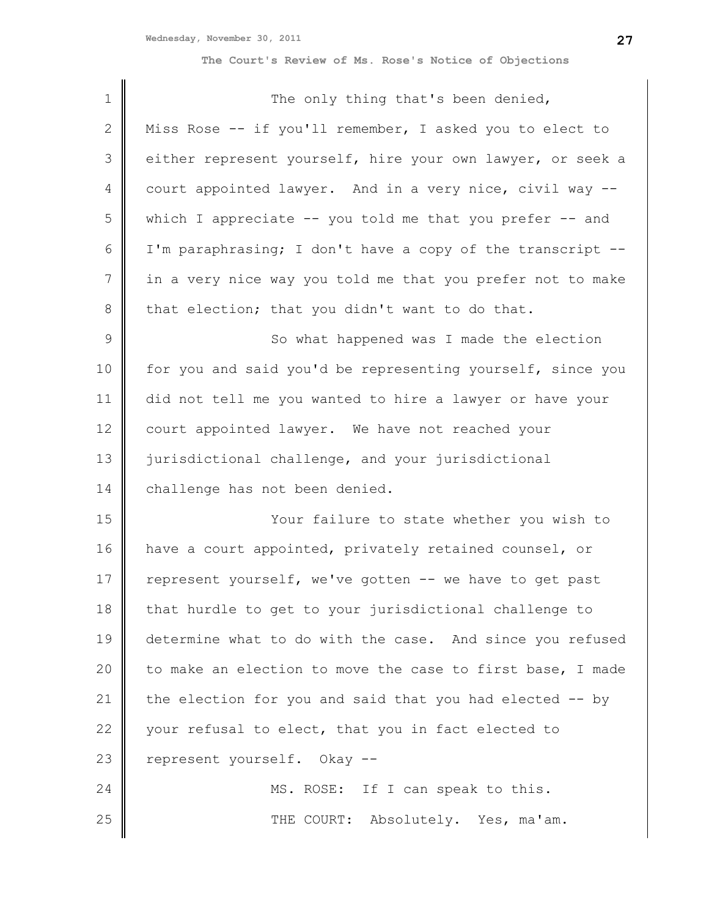| 1  | The only thing that's been denied,                           |
|----|--------------------------------------------------------------|
| 2  | Miss Rose -- if you'll remember, I asked you to elect to     |
| 3  | either represent yourself, hire your own lawyer, or seek a   |
| 4  | court appointed lawyer. And in a very nice, civil way --     |
| 5  | which I appreciate $--$ you told me that you prefer $--$ and |
| 6  | I'm paraphrasing; I don't have a copy of the transcript --   |
| 7  | in a very nice way you told me that you prefer not to make   |
| 8  | that election; that you didn't want to do that.              |
| 9  | So what happened was I made the election                     |
| 10 | for you and said you'd be representing yourself, since you   |
| 11 | did not tell me you wanted to hire a lawyer or have your     |
| 12 | court appointed lawyer. We have not reached your             |
| 13 | jurisdictional challenge, and your jurisdictional            |
| 14 | challenge has not been denied.                               |
| 15 | Your failure to state whether you wish to                    |
| 16 | have a court appointed, privately retained counsel, or       |
| 17 | represent yourself, we've gotten -- we have to get past      |
| 18 | that hurdle to get to your jurisdictional challenge to       |
| 19 | determine what to do with the case. And since you refused    |
| 20 | to make an election to move the case to first base, I made   |
| 21 | the election for you and said that you had elected -- by     |
| 22 | your refusal to elect, that you in fact elected to           |
| 23 | represent yourself. Okay --                                  |
| 24 | MS. ROSE: If I can speak to this.                            |
| 25 | THE COURT: Absolutely. Yes, ma'am.                           |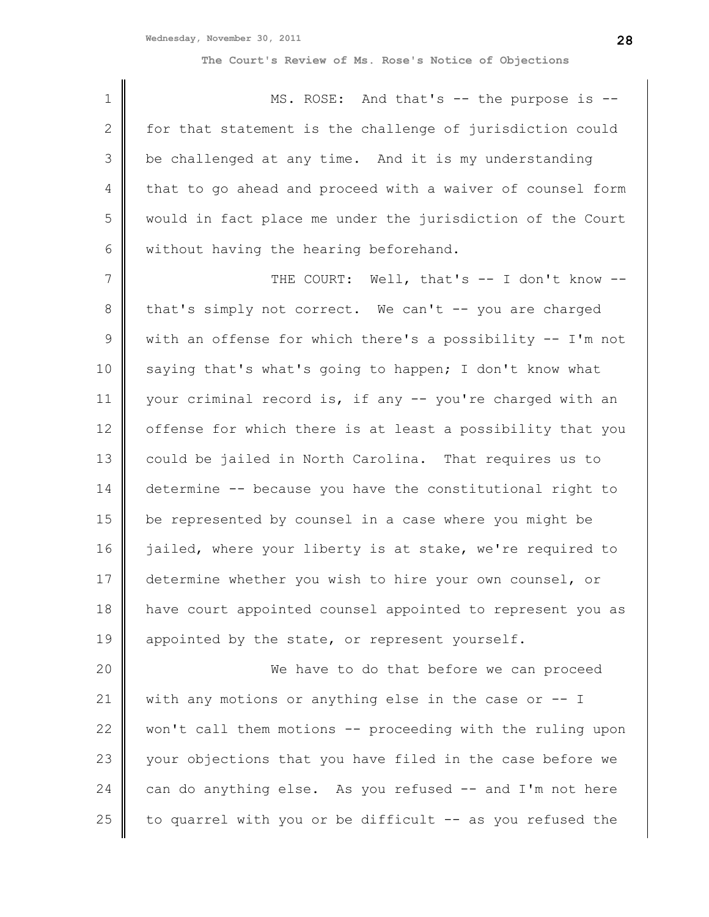1 2 3 4 5 6 MS. ROSE: And that's -- the purpose is -for that statement is the challenge of jurisdiction could be challenged at any time. And it is my understanding that to go ahead and proceed with a waiver of counsel form would in fact place me under the jurisdiction of the Court without having the hearing beforehand.

7 8 9 10 11 12 13 14 15 16 17 18 19 THE COURT: Well, that's -- I don't know -that's simply not correct. We can't -- you are charged with an offense for which there's a possibility -- I'm not saying that's what's going to happen; I don't know what your criminal record is, if any -- you're charged with an offense for which there is at least a possibility that you could be jailed in North Carolina. That requires us to determine -- because you have the constitutional right to be represented by counsel in a case where you might be jailed, where your liberty is at stake, we're required to determine whether you wish to hire your own counsel, or have court appointed counsel appointed to represent you as appointed by the state, or represent yourself.

20 21 22 23 24 25 We have to do that before we can proceed with any motions or anything else in the case or -- I won't call them motions -- proceeding with the ruling upon your objections that you have filed in the case before we can do anything else. As you refused -- and I'm not here to quarrel with you or be difficult -- as you refused the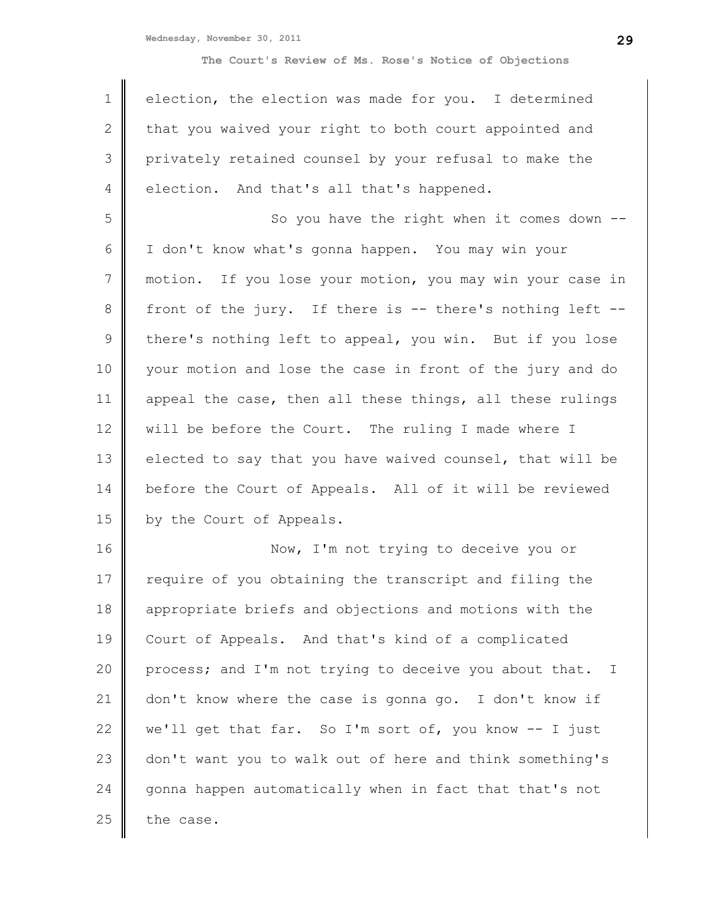**Wednesday, November 30, 2011**

**The Court's Review of Ms. Rose's Notice of Objections**

| $\mathbf 1$     | election, the election was made for you. I determined             |
|-----------------|-------------------------------------------------------------------|
| $\mathbf{2}$    | that you waived your right to both court appointed and            |
| 3               | privately retained counsel by your refusal to make the            |
| 4               | election. And that's all that's happened.                         |
| 5               | So you have the right when it comes down                          |
| 6               | I don't know what's gonna happen. You may win your                |
| $7\overline{ }$ | motion. If you lose your motion, you may win your case in         |
| 8               | front of the jury. If there is -- there's nothing left --         |
| $\mathcal{G}$   | there's nothing left to appeal, you win. But if you lose          |
| 10              | your motion and lose the case in front of the jury and do         |
| 11              | appeal the case, then all these things, all these rulings         |
| 12              | will be before the Court. The ruling I made where I               |
| 13              | elected to say that you have waived counsel, that will be         |
| 14              | before the Court of Appeals. All of it will be reviewed           |
| 15              | by the Court of Appeals.                                          |
| 16              | Now, I'm not trying to deceive you or                             |
| 17              | require of you obtaining the transcript and filing the            |
| 18              | appropriate briefs and objections and motions with the            |
| 19              | Court of Appeals. And that's kind of a complicated                |
| 20              | process; and I'm not trying to deceive you about that.<br>$\perp$ |
| 21              | don't know where the case is gonna go. I don't know if            |
| 22              | we'll get that far. So I'm sort of, you know -- I just            |
|                 |                                                                   |

23 24 25 don't want you to walk out of here and think something's gonna happen automatically when in fact that that's not the case.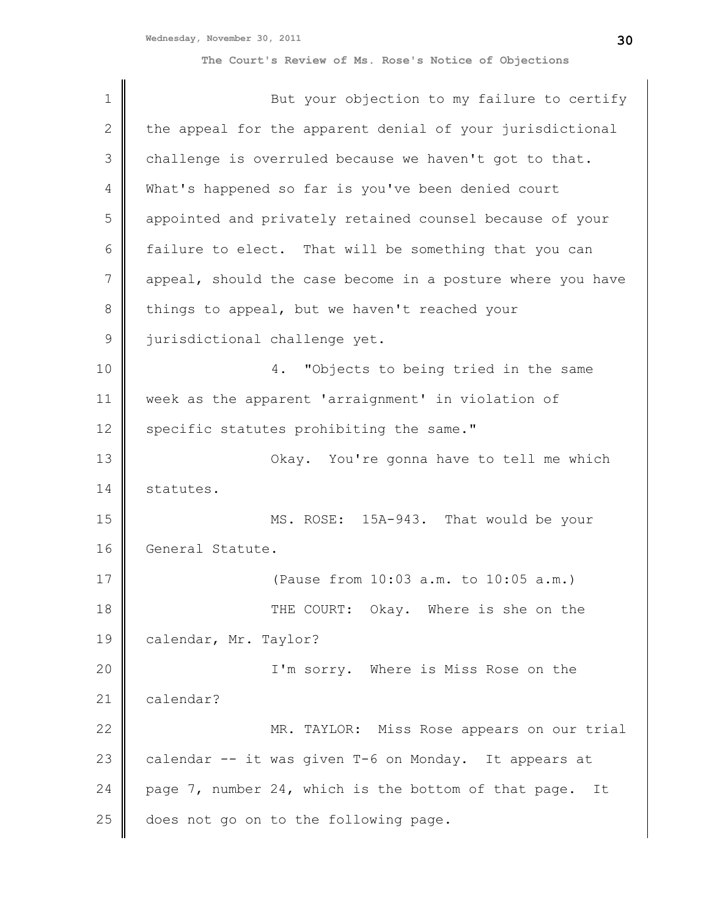| $\mathbf 1$  | But your objection to my failure to certify                |
|--------------|------------------------------------------------------------|
| $\mathbf{2}$ | the appeal for the apparent denial of your jurisdictional  |
| 3            | challenge is overruled because we haven't got to that.     |
| 4            | What's happened so far is you've been denied court         |
| 5            | appointed and privately retained counsel because of your   |
| 6            | failure to elect. That will be something that you can      |
| 7            | appeal, should the case become in a posture where you have |
| 8            | things to appeal, but we haven't reached your              |
| $\mathsf 9$  | jurisdictional challenge yet.                              |
| 10           | "Objects to being tried in the same<br>4.                  |
| 11           | week as the apparent 'arraignment' in violation of         |
| 12           | specific statutes prohibiting the same."                   |
| 13           | Okay. You're gonna have to tell me which                   |
| 14           | statutes.                                                  |
| 15           | MS. ROSE: 15A-943. That would be your                      |
| 16           | General Statute.                                           |
| 17           | (Pause from 10:03 a.m. to 10:05 a.m.)                      |
| 18           | THE COURT: Okay. Where is she on the                       |
| 19           | calendar, Mr. Taylor?                                      |
| 20           | I'm sorry. Where is Miss Rose on the                       |
| 21           | calendar?                                                  |
| 22           | MR. TAYLOR: Miss Rose appears on our trial                 |
| 23           | calendar -- it was given T-6 on Monday. It appears at      |
| 24           | page 7, number 24, which is the bottom of that page.<br>It |
| 25           | does not go on to the following page.                      |
|              |                                                            |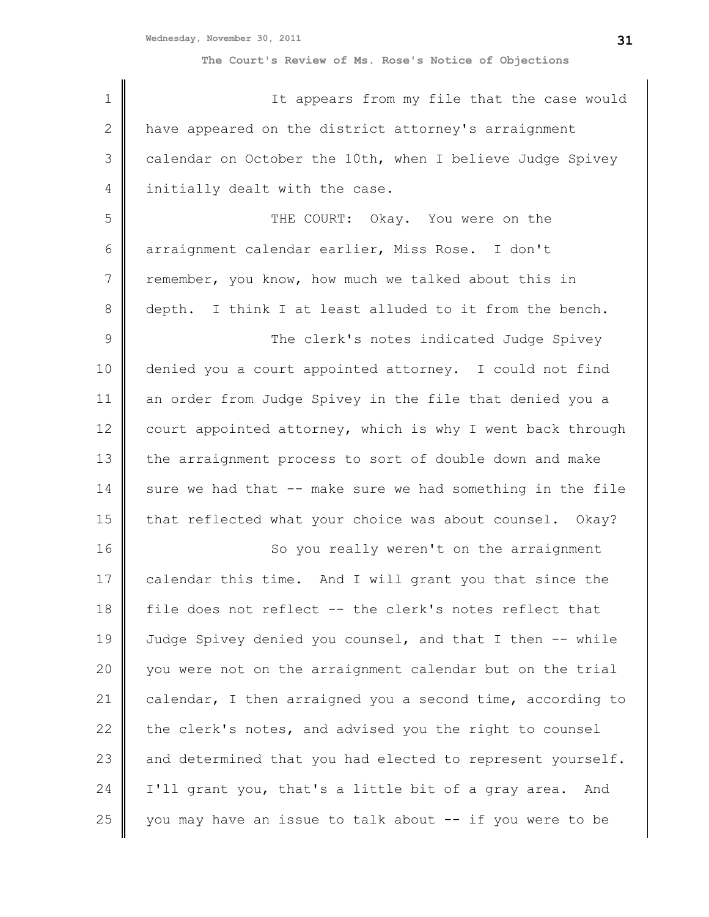| $\mathbf 1$   | It appears from my file that the case would                |
|---------------|------------------------------------------------------------|
| $\mathbf{2}$  | have appeared on the district attorney's arraignment       |
| 3             | calendar on October the 10th, when I believe Judge Spivey  |
| 4             | initially dealt with the case.                             |
| 5             | THE COURT: Okay. You were on the                           |
| 6             | arraignment calendar earlier, Miss Rose. I don't           |
| 7             | remember, you know, how much we talked about this in       |
| 8             | depth. I think I at least alluded to it from the bench.    |
| $\mathcal{G}$ | The clerk's notes indicated Judge Spivey                   |
| 10            | denied you a court appointed attorney. I could not find    |
| 11            | an order from Judge Spivey in the file that denied you a   |
| 12            | court appointed attorney, which is why I went back through |
| 13            | the arraignment process to sort of double down and make    |
| 14            | sure we had that -- make sure we had something in the file |
| 15            | that reflected what your choice was about counsel. Okay?   |
| 16            | So you really weren't on the arraignment                   |
| 17            | calendar this time. And I will grant you that since the    |
| 18            | file does not reflect -- the clerk's notes reflect that    |
| 19            | Judge Spivey denied you counsel, and that I then -- while  |
| 20            | you were not on the arraignment calendar but on the trial  |
| 21            | calendar, I then arraigned you a second time, according to |
| 22            | the clerk's notes, and advised you the right to counsel    |
| 23            | and determined that you had elected to represent yourself. |
| 24            | I'll grant you, that's a little bit of a gray area. And    |
| 25            | you may have an issue to talk about -- if you were to be   |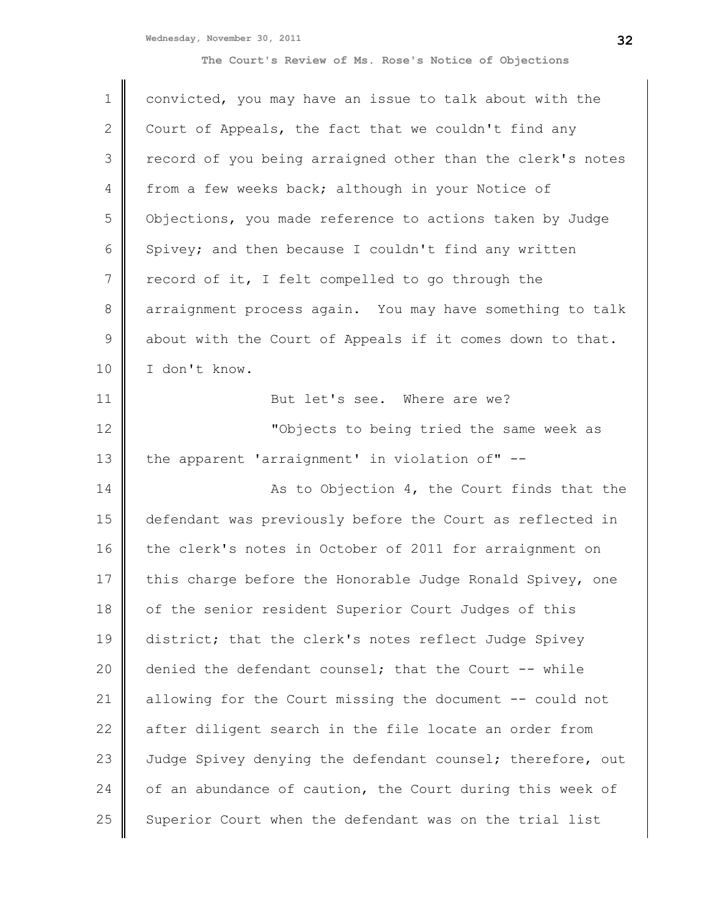| $\mathbf 1$    | convicted, you may have an issue to talk about with the    |
|----------------|------------------------------------------------------------|
| $\mathbf{2}$   | Court of Appeals, the fact that we couldn't find any       |
| 3              | record of you being arraigned other than the clerk's notes |
| $\overline{4}$ | from a few weeks back; although in your Notice of          |
| 5              | Objections, you made reference to actions taken by Judge   |
| 6              | Spivey; and then because I couldn't find any written       |
| 7              | record of it, I felt compelled to go through the           |
| 8              | arraignment process again. You may have something to talk  |
| $\mathcal{G}$  | about with the Court of Appeals if it comes down to that.  |
| 10             | I don't know.                                              |
| 11             | But let's see. Where are we?                               |
| 12             | "Objects to being tried the same week as                   |
| 13             | the apparent 'arraignment' in violation of" --             |
| 14             | As to Objection 4, the Court finds that the                |
| 15             | defendant was previously before the Court as reflected in  |
| 16             | the clerk's notes in October of 2011 for arraignment on    |
| 17             | this charge before the Honorable Judge Ronald Spivey, one  |
| 18             | of the senior resident Superior Court Judges of this       |
| 19             | district; that the clerk's notes reflect Judge Spivey      |
| 20             | denied the defendant counsel; that the Court -- while      |
| 21             | allowing for the Court missing the document -- could not   |
| 22             | after diligent search in the file locate an order from     |
| 23             | Judge Spivey denying the defendant counsel; therefore, out |
| 24             | of an abundance of caution, the Court during this week of  |
| 25             | Superior Court when the defendant was on the trial list    |
|                |                                                            |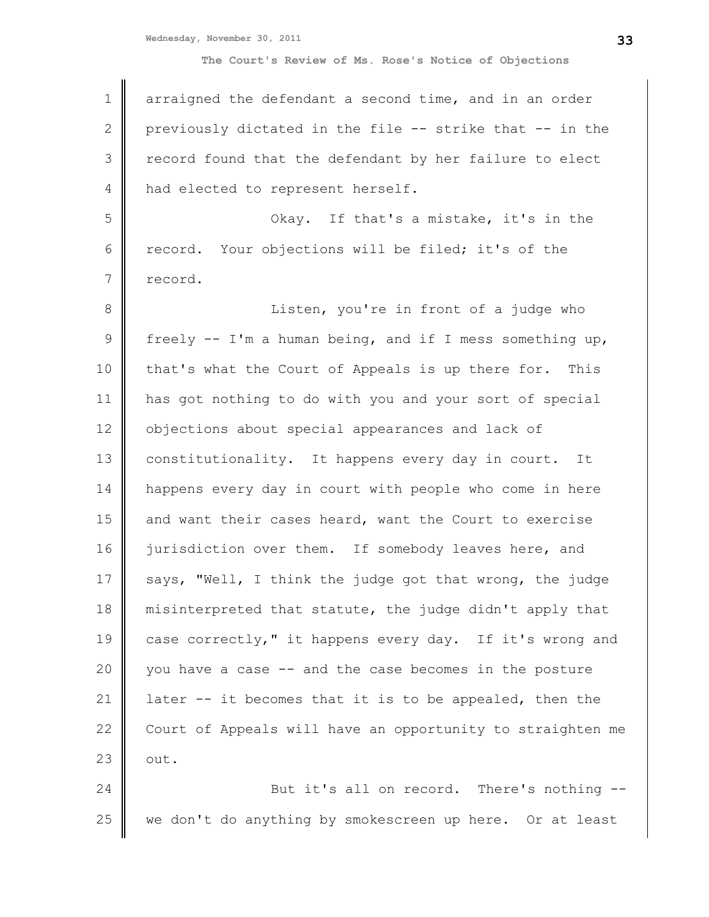**Wednesday, November 30, 2011**

| $\mathbf 1$  | arraigned the defendant a second time, and in an order     |
|--------------|------------------------------------------------------------|
| $\mathbf{2}$ | previously dictated in the file -- strike that -- in the   |
| 3            | record found that the defendant by her failure to elect    |
| 4            | had elected to represent herself.                          |
| 5            | Okay. If that's a mistake, it's in the                     |
| 6            | record. Your objections will be filed; it's of the         |
| 7            | record.                                                    |
| 8            | Listen, you're in front of a judge who                     |
| 9            | freely -- I'm a human being, and if I mess something up,   |
| 10           | that's what the Court of Appeals is up there for. This     |
| 11           | has got nothing to do with you and your sort of special    |
| 12           | objections about special appearances and lack of           |
| 13           | constitutionality. It happens every day in court. It       |
| 14           | happens every day in court with people who come in here    |
| 15           | and want their cases heard, want the Court to exercise     |
| 16           | jurisdiction over them. If somebody leaves here, and       |
| 17           | says, "Well, I think the judge got that wrong, the judge   |
| 18           | misinterpreted that statute, the judge didn't apply that   |
| 19           | case correctly," it happens every day. If it's wrong and   |
| 20           | you have a case -- and the case becomes in the posture     |
| 21           | later -- it becomes that it is to be appealed, then the    |
| 22           | Court of Appeals will have an opportunity to straighten me |
| 23           | out.                                                       |
| 24           | But it's all on record. There's nothing --                 |
| 25           | we don't do anything by smokescreen up here. Or at least   |
|              |                                                            |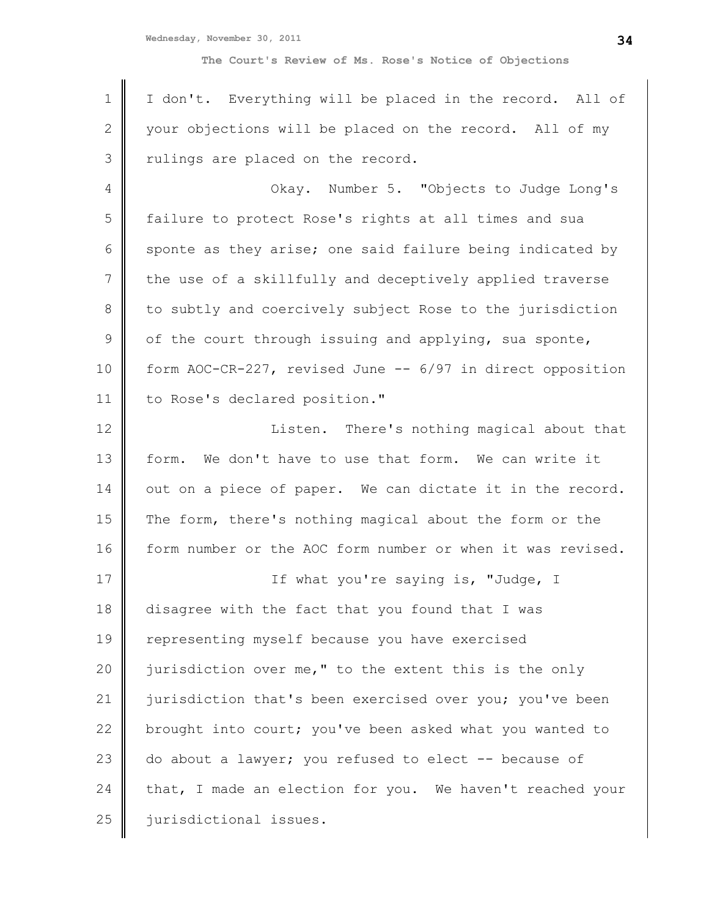**Wednesday, November 30, 2011**

**The Court's Review of Ms. Rose's Notice of Objections**

| $\mathbf 1$     | I don't. Everything will be placed in the record. All of   |
|-----------------|------------------------------------------------------------|
| $\mathbf{2}$    | your objections will be placed on the record. All of my    |
| 3               | rulings are placed on the record.                          |
| 4               | Okay. Number 5. "Objects to Judge Long's                   |
| 5               | failure to protect Rose's rights at all times and sua      |
| 6               | sponte as they arise; one said failure being indicated by  |
| $7\phantom{.0}$ | the use of a skillfully and deceptively applied traverse   |
| 8               | to subtly and coercively subject Rose to the jurisdiction  |
| $\mathcal{G}$   | of the court through issuing and applying, sua sponte,     |
| 10              | form AOC-CR-227, revised June -- 6/97 in direct opposition |
| 11              | to Rose's declared position."                              |
| 12              | Listen. There's nothing magical about that                 |
| 13              | We don't have to use that form. We can write it<br>form.   |
| 14              | out on a piece of paper. We can dictate it in the record.  |
| 15              | The form, there's nothing magical about the form or the    |
| 16              | form number or the AOC form number or when it was revised. |
| 17              | If what you're saying is, "Judge, I                        |
| 18              | disagree with the fact that you found that I was           |
| 19              | representing myself because you have exercised             |
| 20              | jurisdiction over me," to the extent this is the only      |
| 21              | jurisdiction that's been exercised over you; you've been   |
| 22              | brought into court; you've been asked what you wanted to   |
| 23              | do about a lawyer; you refused to elect -- because of      |
| 24              | that, I made an election for you. We haven't reached your  |
| 25              | jurisdictional issues.                                     |
|                 |                                                            |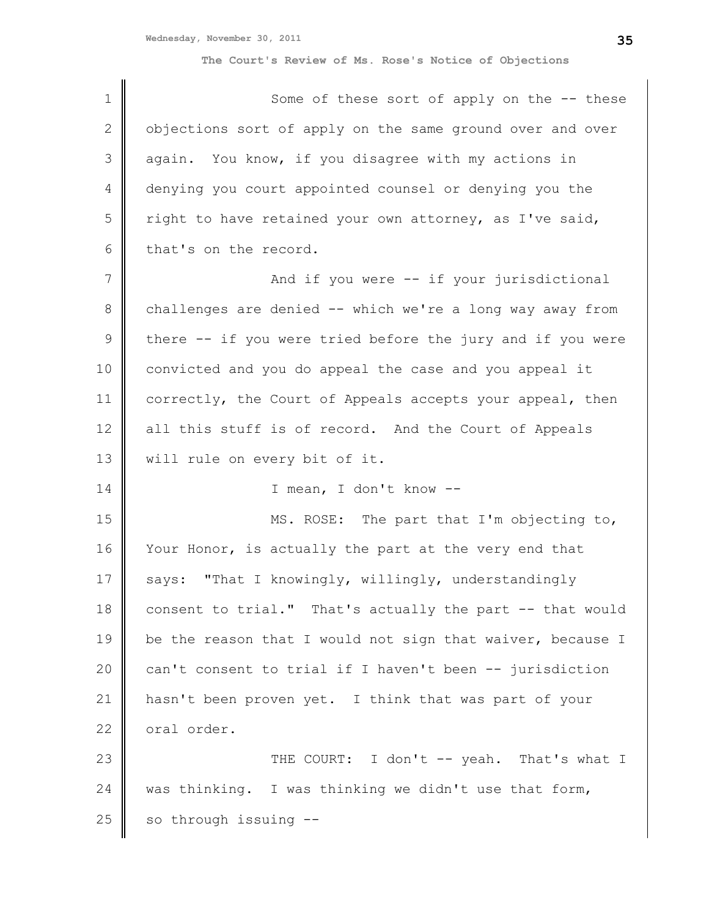| $\mathbf 1$   | Some of these sort of apply on the -- these                |
|---------------|------------------------------------------------------------|
| $\mathbf{2}$  | objections sort of apply on the same ground over and over  |
| 3             | again. You know, if you disagree with my actions in        |
| 4             | denying you court appointed counsel or denying you the     |
| 5             | right to have retained your own attorney, as I've said,    |
| 6             | that's on the record.                                      |
| 7             | And if you were -- if your jurisdictional                  |
| 8             | challenges are denied -- which we're a long way away from  |
| $\mathcal{G}$ | there -- if you were tried before the jury and if you were |
| 10            | convicted and you do appeal the case and you appeal it     |
| 11            | correctly, the Court of Appeals accepts your appeal, then  |
| 12            | all this stuff is of record. And the Court of Appeals      |
| 13            | will rule on every bit of it.                              |
| 14            | I mean, I don't know --                                    |
| 15            | MS. ROSE: The part that I'm objecting to,                  |
| 16            | Your Honor, is actually the part at the very end that      |
| 17            | "That I knowingly, willingly, understandingly<br>says:     |
| 18            | consent to trial." That's actually the part -- that would  |
| 19            | be the reason that I would not sign that waiver, because I |
| 20            | can't consent to trial if I haven't been -- jurisdiction   |
| 21            | hasn't been proven yet. I think that was part of your      |
| 22            | oral order.                                                |
| 23            | THE COURT: I don't -- yeah. That's what I                  |
| 24            | was thinking. I was thinking we didn't use that form,      |
| 25            | so through issuing --                                      |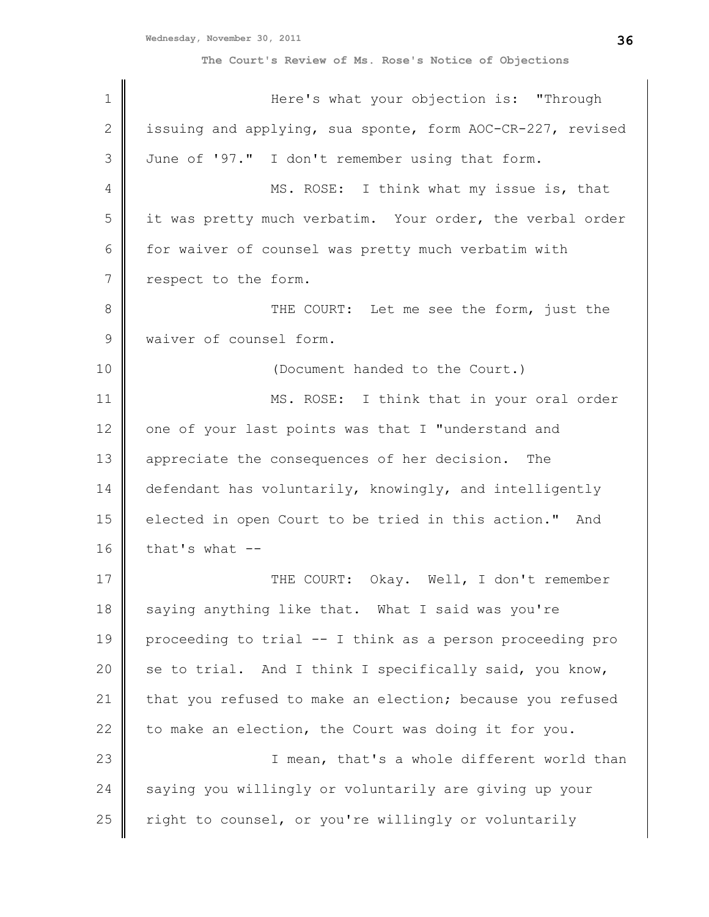| $\mathbf 1$  | Here's what your objection is: "Through                    |
|--------------|------------------------------------------------------------|
| $\mathbf{2}$ | issuing and applying, sua sponte, form AOC-CR-227, revised |
| 3            | June of '97." I don't remember using that form.            |
| 4            | MS. ROSE: I think what my issue is, that                   |
| 5            | it was pretty much verbatim. Your order, the verbal order  |
| 6            | for waiver of counsel was pretty much verbatim with        |
| 7            | respect to the form.                                       |
| $\,8\,$      | THE COURT: Let me see the form, just the                   |
| $\mathsf 9$  | waiver of counsel form.                                    |
| 10           | (Document handed to the Court.)                            |
| 11           | MS. ROSE: I think that in your oral order                  |
| 12           | one of your last points was that I "understand and         |
| 13           | appreciate the consequences of her decision.<br>The        |
| 14           | defendant has voluntarily, knowingly, and intelligently    |
| 15           | elected in open Court to be tried in this action." And     |
| 16           | that's what --                                             |
| 17           | THE COURT: Okay. Well, I don't remember                    |
| 18           | saying anything like that. What I said was you're          |
| 19           | proceeding to trial -- I think as a person proceeding pro  |
| 20           | se to trial. And I think I specifically said, you know,    |
| 21           | that you refused to make an election; because you refused  |
| 22           | to make an election, the Court was doing it for you.       |
| 23           | I mean, that's a whole different world than                |
| 24           | saying you willingly or voluntarily are giving up your     |
| 25           | right to counsel, or you're willingly or voluntarily       |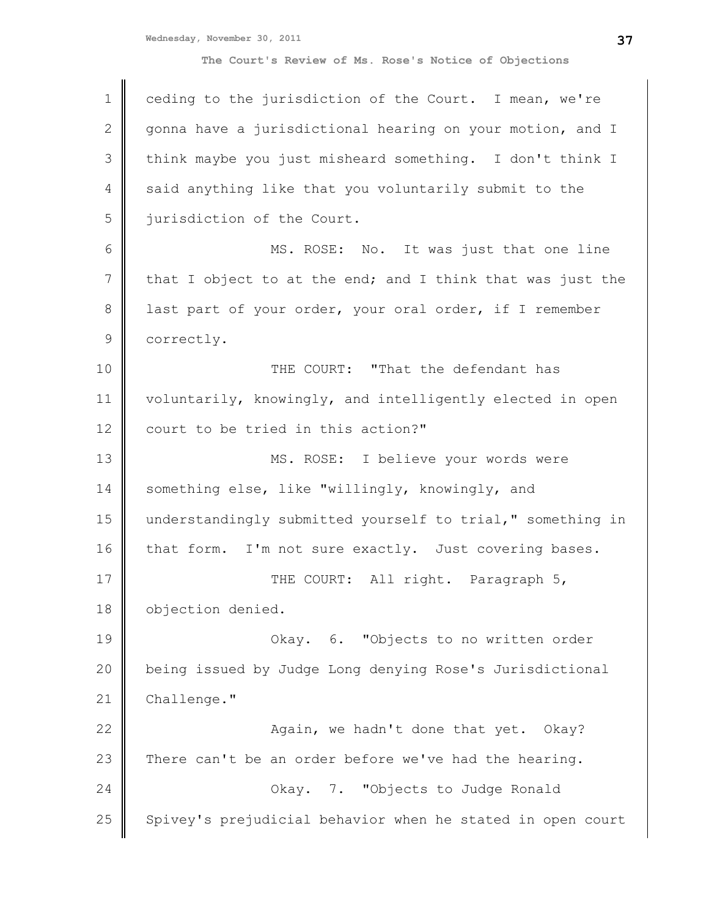| $\mathbf 1$     | ceding to the jurisdiction of the Court. I mean, we're     |
|-----------------|------------------------------------------------------------|
| $\mathbf{2}$    | gonna have a jurisdictional hearing on your motion, and I  |
| 3               | think maybe you just misheard something. I don't think I   |
| 4               | said anything like that you voluntarily submit to the      |
| 5               | jurisdiction of the Court.                                 |
| 6               | MS. ROSE: No. It was just that one line                    |
| $7\phantom{.0}$ | that I object to at the end; and I think that was just the |
| 8               | last part of your order, your oral order, if I remember    |
| $\mathsf 9$     | correctly.                                                 |
| 10              | THE COURT: "That the defendant has                         |
| 11              | voluntarily, knowingly, and intelligently elected in open  |
| 12              | court to be tried in this action?"                         |
| 13              | MS. ROSE: I believe your words were                        |
| 14              | something else, like "willingly, knowingly, and            |
| 15              | understandingly submitted yourself to trial," something in |
| 16              | that form. I'm not sure exactly. Just covering bases.      |
| 17              | THE COURT: All right. Paragraph 5,                         |
| 18              | objection denied.                                          |
| 19              | Okay. 6. "Objects to no written order                      |
| 20              | being issued by Judge Long denying Rose's Jurisdictional   |
| 21              | Challenge."                                                |
| 22              | Again, we hadn't done that yet. Okay?                      |
| 23              | There can't be an order before we've had the hearing.      |
| 24              | Okay. 7. "Objects to Judge Ronald                          |
| 25              | Spivey's prejudicial behavior when he stated in open court |
|                 |                                                            |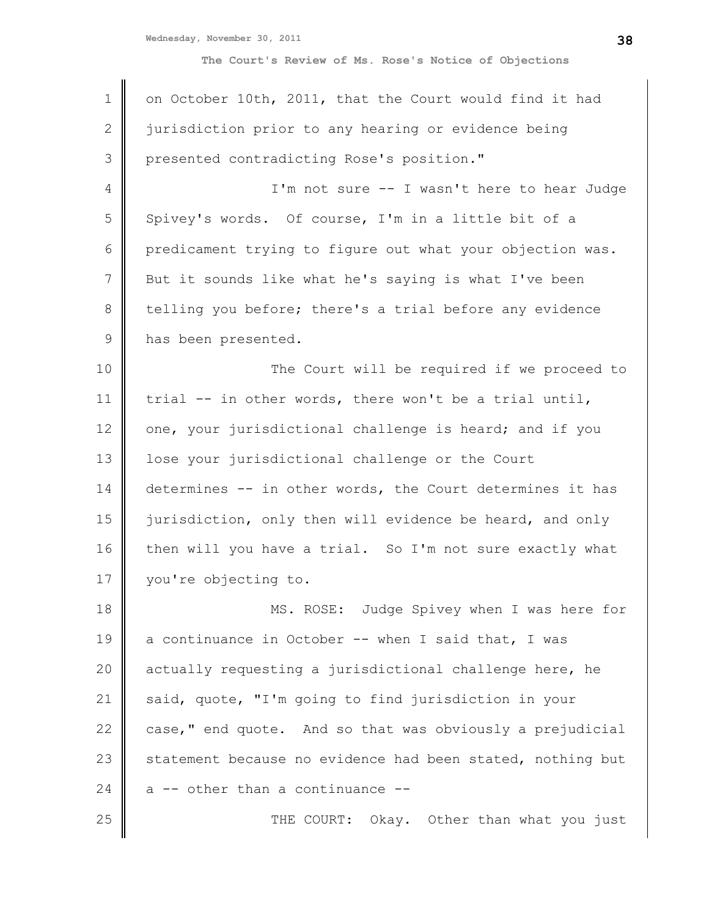| $\mathbf 1$  | on October 10th, 2011, that the Court would find it had    |
|--------------|------------------------------------------------------------|
|              |                                                            |
| $\mathbf{2}$ | jurisdiction prior to any hearing or evidence being        |
| 3            | presented contradicting Rose's position."                  |
| 4            | I'm not sure -- I wasn't here to hear Judge                |
| 5            | Spivey's words. Of course, I'm in a little bit of a        |
| 6            | predicament trying to figure out what your objection was.  |
| 7            | But it sounds like what he's saying is what I've been      |
| $\,8\,$      | telling you before; there's a trial before any evidence    |
| $\mathsf 9$  | has been presented.                                        |
| 10           | The Court will be required if we proceed to                |
| 11           | trial -- in other words, there won't be a trial until,     |
| 12           | one, your jurisdictional challenge is heard; and if you    |
| 13           | lose your jurisdictional challenge or the Court            |
| 14           | determines -- in other words, the Court determines it has  |
| 15           | jurisdiction, only then will evidence be heard, and only   |
| 16           | then will you have a trial. So I'm not sure exactly what   |
| 17           | you're objecting to.                                       |
| 18           | MS. ROSE: Judge Spivey when I was here for                 |
| 19           | a continuance in October -- when I said that, I was        |
| 20           | actually requesting a jurisdictional challenge here, he    |
| 21           | said, quote, "I'm going to find jurisdiction in your       |
| 22           | case," end quote. And so that was obviously a prejudicial  |
| 23           | statement because no evidence had been stated, nothing but |
| 24           | a -- other than a continuance --                           |
| 25           | THE COURT: Okay. Other than what you just                  |
|              |                                                            |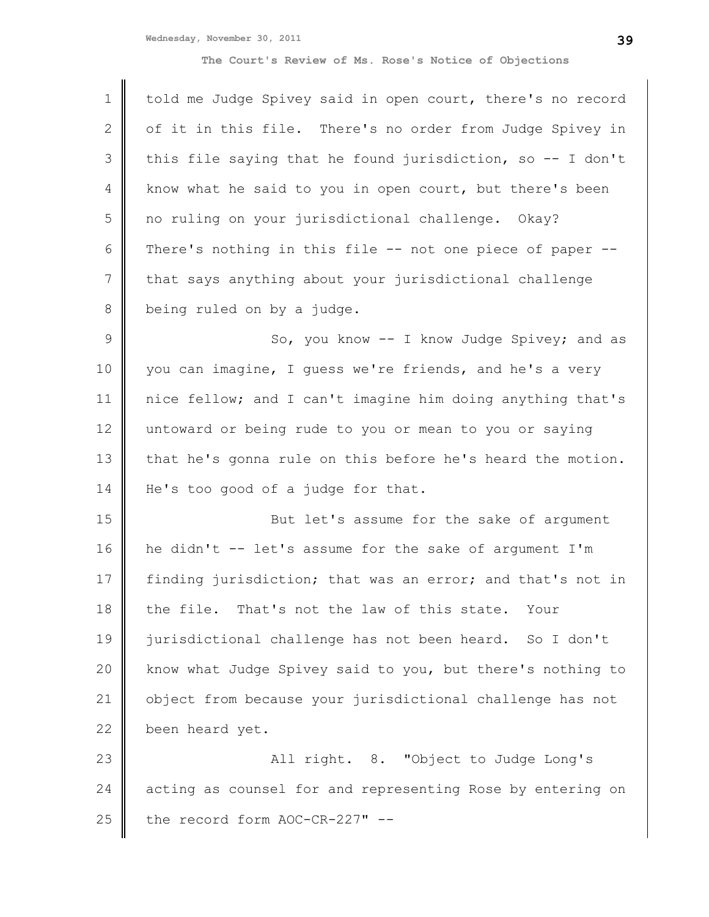| $\mathbf 1$   | told me Judge Spivey said in open court, there's no record |
|---------------|------------------------------------------------------------|
| $\mathbf{2}$  | of it in this file. There's no order from Judge Spivey in  |
| 3             | this file saying that he found jurisdiction, so -- I don't |
| 4             | know what he said to you in open court, but there's been   |
| 5             | no ruling on your jurisdictional challenge. Okay?          |
| 6             | There's nothing in this file -- not one piece of paper --  |
| 7             | that says anything about your jurisdictional challenge     |
| 8             | being ruled on by a judge.                                 |
| $\mathcal{G}$ | So, you know -- I know Judge Spivey; and as                |
| 10            | you can imagine, I guess we're friends, and he's a very    |
| 11            | nice fellow; and I can't imagine him doing anything that's |
| 12            | untoward or being rude to you or mean to you or saying     |
| 13            | that he's gonna rule on this before he's heard the motion. |
| 14            | He's too good of a judge for that.                         |
| 15            | But let's assume for the sake of argument                  |
| 16            | he didn't -- let's assume for the sake of argument I'm     |
| 17            | finding jurisdiction; that was an error; and that's not in |
| 18            | the file. That's not the law of this state.<br>Your        |
| 19            | jurisdictional challenge has not been heard. So I don't    |
| 20            | know what Judge Spivey said to you, but there's nothing to |
| 21            | object from because your jurisdictional challenge has not  |
| 22            | been heard yet.                                            |
| 23            | All right. 8. "Object to Judge Long's                      |
| 24            | acting as counsel for and representing Rose by entering on |
| 25            | the record form AOC-CR-227" --                             |
|               |                                                            |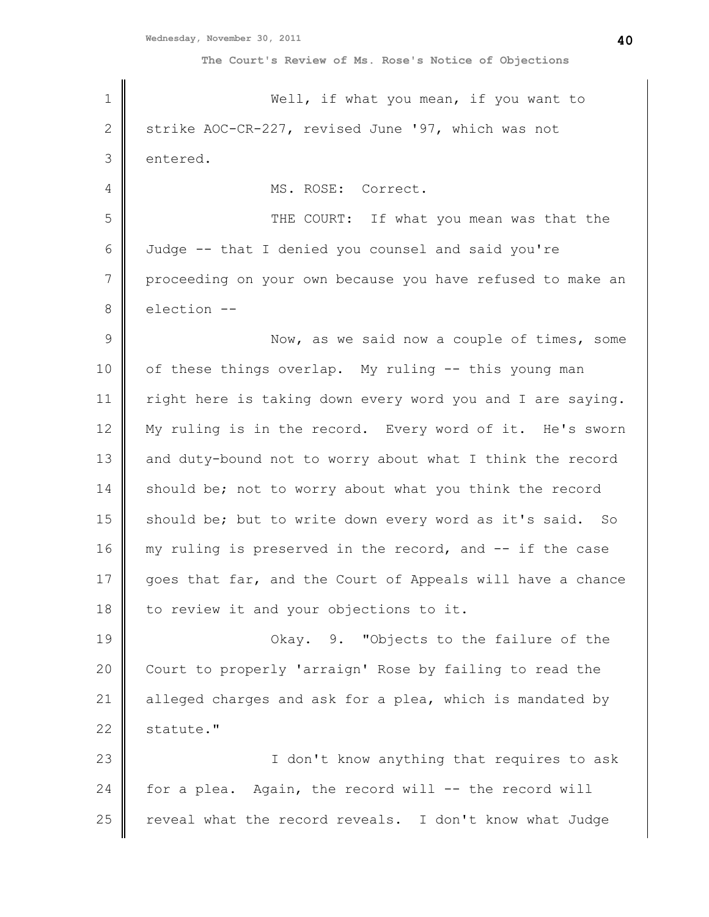| $\mathbf 1$   | Well, if what you mean, if you want to                     |
|---------------|------------------------------------------------------------|
| 2             | strike AOC-CR-227, revised June '97, which was not         |
| 3             | entered.                                                   |
| 4             | MS. ROSE: Correct.                                         |
| 5             | THE COURT: If what you mean was that the                   |
| 6             | Judge -- that I denied you counsel and said you're         |
| 7             | proceeding on your own because you have refused to make an |
| $\,8\,$       | election --                                                |
| $\mathcal{G}$ | Now, as we said now a couple of times, some                |
| 10            | of these things overlap. My ruling -- this young man       |
| 11            | right here is taking down every word you and I are saying. |
| 12            | My ruling is in the record. Every word of it. He's sworn   |
| 13            | and duty-bound not to worry about what I think the record  |
| 14            | should be; not to worry about what you think the record    |
| 15            | should be; but to write down every word as it's said. So   |
| 16            | my ruling is preserved in the record, and -- if the case   |
| 17            | goes that far, and the Court of Appeals will have a chance |
| 18            | to review it and your objections to it.                    |
| 19            | Okay. 9. "Objects to the failure of the                    |
| 20            | Court to properly 'arraign' Rose by failing to read the    |
| 21            | alleged charges and ask for a plea, which is mandated by   |
| 22            | statute."                                                  |
| 23            | I don't know anything that requires to ask                 |
| 24            | for a plea. Again, the record will -- the record will      |
| 25            | reveal what the record reveals. I don't know what Judge    |
|               |                                                            |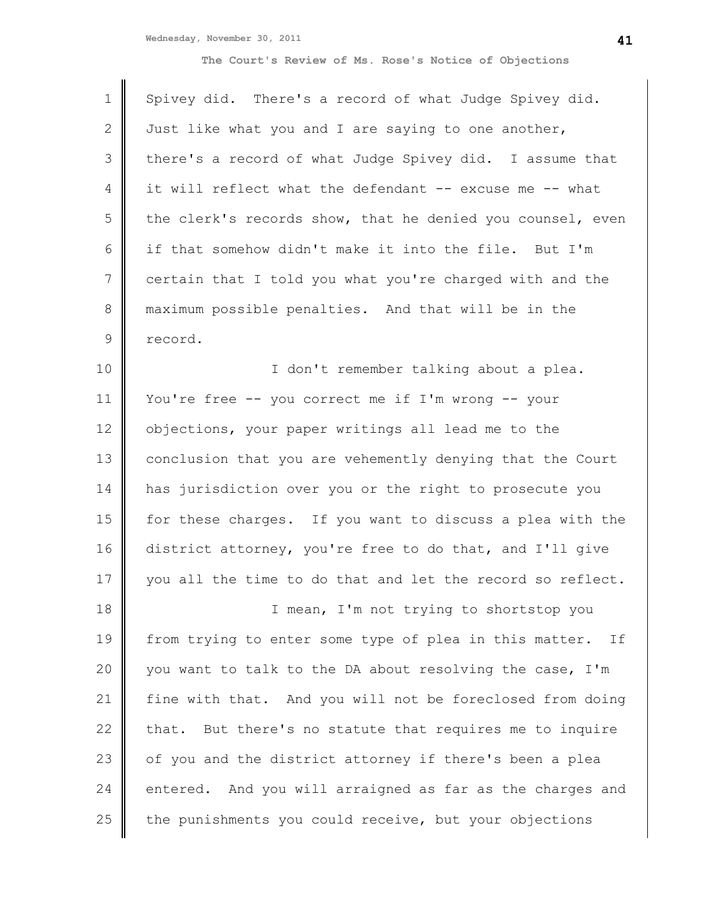| $\mathbf 1$     | Spivey did. There's a record of what Judge Spivey did.       |
|-----------------|--------------------------------------------------------------|
| $\mathbf{2}$    | Just like what you and I are saying to one another,          |
| 3               | there's a record of what Judge Spivey did. I assume that     |
| 4               | it will reflect what the defendant -- excuse me -- what      |
| 5               | the clerk's records show, that he denied you counsel, even   |
| 6               | if that somehow didn't make it into the file. But I'm        |
| $7\phantom{.0}$ | certain that I told you what you're charged with and the     |
| $8\,$           | maximum possible penalties. And that will be in the          |
| $\mathsf 9$     | record.                                                      |
| 10              | I don't remember talking about a plea.                       |
| 11              | You're free -- you correct me if I'm wrong -- your           |
| 12              | objections, your paper writings all lead me to the           |
| 13              | conclusion that you are vehemently denying that the Court    |
| 14              | has jurisdiction over you or the right to prosecute you      |
| 15              | for these charges. If you want to discuss a plea with the    |
| 16              | district attorney, you're free to do that, and I'll give     |
| 17              | you all the time to do that and let the record so reflect.   |
| 18              | I mean, I'm not trying to shortstop you                      |
| 19              | from trying to enter some type of plea in this matter.<br>If |
| 20              | you want to talk to the DA about resolving the case, I'm     |
| 21              | fine with that. And you will not be foreclosed from doing    |
| 22              | But there's no statute that requires me to inquire<br>that.  |
| 23              | of you and the district attorney if there's been a plea      |
| 24              | entered. And you will arraigned as far as the charges and    |
| 25              | the punishments you could receive, but your objections       |
|                 |                                                              |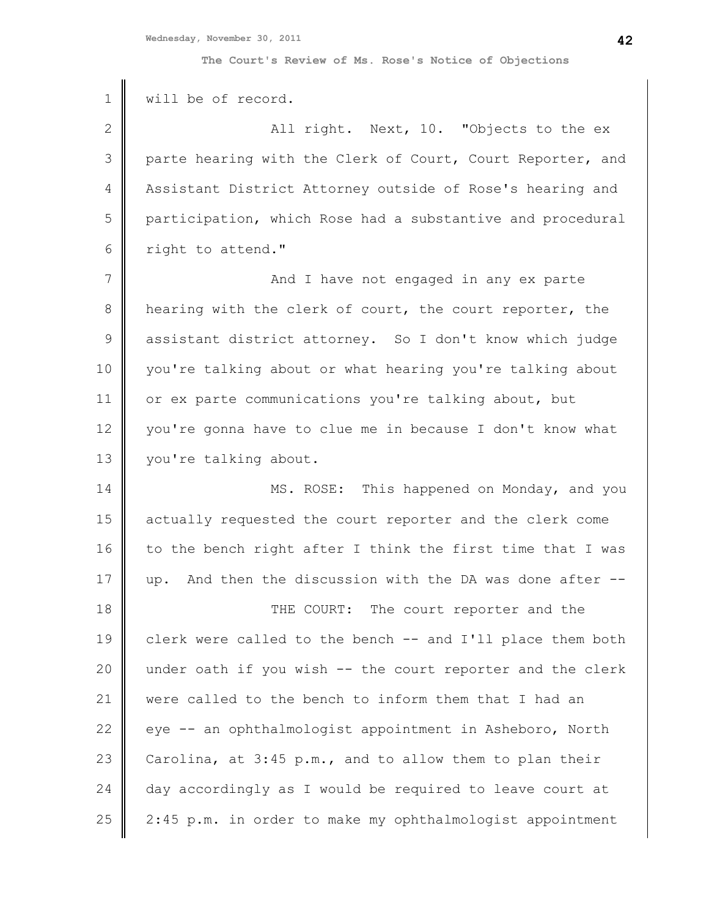| $\mathbf 1$   | will be of record.                                           |
|---------------|--------------------------------------------------------------|
| $\mathbf{2}$  | All right. Next, 10. "Objects to the ex                      |
| 3             | parte hearing with the Clerk of Court, Court Reporter, and   |
| 4             | Assistant District Attorney outside of Rose's hearing and    |
| 5             | participation, which Rose had a substantive and procedural   |
| 6             | right to attend."                                            |
| 7             | And I have not engaged in any ex parte                       |
| $\,8\,$       | hearing with the clerk of court, the court reporter, the     |
| $\mathcal{G}$ | assistant district attorney. So I don't know which judge     |
| 10            | you're talking about or what hearing you're talking about    |
| 11            | or ex parte communications you're talking about, but         |
| 12            | you're gonna have to clue me in because I don't know what    |
| 13            | you're talking about.                                        |
| 14            | MS. ROSE: This happened on Monday, and you                   |
| 15            | actually requested the court reporter and the clerk come     |
| 16            | to the bench right after I think the first time that I was   |
| 17            | And then the discussion with the DA was done after --<br>up. |
| 18            | THE COURT: The court reporter and the                        |
| 19            | clerk were called to the bench -- and I'll place them both   |
| 20            | under oath if you wish -- the court reporter and the clerk   |
| 21            | were called to the bench to inform them that I had an        |
| 22            | eye -- an ophthalmologist appointment in Asheboro, North     |
| 23            | Carolina, at 3:45 p.m., and to allow them to plan their      |
| 24            | day accordingly as I would be required to leave court at     |
| 25            | 2:45 p.m. in order to make my ophthalmologist appointment    |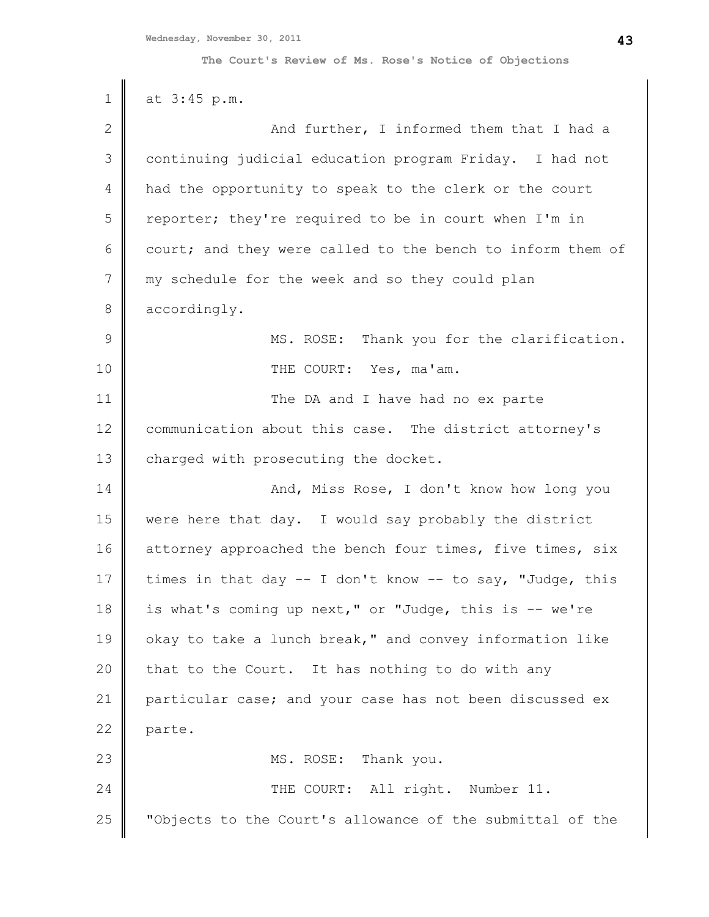| $\mathbf 1$ | at 3:45 p.m.                                               |
|-------------|------------------------------------------------------------|
| 2           | And further, I informed them that I had a                  |
| 3           | continuing judicial education program Friday. I had not    |
| 4           | had the opportunity to speak to the clerk or the court     |
| 5           | reporter; they're required to be in court when I'm in      |
| 6           | court; and they were called to the bench to inform them of |
| 7           | my schedule for the week and so they could plan            |
| 8           | accordingly.                                               |
| 9           | MS. ROSE: Thank you for the clarification.                 |
| 10          | THE COURT: Yes, ma'am.                                     |
| 11          | The DA and I have had no ex parte                          |
| 12          | communication about this case. The district attorney's     |
| 13          | charged with prosecuting the docket.                       |
| 14          | And, Miss Rose, I don't know how long you                  |
| 15          | were here that day. I would say probably the district      |
| 16          | attorney approached the bench four times, five times, six  |
| 17          | times in that day -- I don't know -- to say, "Judge, this  |
| 18          | is what's coming up next," or "Judge, this is -- we're     |
| 19          | okay to take a lunch break," and convey information like   |
| 20          | that to the Court. It has nothing to do with any           |
| 21          | particular case; and your case has not been discussed ex   |
| 22          | parte.                                                     |
| 23          | MS. ROSE: Thank you.                                       |
| 24          | THE COURT: All right. Number 11.                           |
| 25          | "Objects to the Court's allowance of the submittal of the  |
|             |                                                            |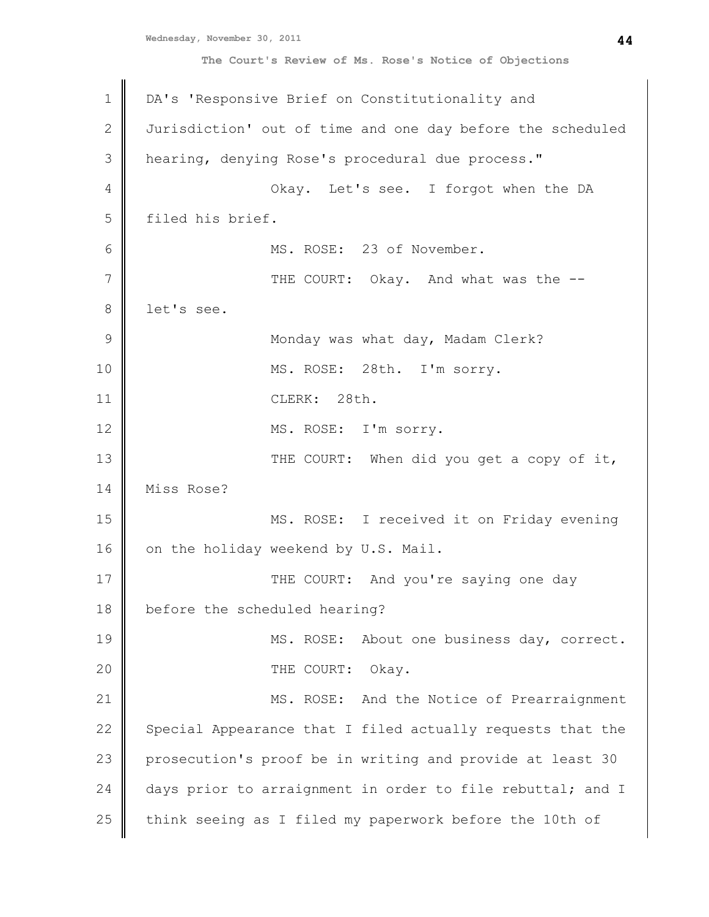```
Wednesday, November 30, 2011
```

| $\mathbf 1$   | DA's 'Responsive Brief on Constitutionality and            |
|---------------|------------------------------------------------------------|
| 2             | Jurisdiction' out of time and one day before the scheduled |
| 3             | hearing, denying Rose's procedural due process."           |
| 4             | Okay. Let's see. I forgot when the DA                      |
| 5             | filed his brief.                                           |
| 6             | MS. ROSE: 23 of November.                                  |
| 7             | THE COURT: Okay. And what was the --                       |
| 8             | let's see.                                                 |
| $\mathcal{G}$ | Monday was what day, Madam Clerk?                          |
| 10            | MS. ROSE: 28th. I'm sorry.                                 |
| 11            | CLERK: 28th.                                               |
| 12            | MS. ROSE: I'm sorry.                                       |
| 13            | THE COURT: When did you get a copy of it,                  |
| 14            | Miss Rose?                                                 |
| 15            | MS. ROSE: I received it on Friday evening                  |
| 16            | on the holiday weekend by U.S. Mail.                       |
| 17            | THE COURT: And you're saying one day                       |
| 18            | before the scheduled hearing?                              |
| 19            | MS. ROSE: About one business day, correct.                 |
| 20            | THE COURT:<br>Okay.                                        |
| 21            | MS. ROSE: And the Notice of Prearraignment                 |
| 22            | Special Appearance that I filed actually requests that the |
| 23            | prosecution's proof be in writing and provide at least 30  |
| 24            | days prior to arraignment in order to file rebuttal; and I |
| 25            | think seeing as I filed my paperwork before the 10th of    |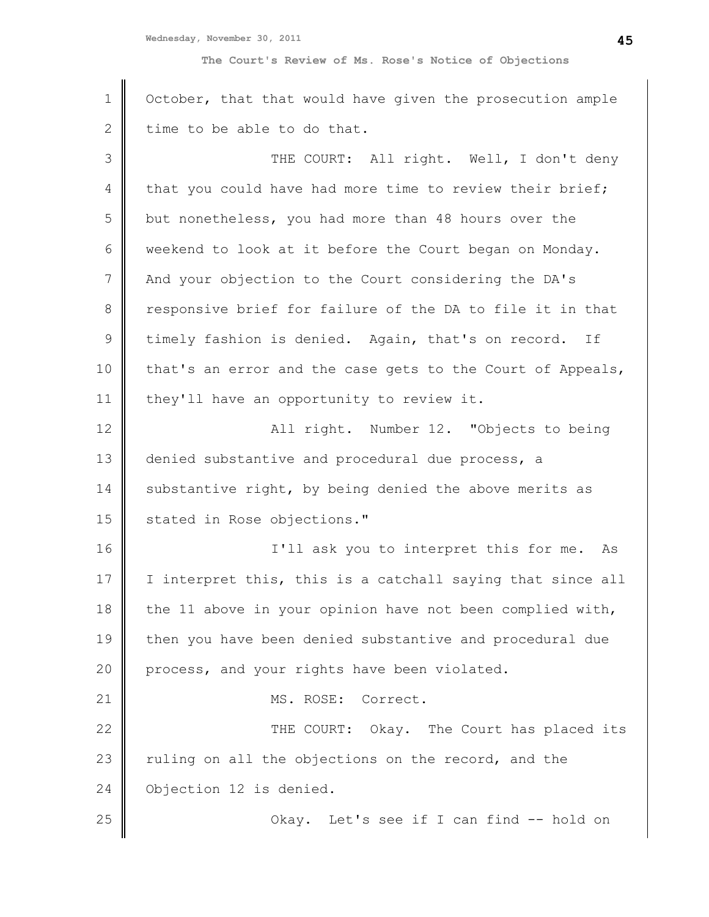1 2 3 4 5 6 7 8 9 10 11 12 13 14 15 16 17 18 19 20 21 22 23 24 25 October, that that would have given the prosecution ample time to be able to do that. THE COURT: All right. Well, I don't deny that you could have had more time to review their brief; but nonetheless, you had more than 48 hours over the weekend to look at it before the Court began on Monday. And your objection to the Court considering the DA's responsive brief for failure of the DA to file it in that timely fashion is denied. Again, that's on record. If that's an error and the case gets to the Court of Appeals, they'll have an opportunity to review it. All right. Number 12. "Objects to being denied substantive and procedural due process, a substantive right, by being denied the above merits as stated in Rose objections." I'll ask you to interpret this for me. As I interpret this, this is a catchall saying that since all the 11 above in your opinion have not been complied with, then you have been denied substantive and procedural due process, and your rights have been violated. MS. ROSE: Correct. THE COURT: Okay. The Court has placed its ruling on all the objections on the record, and the Objection 12 is denied. Okay. Let's see if I can find -- hold on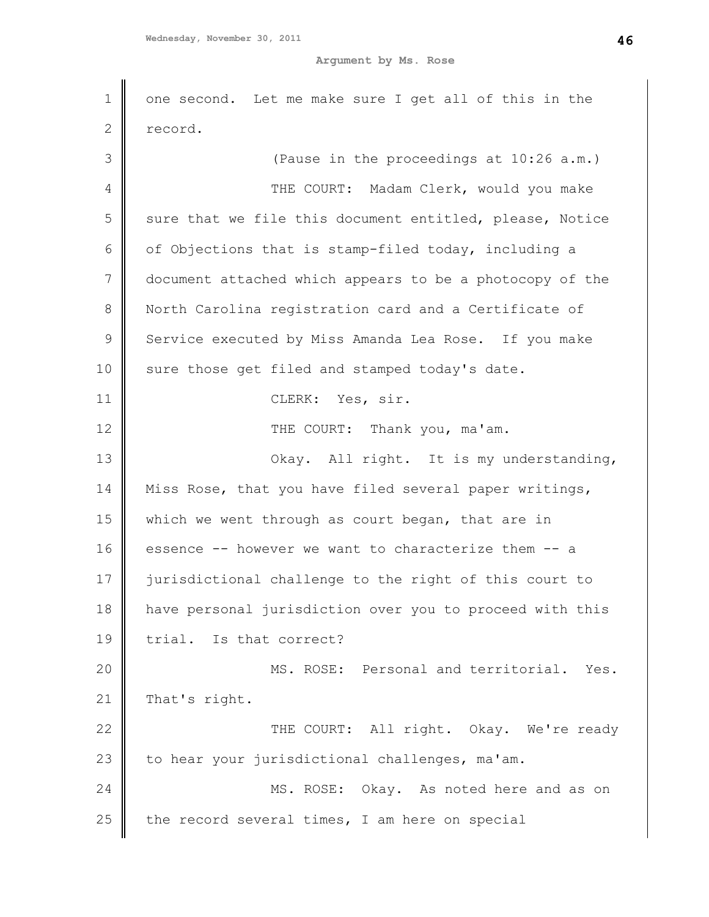1 2 3 4 5 6 7 8 9 10 11 12 13 14 15 16 17 18 19 20 21 22 23 24 25 one second. Let me make sure I get all of this in the record. (Pause in the proceedings at 10:26 a.m.) THE COURT: Madam Clerk, would you make sure that we file this document entitled, please, Notice of Objections that is stamp-filed today, including a document attached which appears to be a photocopy of the North Carolina registration card and a Certificate of Service executed by Miss Amanda Lea Rose. If you make sure those get filed and stamped today's date. CLERK: Yes, sir. THE COURT: Thank you, ma'am. Okay. All right. It is my understanding, Miss Rose, that you have filed several paper writings, which we went through as court began, that are in essence -- however we want to characterize them -- a jurisdictional challenge to the right of this court to have personal jurisdiction over you to proceed with this trial. Is that correct? MS. ROSE: Personal and territorial. Yes. That's right. THE COURT: All right. Okay. We're ready to hear your jurisdictional challenges, ma'am. MS. ROSE: Okay. As noted here and as on the record several times, I am here on special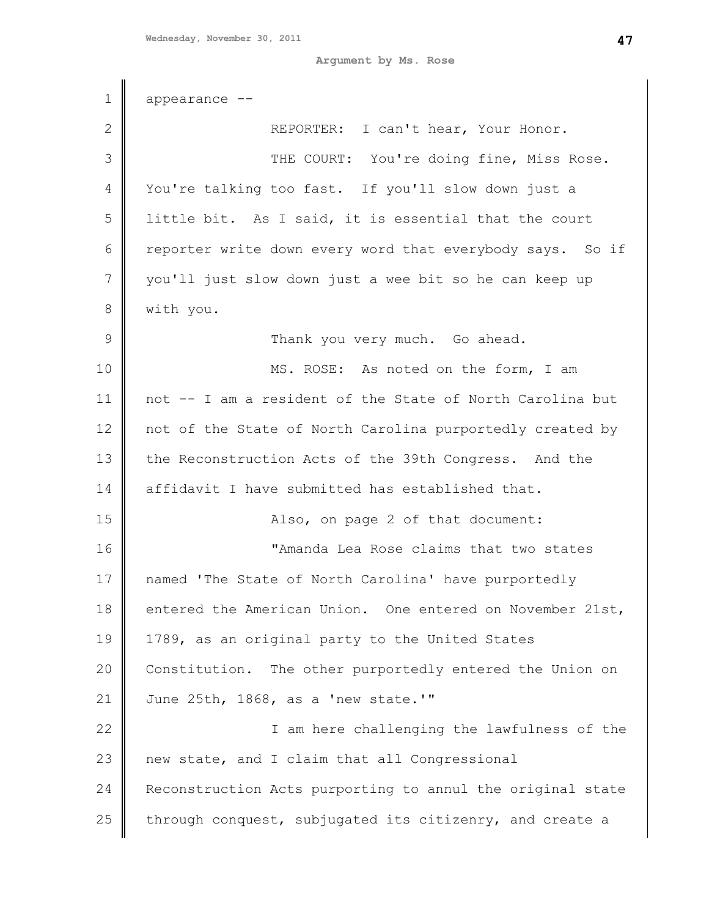1 2 3 4 5 6 7 8 9 10 11 12 13 14 15 16 17 18 19 20 21 22 23 24 25 appearance -- REPORTER: I can't hear, Your Honor. THE COURT: You're doing fine, Miss Rose. You're talking too fast. If you'll slow down just a little bit. As I said, it is essential that the court reporter write down every word that everybody says. So if you'll just slow down just a wee bit so he can keep up with you. Thank you very much. Go ahead. MS. ROSE: As noted on the form, I am not -- I am a resident of the State of North Carolina but not of the State of North Carolina purportedly created by the Reconstruction Acts of the 39th Congress. And the affidavit I have submitted has established that. Also, on page 2 of that document: "Amanda Lea Rose claims that two states named 'The State of North Carolina' have purportedly entered the American Union. One entered on November 21st, 1789, as an original party to the United States Constitution. The other purportedly entered the Union on June 25th, 1868, as a 'new state.'" I am here challenging the lawfulness of the new state, and I claim that all Congressional Reconstruction Acts purporting to annul the original state through conquest, subjugated its citizenry, and create a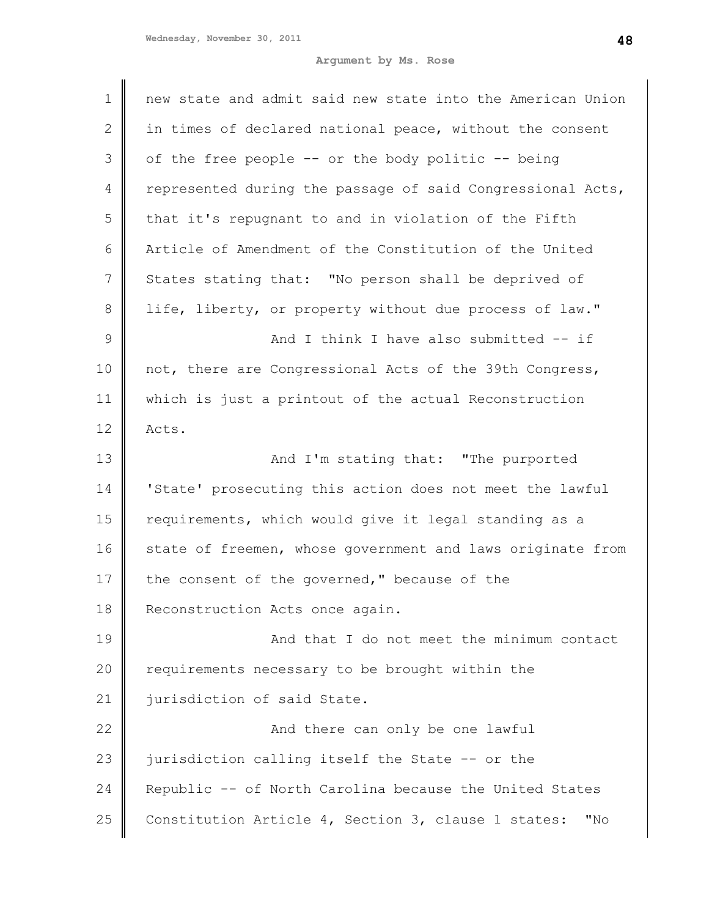| $\mathbf 1$    | new state and admit said new state into the American Union |
|----------------|------------------------------------------------------------|
| $\overline{2}$ | in times of declared national peace, without the consent   |
|                |                                                            |
| 3              | of the free people -- or the body politic -- being         |
| 4              | represented during the passage of said Congressional Acts, |
| 5              | that it's repugnant to and in violation of the Fifth       |
| 6              | Article of Amendment of the Constitution of the United     |
| 7              | States stating that: "No person shall be deprived of       |
| 8              | life, liberty, or property without due process of law."    |
| 9              | And I think I have also submitted -- if                    |
| 10             | not, there are Congressional Acts of the 39th Congress,    |
| 11             | which is just a printout of the actual Reconstruction      |
| 12             | Acts.                                                      |
| 13             | And I'm stating that: "The purported                       |
| 14             | 'State' prosecuting this action does not meet the lawful   |
| 15             | requirements, which would give it legal standing as a      |
| 16             | state of freemen, whose government and laws originate from |
| 17             | the consent of the governed," because of the               |
| 18             | Reconstruction Acts once again.                            |
| 19             | And that I do not meet the minimum contact                 |
| 20             | requirements necessary to be brought within the            |
| 21             | jurisdiction of said State.                                |
| 22             | And there can only be one lawful                           |
| 23             | jurisdiction calling itself the State -- or the            |
| 24             | Republic -- of North Carolina because the United States    |
| 25             | Constitution Article 4, Section 3, clause 1 states:<br>"No |
|                |                                                            |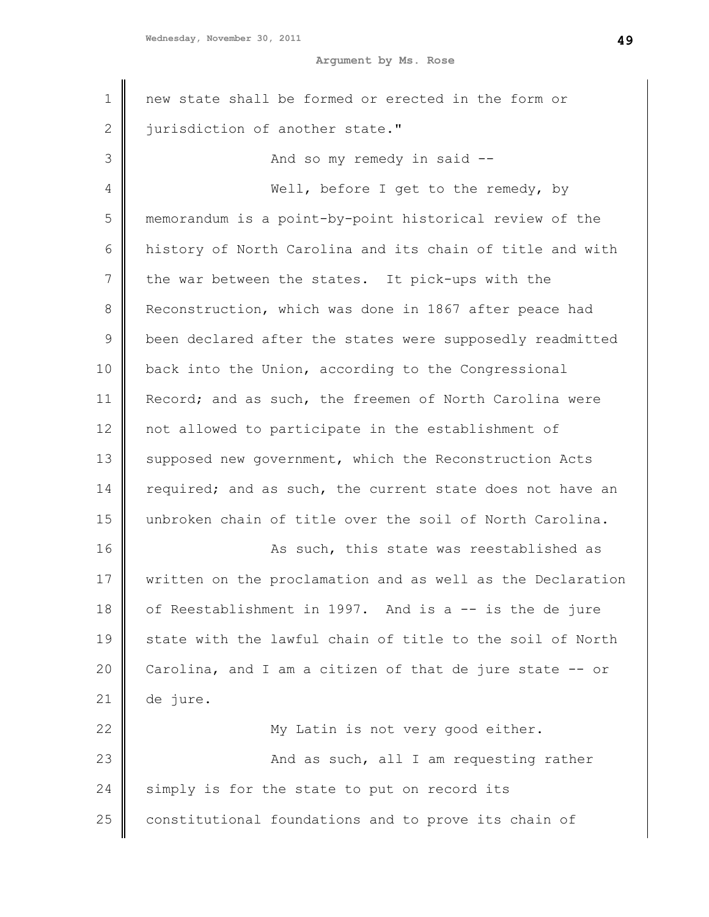| 1            | new state shall be formed or erected in the form or        |
|--------------|------------------------------------------------------------|
| $\mathbf{2}$ | jurisdiction of another state."                            |
| 3            | And so my remedy in said --                                |
| 4            | Well, before I get to the remedy, by                       |
| 5            | memorandum is a point-by-point historical review of the    |
| 6            | history of North Carolina and its chain of title and with  |
| 7            | the war between the states. It pick-ups with the           |
| $\,8\,$      | Reconstruction, which was done in 1867 after peace had     |
| 9            | been declared after the states were supposedly readmitted  |
| 10           | back into the Union, according to the Congressional        |
| 11           | Record; and as such, the freemen of North Carolina were    |
| 12           | not allowed to participate in the establishment of         |
| 13           | supposed new government, which the Reconstruction Acts     |
| 14           | required; and as such, the current state does not have an  |
| 15           | unbroken chain of title over the soil of North Carolina.   |
| 16           | As such, this state was reestablished as                   |
| 17           | written on the proclamation and as well as the Declaration |
| 18           | of Reestablishment in 1997. And is a -- is the de jure     |
| 19           | state with the lawful chain of title to the soil of North  |
| 20           | Carolina, and I am a citizen of that de jure state -- or   |
| 21           | de jure.                                                   |
| 22           | My Latin is not very good either.                          |
| 23           | And as such, all I am requesting rather                    |
| 24           | simply is for the state to put on record its               |
| 25           | constitutional foundations and to prove its chain of       |
|              |                                                            |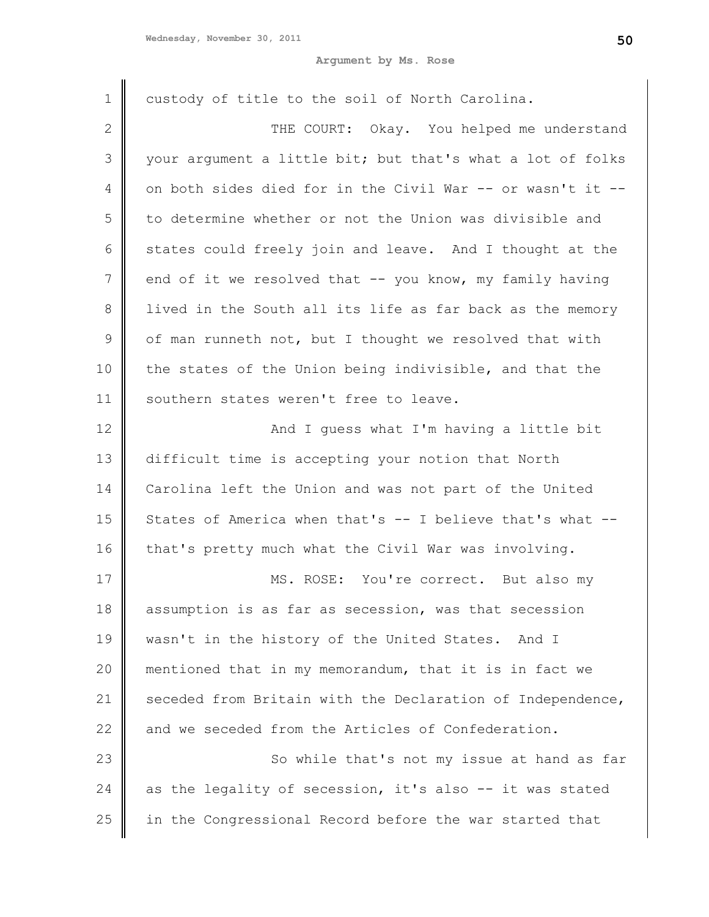| 1           | custody of title to the soil of North Carolina.            |
|-------------|------------------------------------------------------------|
| 2           | THE COURT: Okay. You helped me understand                  |
| 3           | your argument a little bit; but that's what a lot of folks |
| 4           | on both sides died for in the Civil War -- or wasn't it -- |
| 5           | to determine whether or not the Union was divisible and    |
| 6           | states could freely join and leave. And I thought at the   |
| 7           | end of it we resolved that -- you know, my family having   |
| 8           | lived in the South all its life as far back as the memory  |
| $\mathsf 9$ | of man runneth not, but I thought we resolved that with    |
| 10          | the states of the Union being indivisible, and that the    |
| 11          | southern states weren't free to leave.                     |
| 12          | And I guess what I'm having a little bit                   |
| 13          | difficult time is accepting your notion that North         |
| 14          | Carolina left the Union and was not part of the United     |
| 15          | States of America when that's -- I believe that's what --  |
| 16          | that's pretty much what the Civil War was involving.       |
| 17          | MS. ROSE: You're correct. But also my                      |
| 18          | assumption is as far as secession, was that secession      |
| 19          | wasn't in the history of the United States. And I          |
| 20          | mentioned that in my memorandum, that it is in fact we     |
| 21          | seceded from Britain with the Declaration of Independence, |
| 22          | and we seceded from the Articles of Confederation.         |
| 23          | So while that's not my issue at hand as far                |
| 24          | as the legality of secession, it's also -- it was stated   |
| 25          | in the Congressional Record before the war started that    |
|             |                                                            |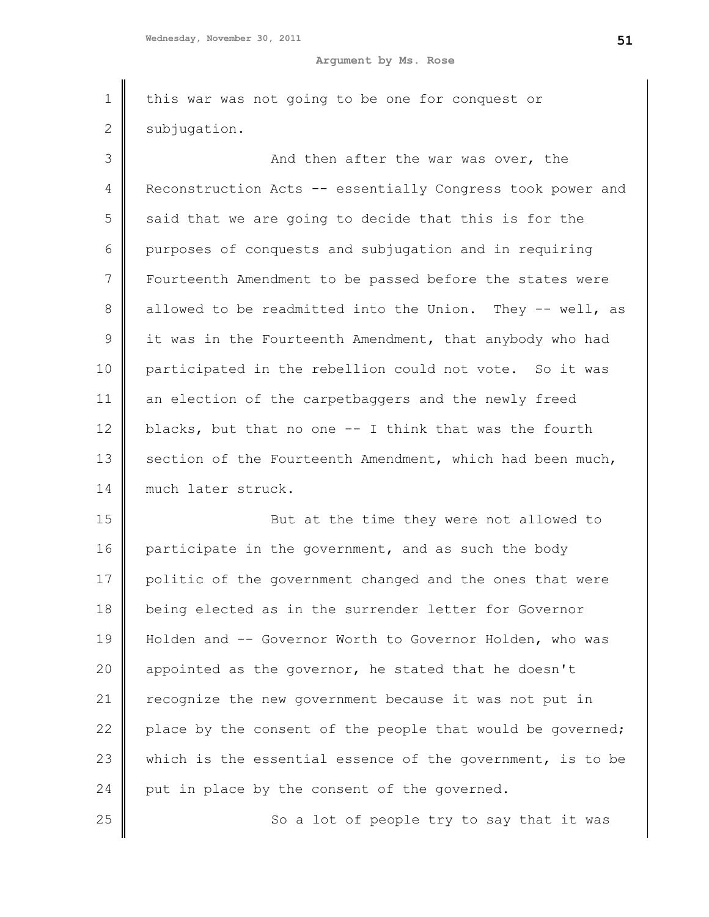| $\mathbf 1$ | this war was not going to be one for conquest or           |
|-------------|------------------------------------------------------------|
| $\mathbf 2$ | subjugation.                                               |
| 3           | And then after the war was over, the                       |
| 4           | Reconstruction Acts -- essentially Congress took power and |
| 5           | said that we are going to decide that this is for the      |
| 6           | purposes of conquests and subjugation and in requiring     |
| 7           | Fourteenth Amendment to be passed before the states were   |
| 8           | allowed to be readmitted into the Union. They -- well, as  |
| 9           | it was in the Fourteenth Amendment, that anybody who had   |
| 10          | participated in the rebellion could not vote. So it was    |
| 11          | an election of the carpetbaggers and the newly freed       |
| 12          | blacks, but that no one -- I think that was the fourth     |
| 13          | section of the Fourteenth Amendment, which had been much,  |
| 14          | much later struck.                                         |
| 15          | But at the time they were not allowed to                   |
| 16          | participate in the government, and as such the body        |
| 17          | politic of the government changed and the ones that were   |
| 18          | being elected as in the surrender letter for Governor      |
| 19          | Holden and -- Governor Worth to Governor Holden, who was   |
| 20          | appointed as the governor, he stated that he doesn't       |
| 21          | recognize the new government because it was not put in     |
| 22          | place by the consent of the people that would be governed; |
| 23          | which is the essential essence of the government, is to be |
| 24          | put in place by the consent of the governed.               |
| 25          | So a lot of people try to say that it was                  |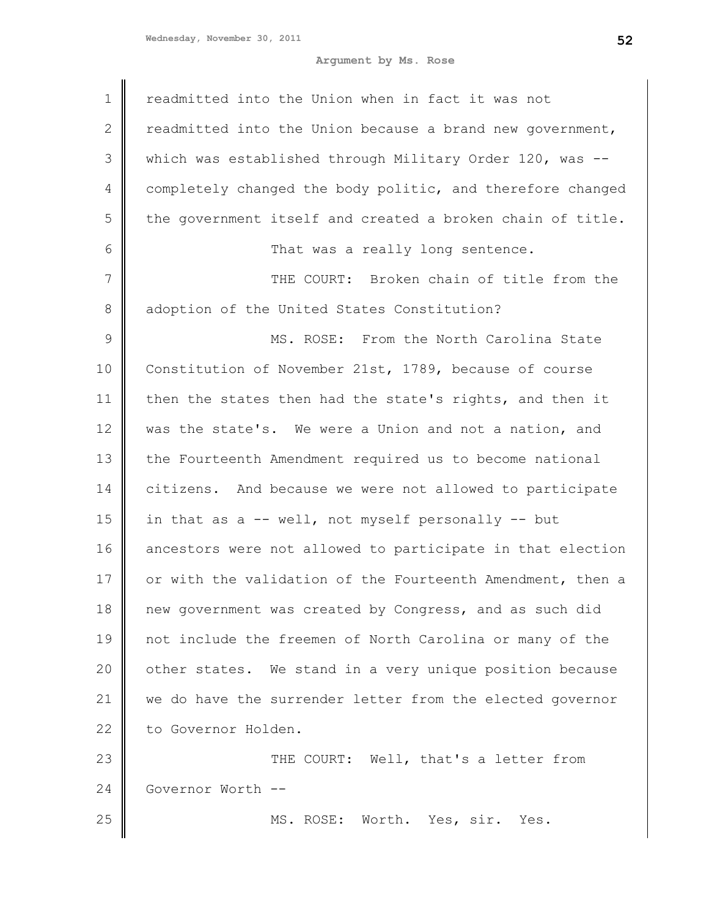| 1              | readmitted into the Union when in fact it was not            |
|----------------|--------------------------------------------------------------|
| $\overline{2}$ | readmitted into the Union because a brand new government,    |
| 3              | which was established through Military Order $120$ , was $-$ |
| 4              | completely changed the body politic, and therefore changed   |
| 5              | the government itself and created a broken chain of title.   |
| 6              | That was a really long sentence.                             |
| 7              | THE COURT: Broken chain of title from the                    |
| 8              | adoption of the United States Constitution?                  |
| $\mathcal{G}$  | MS. ROSE: From the North Carolina State                      |
| 10             | Constitution of November 21st, 1789, because of course       |
| 11             | then the states then had the state's rights, and then it     |
| 12             | was the state's. We were a Union and not a nation, and       |
| 13             | the Fourteenth Amendment required us to become national      |
| 14             | citizens. And because we were not allowed to participate     |
| 15             | in that as a -- well, not myself personally -- but           |
| 16             | ancestors were not allowed to participate in that election   |
| 17             | or with the validation of the Fourteenth Amendment, then a   |
| 18             | new government was created by Congress, and as such did      |
| 19             | not include the freemen of North Carolina or many of the     |
| 20             | other states. We stand in a very unique position because     |
| 21             | we do have the surrender letter from the elected governor    |
| 22             | to Governor Holden.                                          |
| 23             | THE COURT: Well, that's a letter from                        |
| 24             | Governor Worth --                                            |
| 25             | MS. ROSE: Worth. Yes, sir. Yes.                              |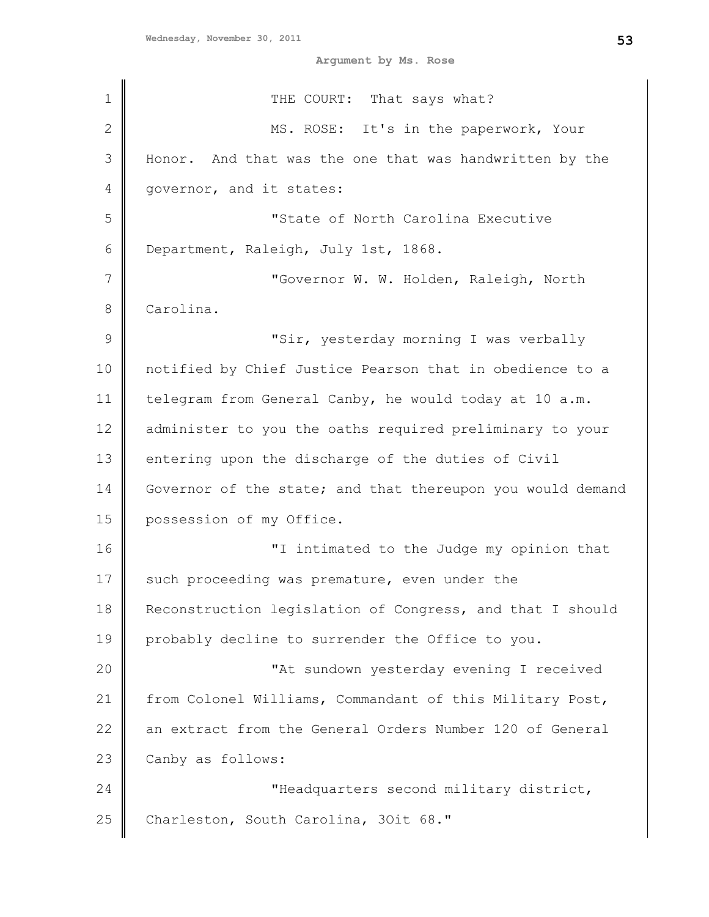| $\mathbf 1$  | THE COURT: That says what?                                 |
|--------------|------------------------------------------------------------|
| $\mathbf{2}$ | MS. ROSE: It's in the paperwork, Your                      |
| 3            | Honor. And that was the one that was handwritten by the    |
| 4            | governor, and it states:                                   |
| 5            | "State of North Carolina Executive                         |
| 6            | Department, Raleigh, July 1st, 1868.                       |
| 7            | "Governor W. W. Holden, Raleigh, North                     |
| 8            | Carolina.                                                  |
| $\mathsf 9$  | "Sir, yesterday morning I was verbally                     |
| 10           | notified by Chief Justice Pearson that in obedience to a   |
| 11           | telegram from General Canby, he would today at 10 a.m.     |
| 12           | administer to you the oaths required preliminary to your   |
| 13           | entering upon the discharge of the duties of Civil         |
| 14           | Governor of the state; and that thereupon you would demand |
| 15           | possession of my Office.                                   |
| 16           | "I intimated to the Judge my opinion that                  |
| 17           | such proceeding was premature, even under the              |
| 18           | Reconstruction legislation of Congress, and that I should  |
| 19           | probably decline to surrender the Office to you.           |
| 20           | "At sundown yesterday evening I received                   |
| 21           | from Colonel Williams, Commandant of this Military Post,   |
| 22           | an extract from the General Orders Number 120 of General   |
| 23           | Canby as follows:                                          |
| 24           | "Headquarters second military district,                    |
| 25           | Charleston, South Carolina, 30it 68."                      |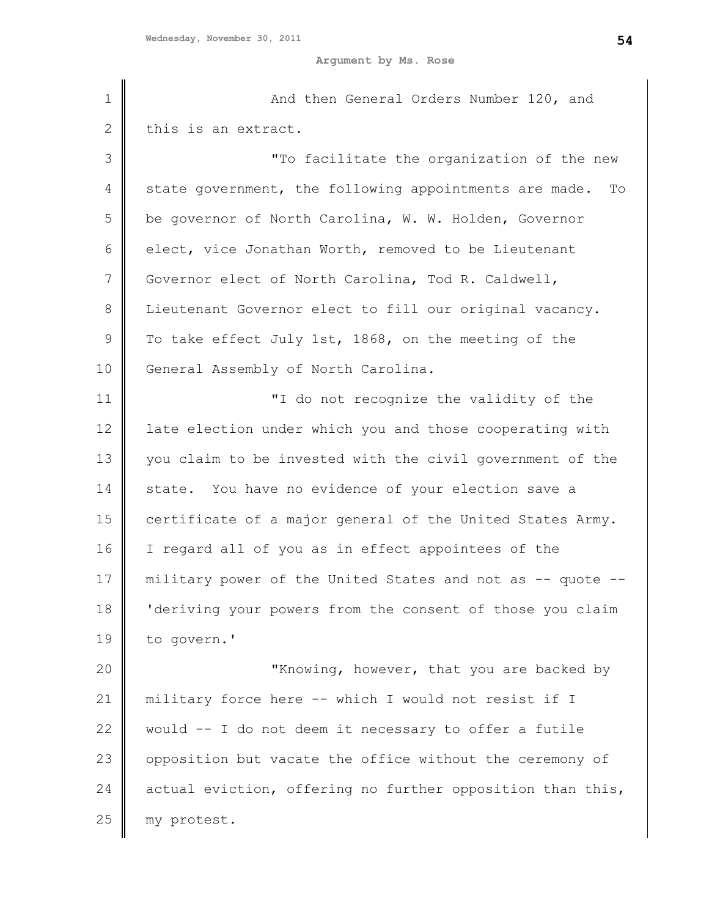| $\mathbf 1$   | And then General Orders Number 120, and                    |
|---------------|------------------------------------------------------------|
| $\mathbf{2}$  | this is an extract.                                        |
| 3             | "To facilitate the organization of the new                 |
| 4             | state government, the following appointments are made. To  |
| 5             | be governor of North Carolina, W. W. Holden, Governor      |
| 6             | elect, vice Jonathan Worth, removed to be Lieutenant       |
| 7             | Governor elect of North Carolina, Tod R. Caldwell,         |
| $\,8\,$       | Lieutenant Governor elect to fill our original vacancy.    |
| $\mathcal{G}$ | To take effect July 1st, 1868, on the meeting of the       |
| 10            | General Assembly of North Carolina.                        |
| 11            | "I do not recognize the validity of the                    |
| 12            | late election under which you and those cooperating with   |
| 13            | you claim to be invested with the civil government of the  |
| 14            | state. You have no evidence of your election save a        |
| 15            | certificate of a major general of the United States Army.  |
| 16            | I regard all of you as in effect appointees of the         |
| 17            | military power of the United States and not as -- quote -- |
| 18            | 'deriving your powers from the consent of those you claim  |
| 19            | to govern.'                                                |
| 20            | "Knowing, however, that you are backed by                  |
| 21            | military force here -- which I would not resist if I       |
| 22            | would -- I do not deem it necessary to offer a futile      |
| 23            | opposition but vacate the office without the ceremony of   |
| 24            | actual eviction, offering no further opposition than this, |
| 25            | my protest.                                                |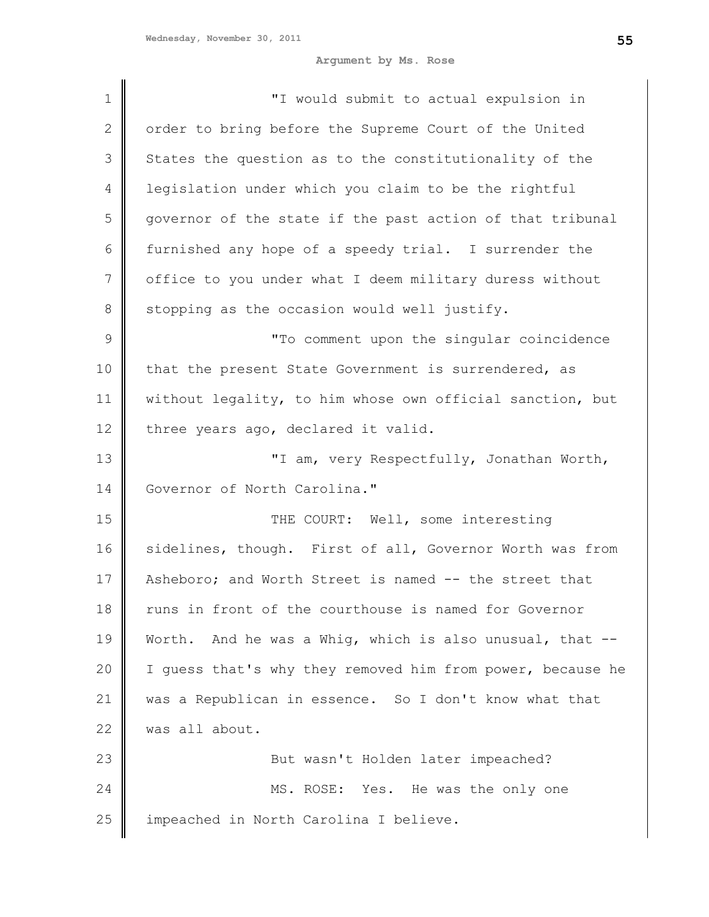| $\mathbf 1$   | "I would submit to actual expulsion in                     |
|---------------|------------------------------------------------------------|
| 2             | order to bring before the Supreme Court of the United      |
| 3             | States the question as to the constitutionality of the     |
| 4             | legislation under which you claim to be the rightful       |
| 5             | governor of the state if the past action of that tribunal  |
| 6             | furnished any hope of a speedy trial. I surrender the      |
| 7             | office to you under what I deem military duress without    |
| 8             | stopping as the occasion would well justify.               |
| $\mathcal{G}$ | "To comment upon the singular coincidence                  |
| 10            | that the present State Government is surrendered, as       |
| 11            | without legality, to him whose own official sanction, but  |
| 12            | three years ago, declared it valid.                        |
| 13            | "I am, very Respectfully, Jonathan Worth,                  |
| 14            | Governor of North Carolina."                               |
| 15            | THE COURT: Well, some interesting                          |
| 16            | sidelines, though. First of all, Governor Worth was from   |
| 17            | Asheboro; and Worth Street is named -- the street that     |
| 18            | runs in front of the courthouse is named for Governor      |
| 19            | Worth. And he was a Whig, which is also unusual, that --   |
| 20            | I quess that's why they removed him from power, because he |
| 21            | was a Republican in essence. So I don't know what that     |
| 22            | was all about.                                             |
| 23            | But wasn't Holden later impeached?                         |
| 24            | MS. ROSE: Yes. He was the only one                         |
| 25            | impeached in North Carolina I believe.                     |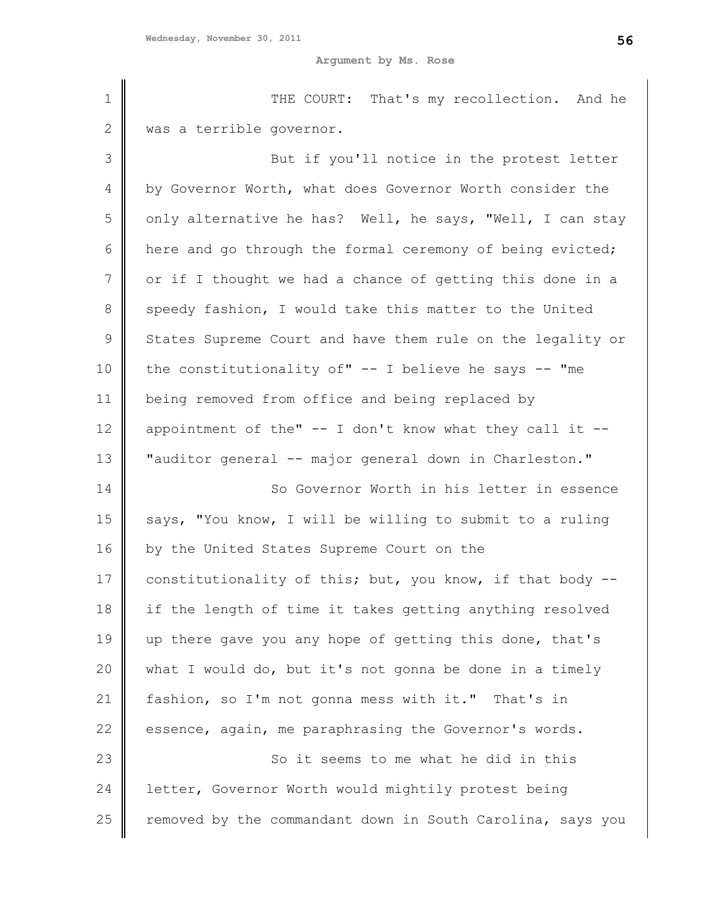| $\mathbf 1$    | THE COURT: That's my recollection. And he                   |
|----------------|-------------------------------------------------------------|
| 2              | was a terrible governor.                                    |
| 3              | But if you'll notice in the protest letter                  |
| 4              | by Governor Worth, what does Governor Worth consider the    |
| 5              | only alternative he has? Well, he says, "Well, I can stay   |
| 6              | here and go through the formal ceremony of being evicted;   |
| $\overline{7}$ | or if I thought we had a chance of getting this done in a   |
| 8              | speedy fashion, I would take this matter to the United      |
| $\mathsf 9$    | States Supreme Court and have them rule on the legality or  |
| 10             | the constitutionality of" $-$ - I believe he says $-$ - "me |
| 11             | being removed from office and being replaced by             |
| 12             | appointment of the" -- I don't know what they call it --    |
| 13             | "auditor general -- major general down in Charleston."      |
| 14             | So Governor Worth in his letter in essence                  |
| 15             | says, "You know, I will be willing to submit to a ruling    |
| 16             | by the United States Supreme Court on the                   |
| 17             | constitutionality of this; but, you know, if that body --   |
| 18             | if the length of time it takes getting anything resolved    |
| 19             | up there gave you any hope of getting this done, that's     |
| 20             | what I would do, but it's not gonna be done in a timely     |
| 21             | fashion, so I'm not gonna mess with it." That's in          |
| 22             | essence, again, me paraphrasing the Governor's words.       |
| 23             | So it seems to me what he did in this                       |
| 24             | letter, Governor Worth would mightily protest being         |
| 25             | removed by the commandant down in South Carolina, says you  |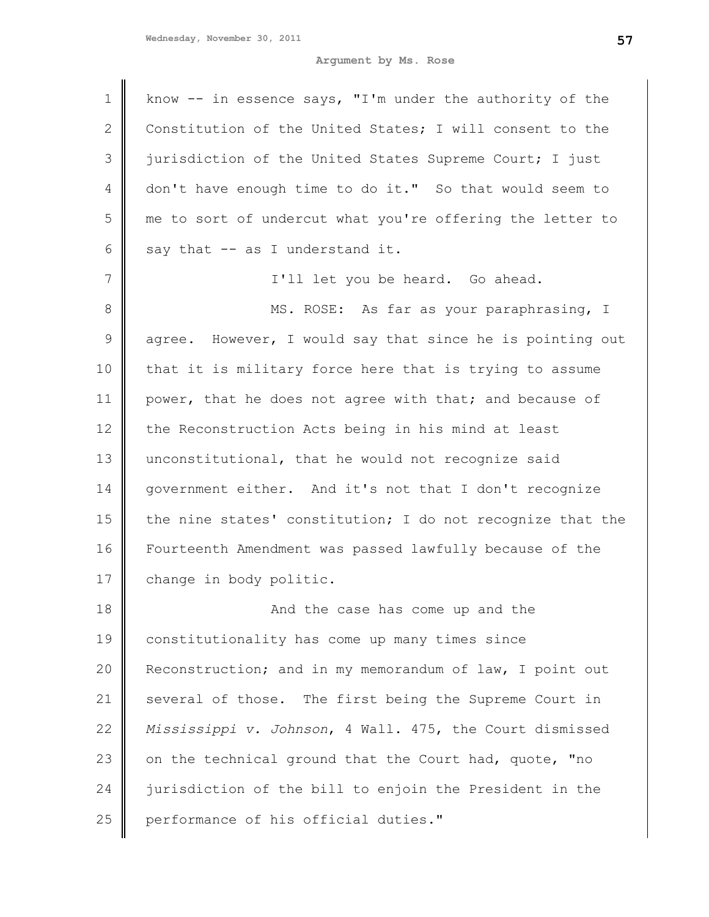| $\mathbf 1$  | know -- in essence says, "I'm under the authority of the   |
|--------------|------------------------------------------------------------|
| $\mathbf{2}$ | Constitution of the United States; I will consent to the   |
| 3            | jurisdiction of the United States Supreme Court; I just    |
| 4            | don't have enough time to do it." So that would seem to    |
| 5            | me to sort of undercut what you're offering the letter to  |
| 6            | say that -- as I understand it.                            |
| 7            | I'll let you be heard. Go ahead.                           |
| $\,8\,$      | MS. ROSE: As far as your paraphrasing, I                   |
| $\mathsf 9$  | agree. However, I would say that since he is pointing out  |
| 10           | that it is military force here that is trying to assume    |
| 11           | power, that he does not agree with that; and because of    |
| 12           | the Reconstruction Acts being in his mind at least         |
| 13           | unconstitutional, that he would not recognize said         |
| 14           | government either. And it's not that I don't recognize     |
| 15           | the nine states' constitution; I do not recognize that the |
| 16           | Fourteenth Amendment was passed lawfully because of the    |
| 17           | change in body politic.                                    |
| 18           | And the case has come up and the                           |
| 19           | constitutionality has come up many times since             |
| 20           | Reconstruction; and in my memorandum of law, I point out   |
| 21           | several of those. The first being the Supreme Court in     |
| 22           | Mississippi v. Johnson, 4 Wall. 475, the Court dismissed   |
| 23           | on the technical ground that the Court had, quote, "no     |
| 24           | jurisdiction of the bill to enjoin the President in the    |
| 25           | performance of his official duties."                       |
|              |                                                            |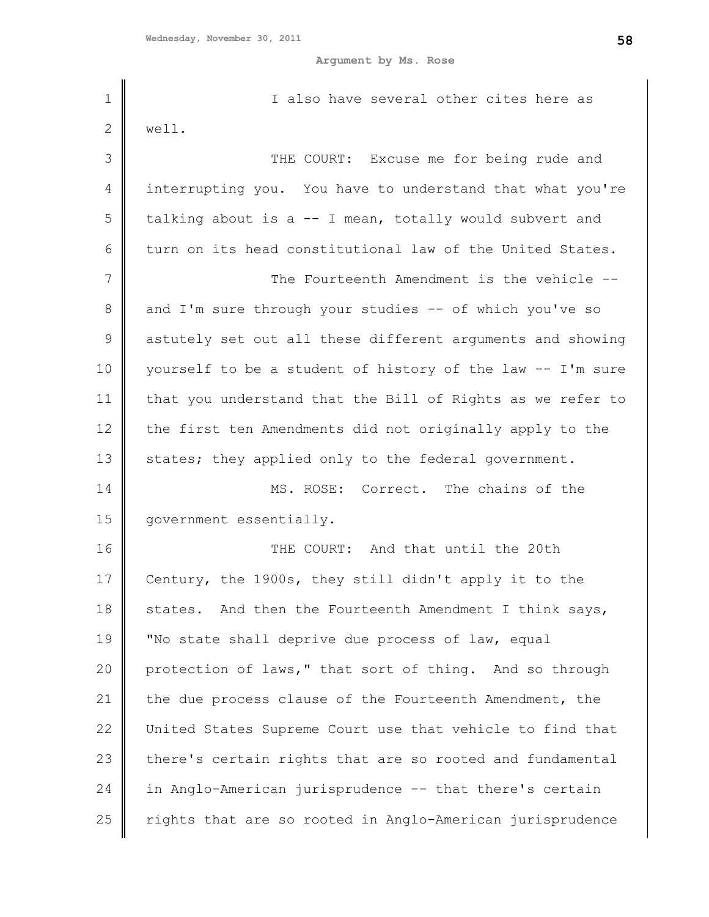| $\mathbf 1$   | I also have several other cites here as                    |
|---------------|------------------------------------------------------------|
| $\mathbf{2}$  | well.                                                      |
| 3             | THE COURT: Excuse me for being rude and                    |
| 4             | interrupting you. You have to understand that what you're  |
| 5             | talking about is a -- I mean, totally would subvert and    |
| 6             | turn on its head constitutional law of the United States.  |
| 7             | The Fourteenth Amendment is the vehicle --                 |
| $\,8\,$       | and I'm sure through your studies -- of which you've so    |
| $\mathcal{G}$ | astutely set out all these different arguments and showing |
| 10            | yourself to be a student of history of the law -- I'm sure |
| 11            | that you understand that the Bill of Rights as we refer to |
| 12            | the first ten Amendments did not originally apply to the   |
| 13            | states; they applied only to the federal government.       |
| 14            | MS. ROSE: Correct. The chains of the                       |
| 15            | government essentially.                                    |
| 16            | THE COURT: And that until the 20th                         |
| 17            | Century, the 1900s, they still didn't apply it to the      |
| 18            | states. And then the Fourteenth Amendment I think says,    |
| 19            | "No state shall deprive due process of law, equal          |
| 20            | protection of laws," that sort of thing. And so through    |
| 21            | the due process clause of the Fourteenth Amendment, the    |
| 22            | United States Supreme Court use that vehicle to find that  |
| 23            | there's certain rights that are so rooted and fundamental  |
| 24            | in Anglo-American jurisprudence -- that there's certain    |
| 25            | rights that are so rooted in Anglo-American jurisprudence  |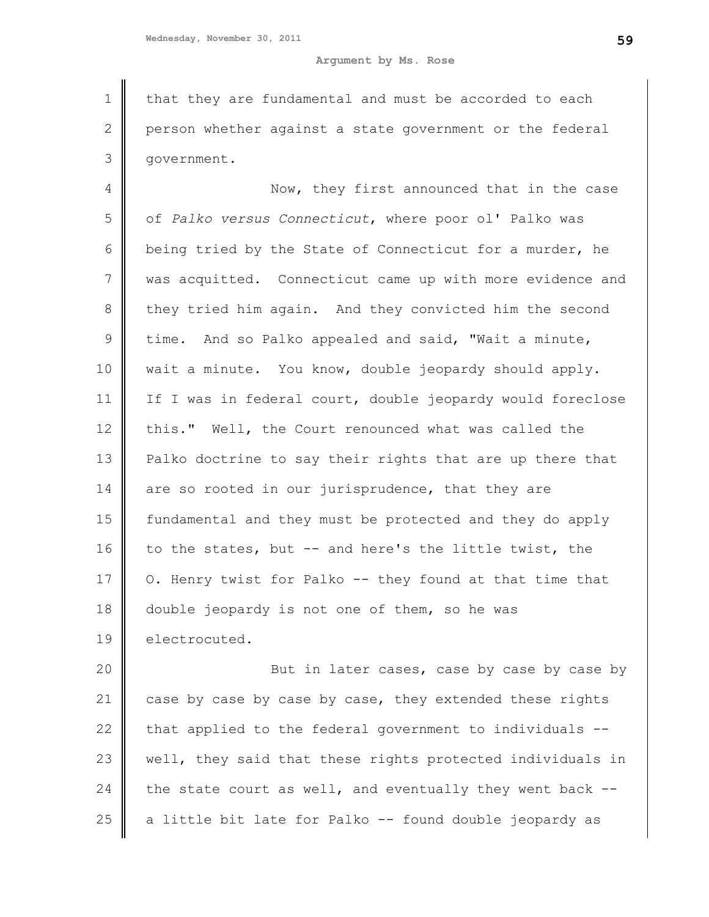1 2 3 that they are fundamental and must be accorded to each person whether against a state government or the federal government.

4 5 6 7 8 9 10 11 12 13 14 15 16 17 18 19 Now, they first announced that in the case of *Palko versus Connecticut*, where poor ol' Palko was being tried by the State of Connecticut for a murder, he was acquitted. Connecticut came up with more evidence and they tried him again. And they convicted him the second time. And so Palko appealed and said, "Wait a minute, wait a minute. You know, double jeopardy should apply. If I was in federal court, double jeopardy would foreclose this." Well, the Court renounced what was called the Palko doctrine to say their rights that are up there that are so rooted in our jurisprudence, that they are fundamental and they must be protected and they do apply to the states, but -- and here's the little twist, the O. Henry twist for Palko -- they found at that time that double jeopardy is not one of them, so he was electrocuted.

20 21 22 23 24 25 But in later cases, case by case by case by case by case by case by case, they extended these rights that applied to the federal government to individuals - well, they said that these rights protected individuals in the state court as well, and eventually they went back -a little bit late for Palko -- found double jeopardy as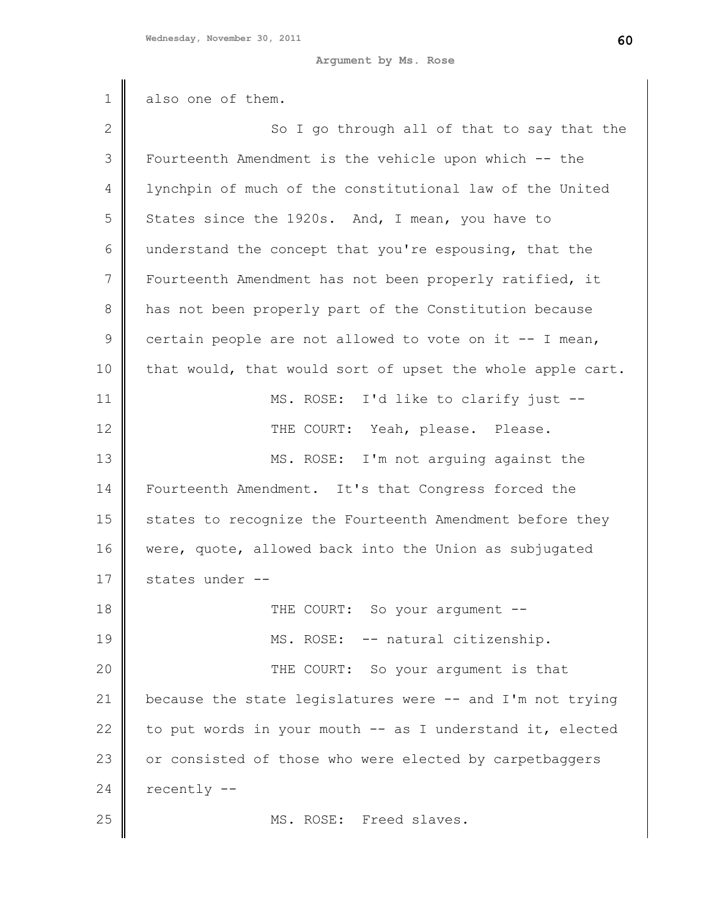| $\mathbf 1$    | also one of them.                                          |
|----------------|------------------------------------------------------------|
| $\sqrt{2}$     | So I go through all of that to say that the                |
| 3              | Fourteenth Amendment is the vehicle upon which -- the      |
| $\overline{4}$ | lynchpin of much of the constitutional law of the United   |
| 5              | States since the 1920s. And, I mean, you have to           |
| 6              | understand the concept that you're espousing, that the     |
| 7              | Fourteenth Amendment has not been properly ratified, it    |
| 8              | has not been properly part of the Constitution because     |
| $\mathsf 9$    | certain people are not allowed to vote on it -- I mean,    |
| 10             | that would, that would sort of upset the whole apple cart. |
| 11             | MS. ROSE: I'd like to clarify just --                      |
| 12             | THE COURT: Yeah, please. Please.                           |
| 13             | MS. ROSE: I'm not arguing against the                      |
| 14             | Fourteenth Amendment. It's that Congress forced the        |
| 15             | states to recognize the Fourteenth Amendment before they   |
| 16             | were, quote, allowed back into the Union as subjugated     |
| 17             | states under --                                            |
| 18             | THE COURT: So your argument --                             |
| 19             | MS. ROSE: -- natural citizenship.                          |
| 20             | THE COURT: So your argument is that                        |
| 21             | because the state legislatures were -- and I'm not trying  |
| 22             | to put words in your mouth -- as I understand it, elected  |
| 23             | or consisted of those who were elected by carpetbaggers    |
| 24             | recently --                                                |
| 25             | MS. ROSE: Freed slaves.                                    |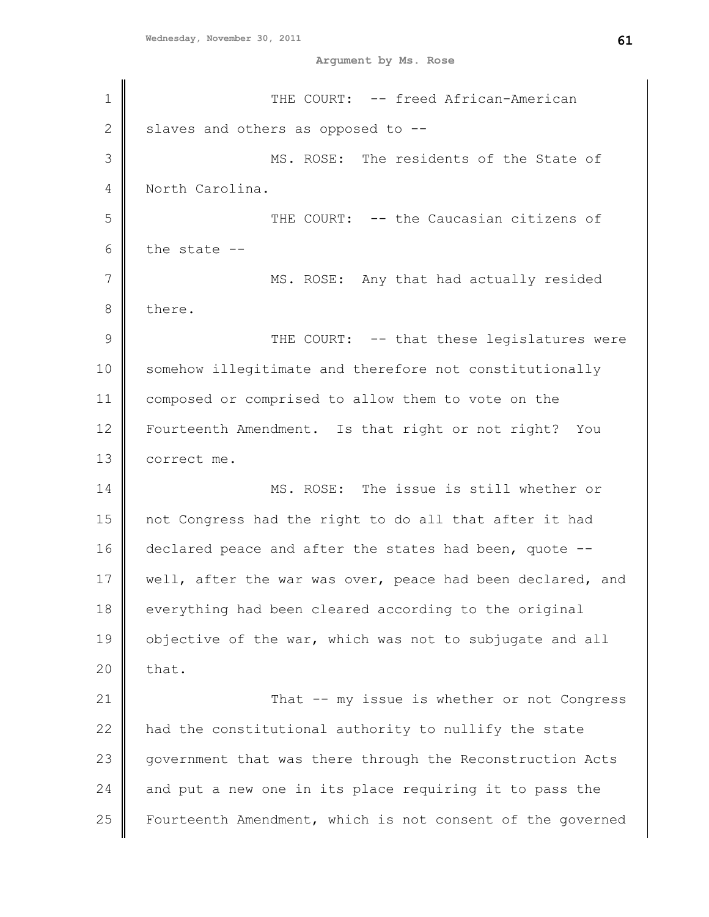| 1              | THE COURT: -- freed African-American                       |
|----------------|------------------------------------------------------------|
| $\overline{2}$ | slaves and others as opposed to --                         |
| 3              | MS. ROSE: The residents of the State of                    |
| 4              | North Carolina.                                            |
| 5              | THE COURT: -- the Caucasian citizens of                    |
| 6              | the state --                                               |
| 7              | MS. ROSE: Any that had actually resided                    |
| 8              | there.                                                     |
| 9              | THE COURT: -- that these legislatures were                 |
| 10             | somehow illegitimate and therefore not constitutionally    |
| 11             | composed or comprised to allow them to vote on the         |
| 12             | Fourteenth Amendment. Is that right or not right? You      |
| 13             | correct me.                                                |
| 14             | MS. ROSE: The issue is still whether or                    |
| 15             | not Congress had the right to do all that after it had     |
| 16             | declared peace and after the states had been, quote --     |
| 17             | well, after the war was over, peace had been declared, and |
| 18             | everything had been cleared according to the original      |
| 19             | objective of the war, which was not to subjugate and all   |
| 20             | that.                                                      |
| 21             | That -- my issue is whether or not Congress                |
| 22             | had the constitutional authority to nullify the state      |
| 23             | government that was there through the Reconstruction Acts  |
| 24             | and put a new one in its place requiring it to pass the    |
| 25             | Fourteenth Amendment, which is not consent of the governed |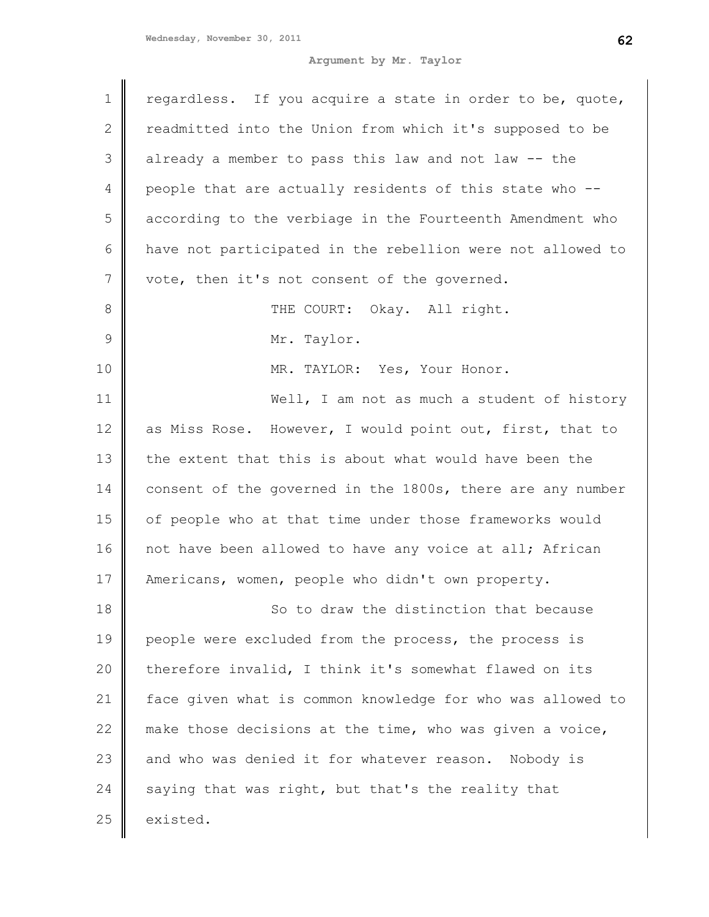**Argument by Mr. Taylor**

| $\mathbf 1$   | regardless. If you acquire a state in order to be, quote,  |
|---------------|------------------------------------------------------------|
| $\mathbf{2}$  | readmitted into the Union from which it's supposed to be   |
| 3             | already a member to pass this law and not law -- the       |
| 4             | people that are actually residents of this state who --    |
| 5             | according to the verbiage in the Fourteenth Amendment who  |
| 6             | have not participated in the rebellion were not allowed to |
| 7             | vote, then it's not consent of the governed.               |
| 8             | THE COURT: Okay. All right.                                |
| $\mathcal{G}$ | Mr. Taylor.                                                |
| 10            | MR. TAYLOR: Yes, Your Honor.                               |
| 11            | Well, I am not as much a student of history                |
| 12            | as Miss Rose. However, I would point out, first, that to   |
| 13            | the extent that this is about what would have been the     |
| 14            | consent of the governed in the 1800s, there are any number |
| 15            | of people who at that time under those frameworks would    |
| 16            | not have been allowed to have any voice at all; African    |
| 17            | Americans, women, people who didn't own property.          |
| 18            | So to draw the distinction that because                    |
| 19            | people were excluded from the process, the process is      |
| 20            | therefore invalid, I think it's somewhat flawed on its     |
| 21            | face given what is common knowledge for who was allowed to |
| 22            | make those decisions at the time, who was given a voice,   |
| 23            | and who was denied it for whatever reason. Nobody is       |
| 24            | saying that was right, but that's the reality that         |
| 25            | existed.                                                   |
|               |                                                            |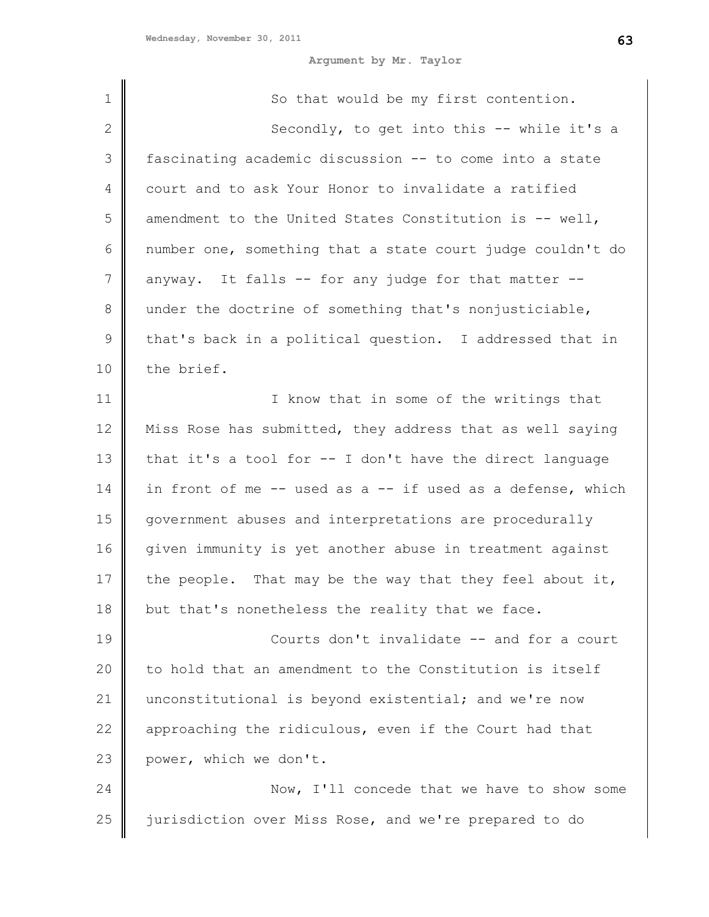**Argument by Mr. Taylor**

| $\mathbf 1$    | So that would be my first contention.                      |
|----------------|------------------------------------------------------------|
| $\mathbf{2}$   | Secondly, to get into this -- while it's a                 |
| 3              | fascinating academic discussion -- to come into a state    |
| 4              | court and to ask Your Honor to invalidate a ratified       |
|                |                                                            |
| 5              | amendment to the United States Constitution is $--$ well,  |
| 6              | number one, something that a state court judge couldn't do |
| $7\phantom{.}$ | anyway. It falls -- for any judge for that matter --       |
| 8              | under the doctrine of something that's nonjusticiable,     |
| $\mathsf 9$    | that's back in a political question. I addressed that in   |
| 10             | the brief.                                                 |
| 11             | I know that in some of the writings that                   |
| 12             | Miss Rose has submitted, they address that as well saying  |
| 13             | that it's a tool for -- I don't have the direct language   |
| 14             | in front of me -- used as a -- if used as a defense, which |
| 15             | government abuses and interpretations are procedurally     |
| 16             | given immunity is yet another abuse in treatment against   |
| 17             | the people. That may be the way that they feel about it,   |
| 18             | but that's nonetheless the reality that we face.           |
| 19             | Courts don't invalidate -- and for a court                 |
| 20             | to hold that an amendment to the Constitution is itself    |
| 21             | unconstitutional is beyond existential; and we're now      |
| 22             | approaching the ridiculous, even if the Court had that     |
| 23             | power, which we don't.                                     |
| 24             | Now, I'll concede that we have to show some                |
| 25             | jurisdiction over Miss Rose, and we're prepared to do      |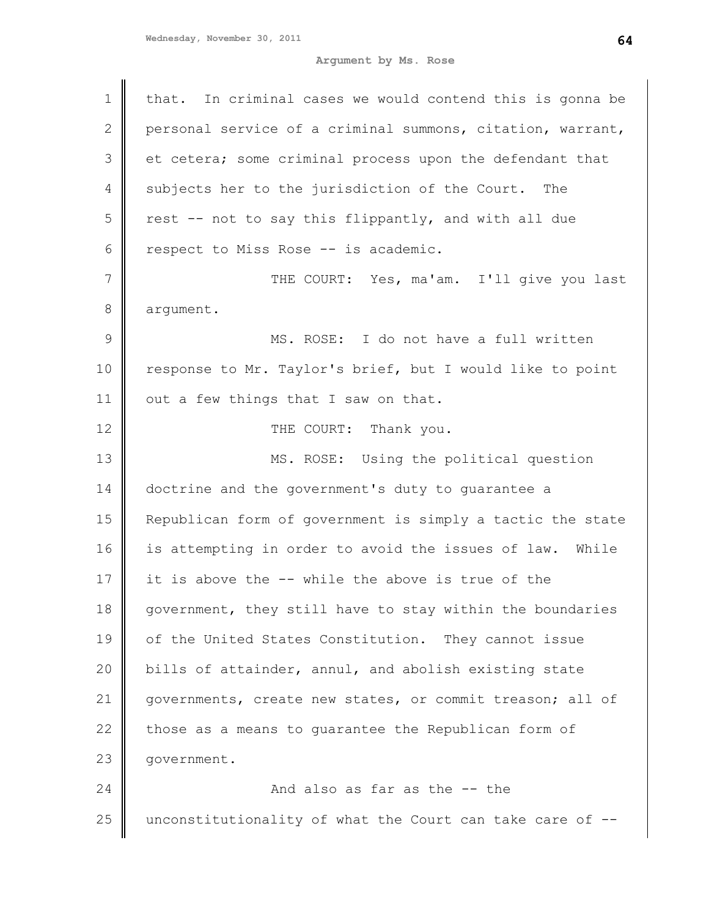| $\mathbf 1$    | that. In criminal cases we would contend this is gonna be   |
|----------------|-------------------------------------------------------------|
| $\mathbf{2}$   | personal service of a criminal summons, citation, warrant,  |
| 3              | et cetera; some criminal process upon the defendant that    |
| $\overline{4}$ | subjects her to the jurisdiction of the Court. The          |
| 5              | rest -- not to say this flippantly, and with all due        |
| 6              | respect to Miss Rose -- is academic.                        |
| 7              | THE COURT: Yes, ma'am. I'll give you last                   |
| 8              | argument.                                                   |
| $\mathcal{G}$  | MS. ROSE: I do not have a full written                      |
| 10             | response to Mr. Taylor's brief, but I would like to point   |
| 11             | out a few things that I saw on that.                        |
| 12             | THE COURT: Thank you.                                       |
| 13             | MS. ROSE: Using the political question                      |
| 14             | doctrine and the government's duty to guarantee a           |
| 15             | Republican form of government is simply a tactic the state  |
| 16             | is attempting in order to avoid the issues of law.<br>While |
| 17             | it is above the -- while the above is true of the           |
| 18             | government, they still have to stay within the boundaries   |
| 19             | of the United States Constitution. They cannot issue        |
| 20             | bills of attainder, annul, and abolish existing state       |
| 21             | governments, create new states, or commit treason; all of   |
| 22             | those as a means to quarantee the Republican form of        |
| 23             | government.                                                 |
| 24             | And also as far as the -- the                               |
| 25             | unconstitutionality of what the Court can take care of --   |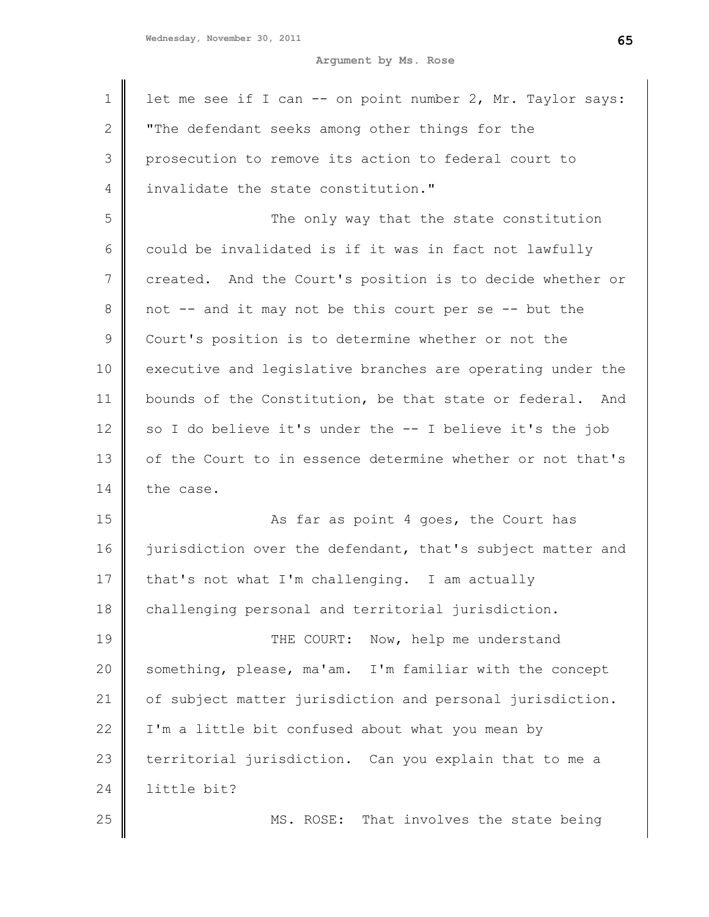| 1             | let me see if I can -- on point number 2, Mr. Taylor says: |
|---------------|------------------------------------------------------------|
| $\mathbf{2}$  | "The defendant seeks among other things for the            |
| 3             | prosecution to remove its action to federal court to       |
| 4             | invalidate the state constitution."                        |
| 5             | The only way that the state constitution                   |
| 6             | could be invalidated is if it was in fact not lawfully     |
| 7             | created. And the Court's position is to decide whether or  |
| 8             | not -- and it may not be this court per se -- but the      |
| $\mathcal{G}$ | Court's position is to determine whether or not the        |
| 10            | executive and legislative branches are operating under the |
| 11            | bounds of the Constitution, be that state or federal. And  |
| 12            | so I do believe it's under the -- I believe it's the job   |
| 13            | of the Court to in essence determine whether or not that's |
| 14            | the case.                                                  |
| 15            | As far as point 4 goes, the Court has                      |
| 16            | jurisdiction over the defendant, that's subject matter and |
| 17            | that's not what I'm challenging. I am actually             |
| 18            | challenging personal and territorial jurisdiction.         |
| 19            | THE COURT:<br>Now, help me understand                      |
| 20            | something, please, ma'am. I'm familiar with the concept    |
| 21            | of subject matter jurisdiction and personal jurisdiction.  |
| 22            | I'm a little bit confused about what you mean by           |
| 23            | territorial jurisdiction. Can you explain that to me a     |
| 24            | little bit?                                                |
| 25            | MS. ROSE: That involves the state being                    |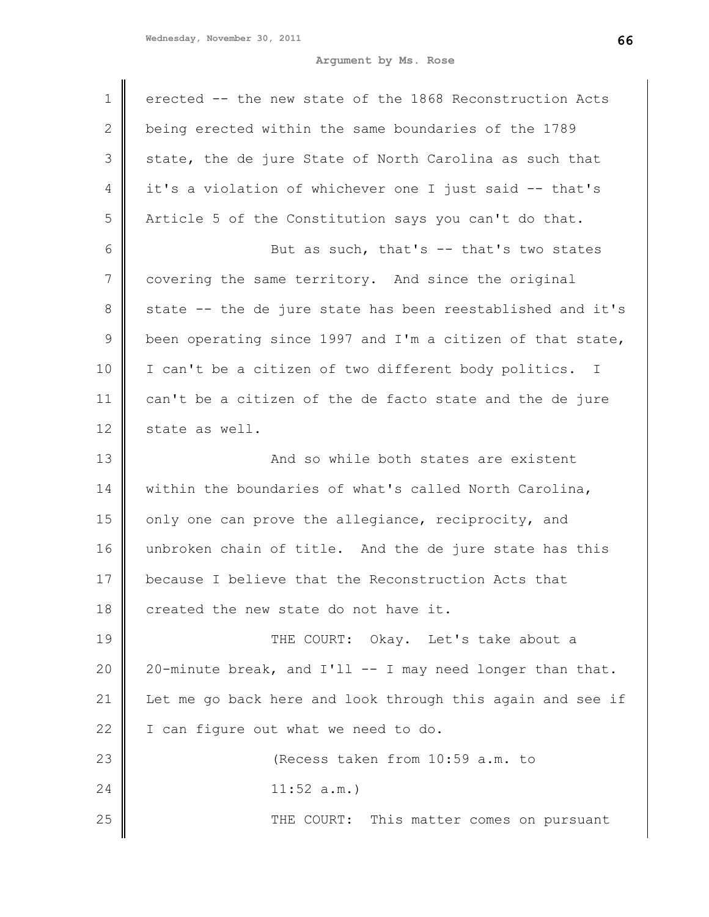| $\mathbf 1$  | erected -- the new state of the 1868 Reconstruction Acts   |
|--------------|------------------------------------------------------------|
| $\mathbf{2}$ | being erected within the same boundaries of the 1789       |
| 3            | state, the de jure State of North Carolina as such that    |
| 4            | it's a violation of whichever one I just said -- that's    |
| 5            | Article 5 of the Constitution says you can't do that.      |
| 6            | But as such, that's -- that's two states                   |
| 7            | covering the same territory. And since the original        |
| $8\,$        | state -- the de jure state has been reestablished and it's |
| $\mathsf 9$  | been operating since 1997 and I'm a citizen of that state, |
| 10           | I can't be a citizen of two different body politics. I     |
| 11           | can't be a citizen of the de facto state and the de jure   |
| 12           | state as well.                                             |
| 13           | And so while both states are existent                      |
| 14           | within the boundaries of what's called North Carolina,     |
| 15           | only one can prove the allegiance, reciprocity, and        |
| 16           | unbroken chain of title. And the de jure state has this    |
| 17           | because I believe that the Reconstruction Acts that        |
| 18           | created the new state do not have it.                      |
| 19           | THE COURT: Okay. Let's take about a                        |
| 20           | 20-minute break, and I'll -- I may need longer than that.  |
| 21           | Let me go back here and look through this again and see if |
| 22           | I can figure out what we need to do.                       |
| 23           | (Recess taken from 10:59 a.m. to                           |
| 24           | 11:52 a.m.                                                 |
| 25           | THE COURT: This matter comes on pursuant                   |
|              |                                                            |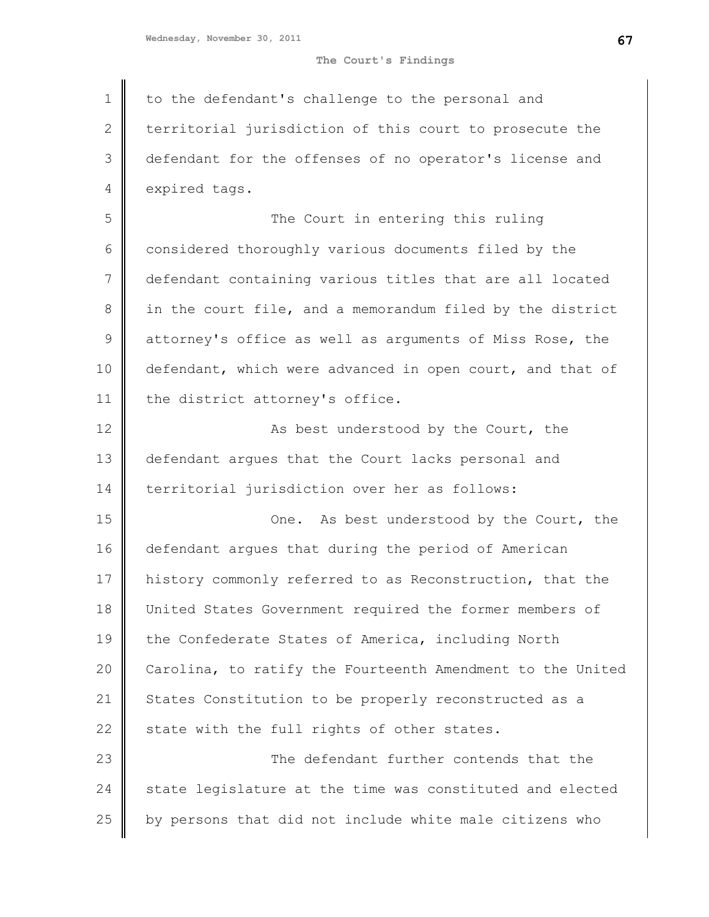## **The Court's Findings**

1 2 3 4 to the defendant's challenge to the personal and territorial jurisdiction of this court to prosecute the defendant for the offenses of no operator's license and expired tags.

5 6 7 8 9 10 11 The Court in entering this ruling considered thoroughly various documents filed by the defendant containing various titles that are all located in the court file, and a memorandum filed by the district attorney's office as well as arguments of Miss Rose, the defendant, which were advanced in open court, and that of the district attorney's office.

12 13 14 As best understood by the Court, the defendant argues that the Court lacks personal and territorial jurisdiction over her as follows:

15 16 17 18 19 20 21 22 One. As best understood by the Court, the defendant argues that during the period of American history commonly referred to as Reconstruction, that the United States Government required the former members of the Confederate States of America, including North Carolina, to ratify the Fourteenth Amendment to the United States Constitution to be properly reconstructed as a state with the full rights of other states.

23 24 25 The defendant further contends that the state legislature at the time was constituted and elected by persons that did not include white male citizens who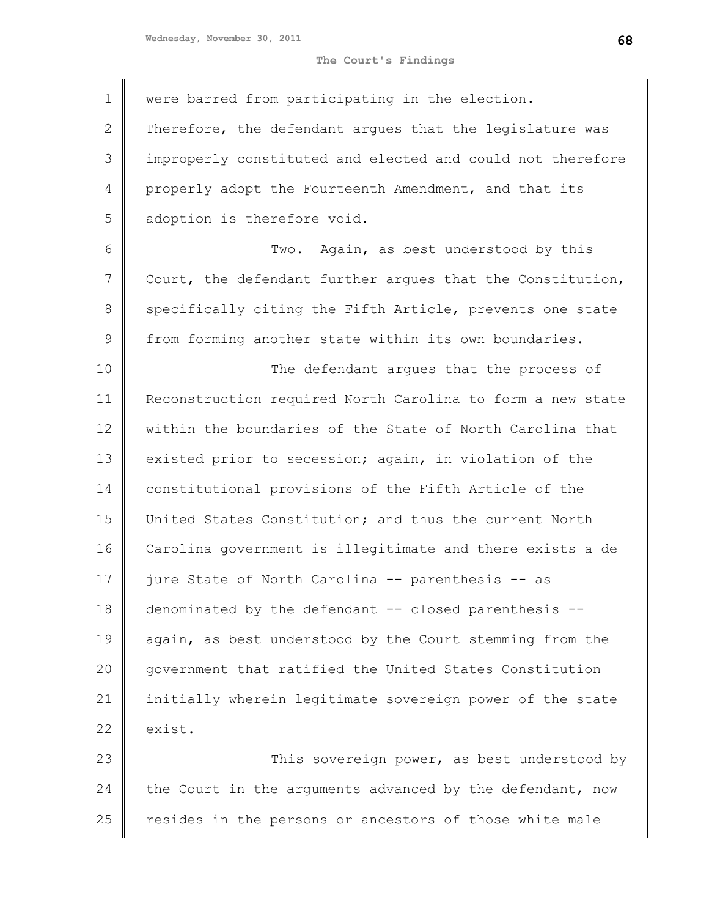**The Court's Findings**

| $\mathbf 1$     | were barred from participating in the election.            |
|-----------------|------------------------------------------------------------|
| 2               | Therefore, the defendant argues that the legislature was   |
| 3               | improperly constituted and elected and could not therefore |
| 4               | properly adopt the Fourteenth Amendment, and that its      |
| 5               | adoption is therefore void.                                |
| 6               | Two. Again, as best understood by this                     |
| $7\phantom{.0}$ | Court, the defendant further argues that the Constitution, |
| $\,8\,$         | specifically citing the Fifth Article, prevents one state  |
| $\mathsf 9$     | from forming another state within its own boundaries.      |
| 10              | The defendant argues that the process of                   |
| 11              | Reconstruction required North Carolina to form a new state |
| 12              | within the boundaries of the State of North Carolina that  |
| 13              | existed prior to secession; again, in violation of the     |
| 14              | constitutional provisions of the Fifth Article of the      |
| 15              | United States Constitution; and thus the current North     |
| 16              | Carolina government is illegitimate and there exists a de  |
| 17              | jure State of North Carolina -- parenthesis -- as          |
| 18              | denominated by the defendant -- closed parenthesis --      |
| 19              | again, as best understood by the Court stemming from the   |
| 20              | government that ratified the United States Constitution    |
| 21              | initially wherein legitimate sovereign power of the state  |
| 22              | exist.                                                     |
| 23              | This sovereign power, as best understood by                |
| 24              | the Court in the arguments advanced by the defendant, now  |
| 25              | resides in the persons or ancestors of those white male    |
|                 |                                                            |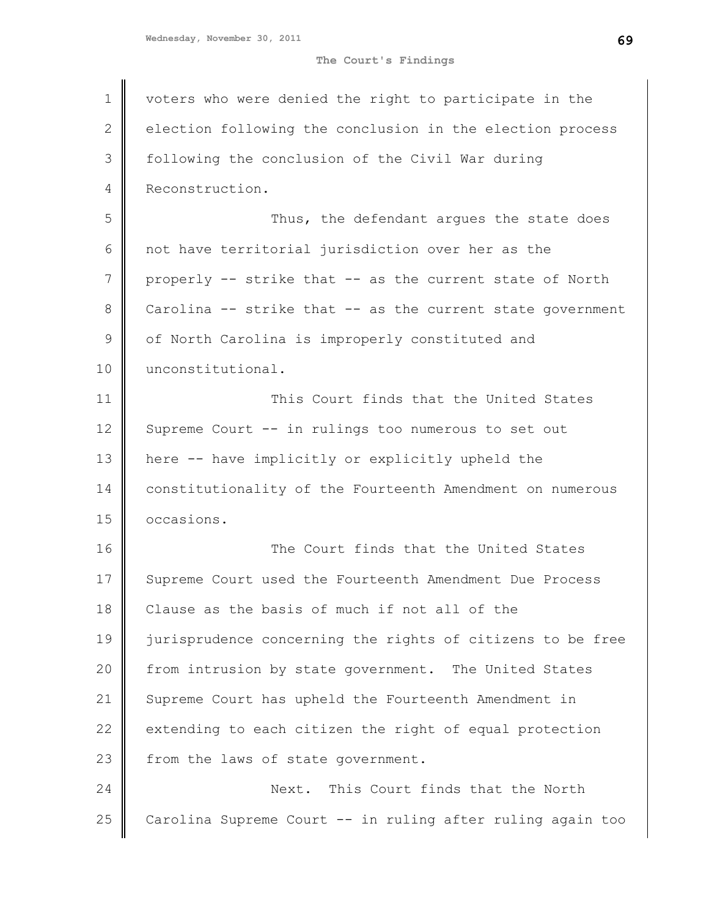**The Court's Findings**

| $\mathbf 1$    | voters who were denied the right to participate in the     |
|----------------|------------------------------------------------------------|
| $\mathbf{2}$   | election following the conclusion in the election process  |
| 3              | following the conclusion of the Civil War during           |
| $\overline{4}$ | Reconstruction.                                            |
| 5              | Thus, the defendant argues the state does                  |
| 6              | not have territorial jurisdiction over her as the          |
| 7              | properly -- strike that -- as the current state of North   |
| 8              | Carolina -- strike that -- as the current state government |
| $\mathcal{G}$  | of North Carolina is improperly constituted and            |
| 10             | unconstitutional.                                          |
| 11             | This Court finds that the United States                    |
| 12             | Supreme Court -- in rulings too numerous to set out        |
| 13             | here -- have implicitly or explicitly upheld the           |
| 14             | constitutionality of the Fourteenth Amendment on numerous  |
| 15             | occasions.                                                 |
| 16             | The Court finds that the United States                     |
| 17             | Supreme Court used the Fourteenth Amendment Due Process    |
| 18             | Clause as the basis of much if not all of the              |
| 19             | jurisprudence concerning the rights of citizens to be free |
| 20             | from intrusion by state government. The United States      |
| 21             | Supreme Court has upheld the Fourteenth Amendment in       |
| 22             | extending to each citizen the right of equal protection    |
| 23             | from the laws of state government.                         |
| 24             | Next. This Court finds that the North                      |
| 25             | Carolina Supreme Court -- in ruling after ruling again too |
|                |                                                            |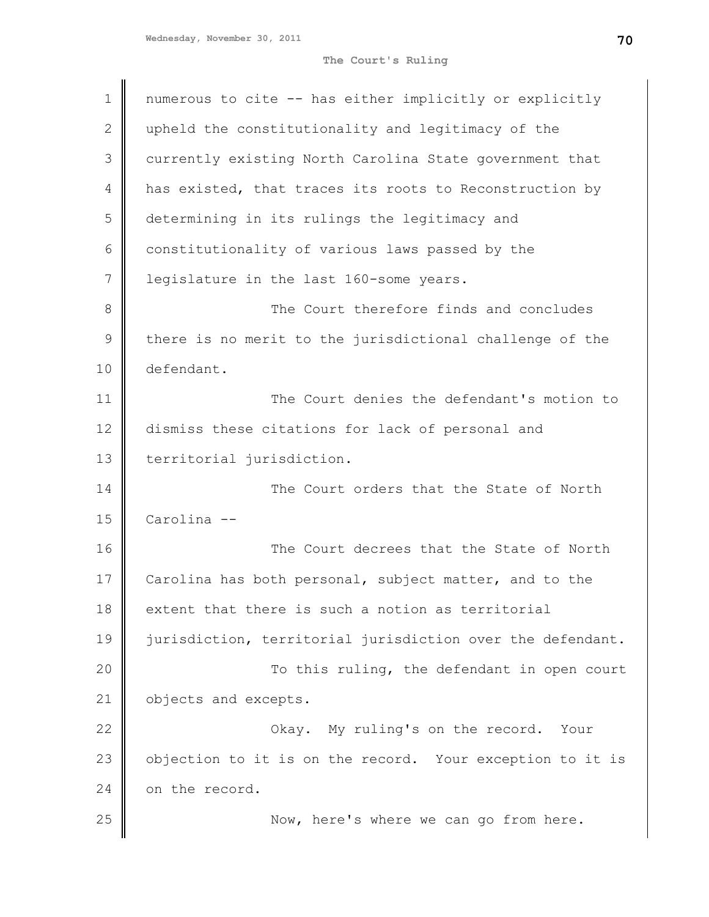**The Court's Ruling**

| 1            | numerous to cite -- has either implicitly or explicitly    |
|--------------|------------------------------------------------------------|
| $\mathbf{2}$ | upheld the constitutionality and legitimacy of the         |
| 3            | currently existing North Carolina State government that    |
| 4            | has existed, that traces its roots to Reconstruction by    |
| 5            | determining in its rulings the legitimacy and              |
| 6            | constitutionality of various laws passed by the            |
| 7            | legislature in the last 160-some years.                    |
| 8            | The Court therefore finds and concludes                    |
| 9            | there is no merit to the jurisdictional challenge of the   |
| 10           | defendant.                                                 |
| 11           | The Court denies the defendant's motion to                 |
| 12           | dismiss these citations for lack of personal and           |
| 13           | territorial jurisdiction.                                  |
| 14           | The Court orders that the State of North                   |
| 15           | Carolina --                                                |
| 16           | The Court decrees that the State of North                  |
| 17           | Carolina has both personal, subject matter, and to the     |
| 18           | extent that there is such a notion as territorial          |
| 19           | jurisdiction, territorial jurisdiction over the defendant. |
| 20           | To this ruling, the defendant in open court                |
| 21           | objects and excepts.                                       |
| 22           | Okay. My ruling's on the record. Your                      |
| 23           | objection to it is on the record. Your exception to it is  |
| 24           | on the record.                                             |
| 25           | Now, here's where we can go from here.                     |
|              |                                                            |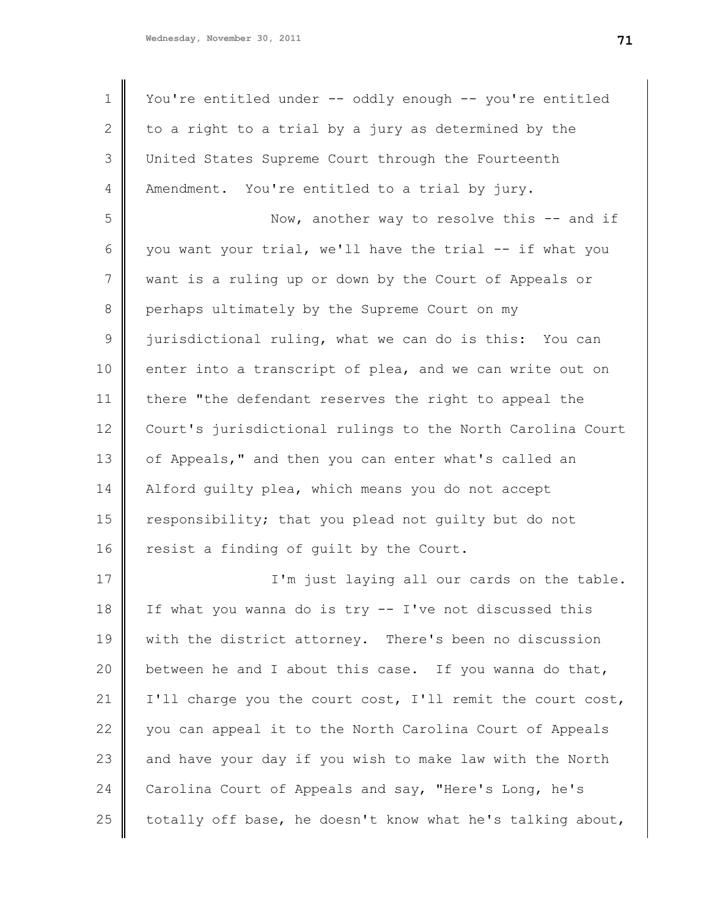22

23

24

25

| $\mathbf 1$ | You're entitled under -- oddly enough -- you're entitled   |
|-------------|------------------------------------------------------------|
| 2           | to a right to a trial by a jury as determined by the       |
| 3           | United States Supreme Court through the Fourteenth         |
| 4           | Amendment. You're entitled to a trial by jury.             |
| 5           | Now, another way to resolve this -- and if                 |
|             |                                                            |
| 6           | you want your trial, we'll have the trial -- if what you   |
| 7           | want is a ruling up or down by the Court of Appeals or     |
| 8           | perhaps ultimately by the Supreme Court on my              |
| $\mathsf 9$ | jurisdictional ruling, what we can do is this: You can     |
| 10          | enter into a transcript of plea, and we can write out on   |
| 11          | there "the defendant reserves the right to appeal the      |
| 12          | Court's jurisdictional rulings to the North Carolina Court |
| 13          | of Appeals," and then you can enter what's called an       |
| 14          | Alford quilty plea, which means you do not accept          |
| 15          | responsibility; that you plead not quilty but do not       |
| 16          | resist a finding of guilt by the Court.                    |
| 17          | I'm just laying all our cards on the table.                |
| 18          | If what you wanna do is try -- I've not discussed this     |
| 19          | with the district attorney. There's been no discussion     |
| 20          | between he and I about this case. If you wanna do that,    |
| 21          | I'll charge you the court cost, I'll remit the court cost, |

you can appeal it to the North Carolina Court of Appeals

and have your day if you wish to make law with the North

totally off base, he doesn't know what he's talking about,

Carolina Court of Appeals and say, "Here's Long, he's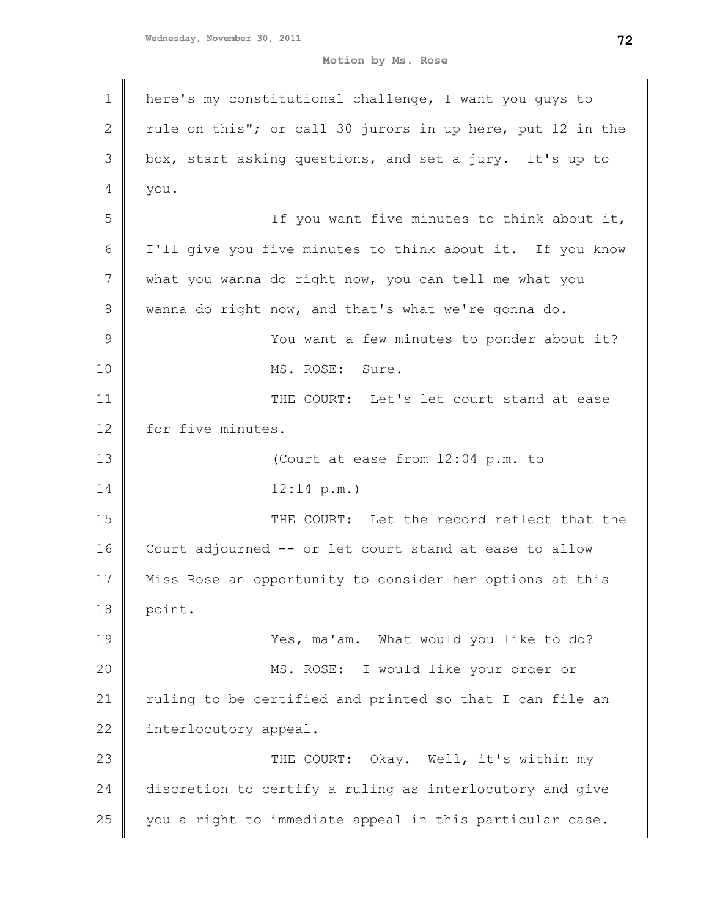**Motion by Ms. Rose**

| $\mathbf 1$     | here's my constitutional challenge, I want you guys to     |
|-----------------|------------------------------------------------------------|
| $\mathbf{2}$    | rule on this"; or call 30 jurors in up here, put 12 in the |
| 3               | box, start asking questions, and set a jury. It's up to    |
| 4               | you.                                                       |
| 5               | If you want five minutes to think about it,                |
| 6               | I'll give you five minutes to think about it. If you know  |
| $7\phantom{.0}$ | what you wanna do right now, you can tell me what you      |
| $8\,$           | wanna do right now, and that's what we're gonna do.        |
| $\mathcal{G}$   | You want a few minutes to ponder about it?                 |
| 10              | MS. ROSE: Sure.                                            |
| 11              | THE COURT: Let's let court stand at ease                   |
| 12              | for five minutes.                                          |
| 13              | (Court at ease from 12:04 p.m. to                          |
| 14              | 12:14 p.m.                                                 |
| 15              | THE COURT: Let the record reflect that the                 |
| 16              | Court adjourned -- or let court stand at ease to allow     |
| 17              | Miss Rose an opportunity to consider her options at this   |
| 18              | point.                                                     |
| 19              | Yes, ma'am. What would you like to do?                     |
| 20              | MS. ROSE: I would like your order or                       |
| 21              | ruling to be certified and printed so that I can file an   |
| 22              | interlocutory appeal.                                      |
| 23              | THE COURT: Okay. Well, it's within my                      |
| 24              | discretion to certify a ruling as interlocutory and give   |
| 25              | you a right to immediate appeal in this particular case.   |
|                 |                                                            |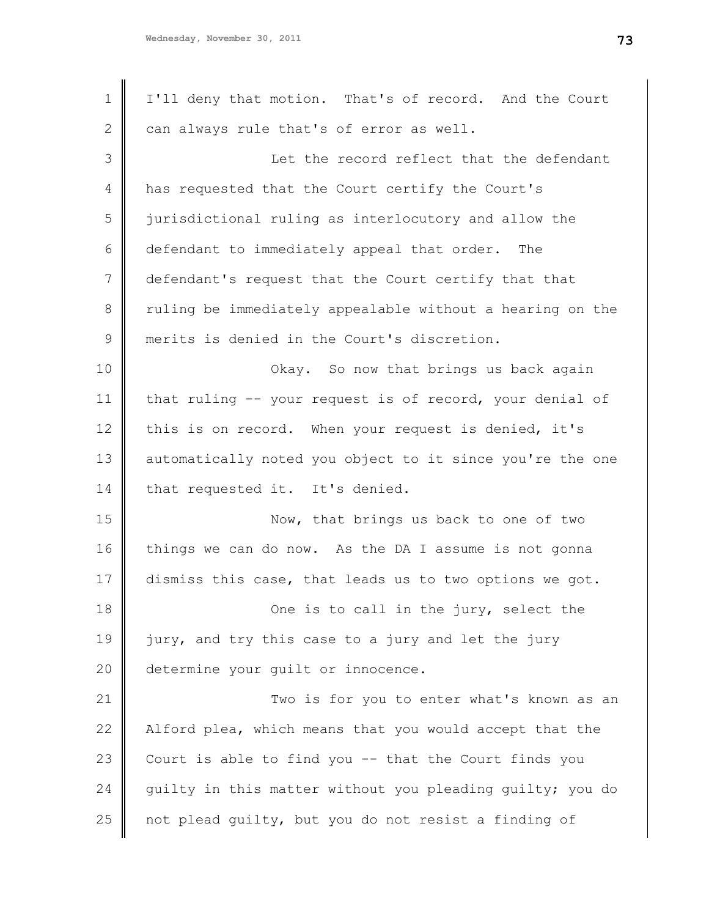| $\mathbf 1$ | I'll deny that motion. That's of record. And the Court    |
|-------------|-----------------------------------------------------------|
| 2           | can always rule that's of error as well.                  |
| 3           | Let the record reflect that the defendant                 |
| 4           | has requested that the Court certify the Court's          |
| 5           | jurisdictional ruling as interlocutory and allow the      |
| 6           | defendant to immediately appeal that order. The           |
| 7           | defendant's request that the Court certify that that      |
| 8           | ruling be immediately appealable without a hearing on the |
| $\mathsf 9$ | merits is denied in the Court's discretion.               |
| 10          | Okay. So now that brings us back again                    |
| 11          | that ruling -- your request is of record, your denial of  |
| 12          | this is on record. When your request is denied, it's      |
| 13          | automatically noted you object to it since you're the one |
| 14          | that requested it. It's denied.                           |
| 15          | Now, that brings us back to one of two                    |
| 16          | things we can do now. As the DA I assume is not gonna     |
| 17          | dismiss this case, that leads us to two options we got.   |
| 18          | One is to call in the jury, select the                    |
| 19          | jury, and try this case to a jury and let the jury        |
| 20          | determine your guilt or innocence.                        |
| 21          | Two is for you to enter what's known as an                |
| 22          | Alford plea, which means that you would accept that the   |
| 23          | Court is able to find you -- that the Court finds you     |
| 24          | guilty in this matter without you pleading guilty; you do |
| 25          | not plead quilty, but you do not resist a finding of      |
|             |                                                           |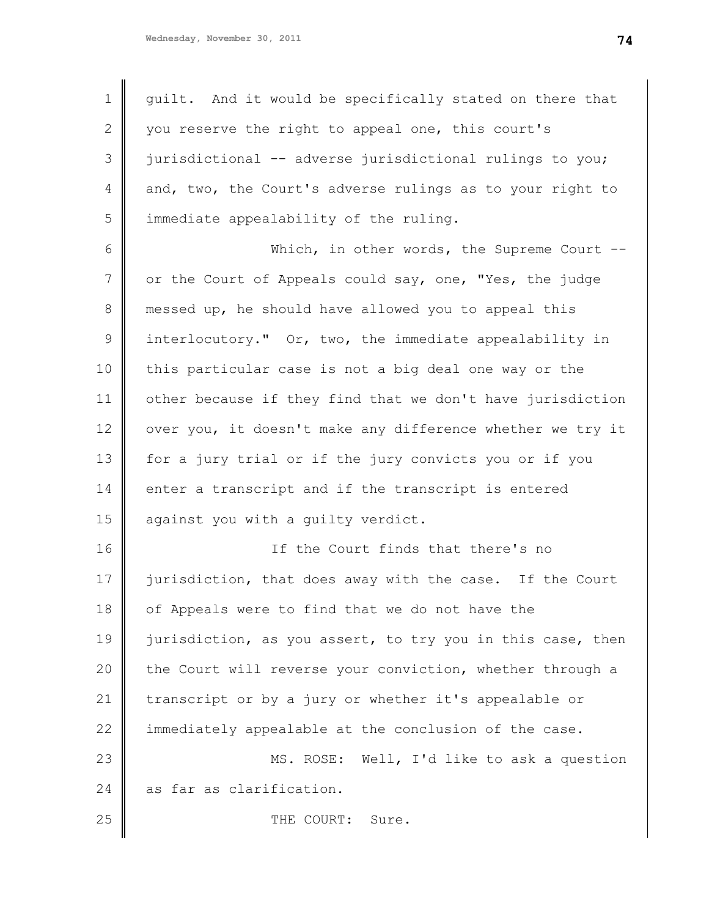| 1               | guilt. And it would be specifically stated on there that   |
|-----------------|------------------------------------------------------------|
| 2               | you reserve the right to appeal one, this court's          |
| 3               | jurisdictional -- adverse jurisdictional rulings to you;   |
| 4               | and, two, the Court's adverse rulings as to your right to  |
| 5               | immediate appealability of the ruling.                     |
| 6               | Which, in other words, the Supreme Court $-$ -             |
| $7\phantom{.0}$ | or the Court of Appeals could say, one, "Yes, the judge    |
| 8               | messed up, he should have allowed you to appeal this       |
| 9               | interlocutory." Or, two, the immediate appealability in    |
| 10              | this particular case is not a big deal one way or the      |
| 11              | other because if they find that we don't have jurisdiction |
| 12              | over you, it doesn't make any difference whether we try it |
| 13              | for a jury trial or if the jury convicts you or if you     |
| 14              | enter a transcript and if the transcript is entered        |
| 15              | against you with a guilty verdict.                         |
| 16              | If the Court finds that there's no                         |
| 17              | jurisdiction, that does away with the case. If the Court   |
| 18              | of Appeals were to find that we do not have the            |
| 19              | jurisdiction, as you assert, to try you in this case, then |
| 20              | the Court will reverse your conviction, whether through a  |
| 21              | transcript or by a jury or whether it's appealable or      |
| 22              | immediately appealable at the conclusion of the case.      |
| 23              | Well, I'd like to ask a question<br>MS. ROSE:              |
| 24              | as far as clarification.                                   |
| 25              | THE COURT:<br>Sure.                                        |
|                 |                                                            |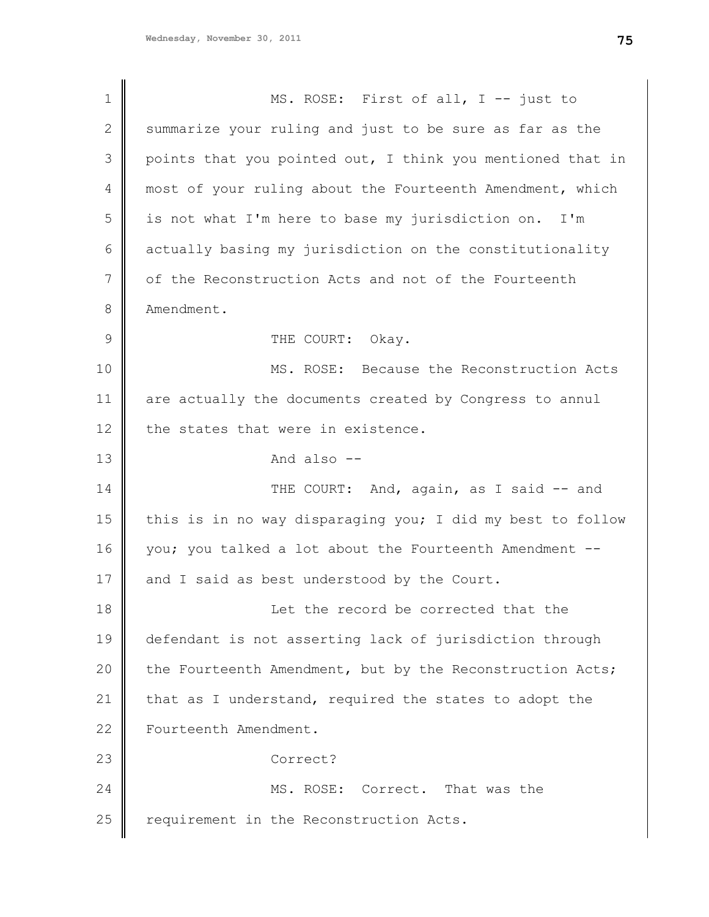| $\mathbf 1$   | MS. ROSE: First of all, I -- just to                       |
|---------------|------------------------------------------------------------|
| $\mathbf{2}$  | summarize your ruling and just to be sure as far as the    |
| 3             | points that you pointed out, I think you mentioned that in |
| 4             | most of your ruling about the Fourteenth Amendment, which  |
| 5             | is not what I'm here to base my jurisdiction on. I'm       |
| 6             | actually basing my jurisdiction on the constitutionality   |
| 7             | of the Reconstruction Acts and not of the Fourteenth       |
| 8             | Amendment.                                                 |
| $\mathcal{G}$ | THE COURT: Okay.                                           |
| 10            | MS. ROSE: Because the Reconstruction Acts                  |
| 11            | are actually the documents created by Congress to annul    |
| 12            | the states that were in existence.                         |
| 13            | And also --                                                |
| 14            | THE COURT: And, again, as I said -- and                    |
| 15            | this is in no way disparaging you; I did my best to follow |
| 16            | you; you talked a lot about the Fourteenth Amendment --    |
| 17            | and I said as best understood by the Court.                |
| 18            | Let the record be corrected that the                       |
| 19            | defendant is not asserting lack of jurisdiction through    |
| 20            | the Fourteenth Amendment, but by the Reconstruction Acts;  |
| 21            | that as I understand, required the states to adopt the     |
| 22            | Fourteenth Amendment.                                      |
| 23            | Correct?                                                   |
| 24            | MS. ROSE: Correct. That was the                            |
| 25            | requirement in the Reconstruction Acts.                    |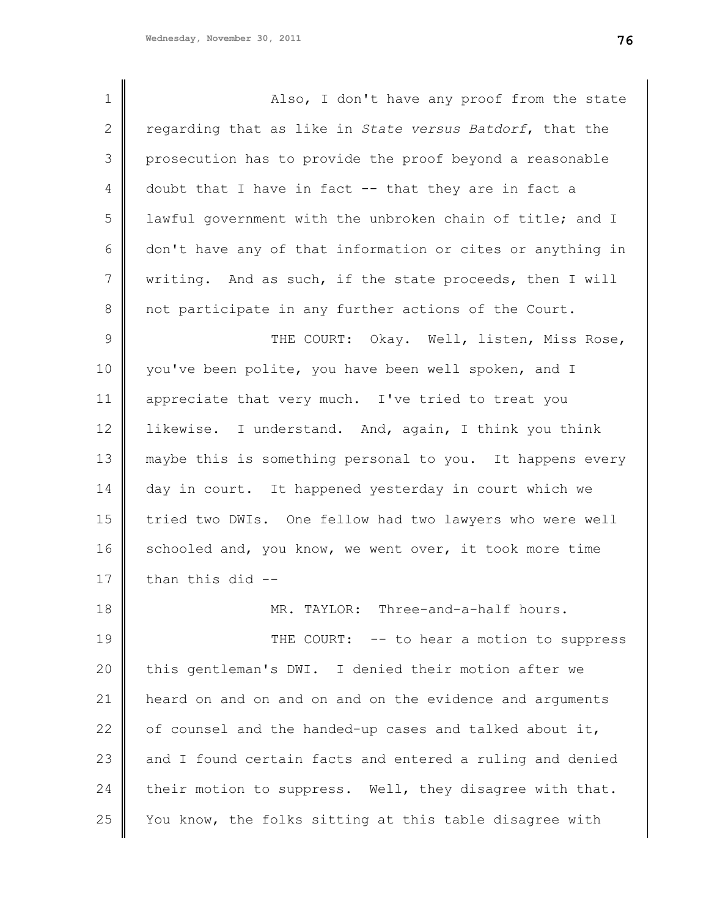1 2 3 4 5 6 7 8 9 10 11 12 13 14 15 16 17 18 19 Also, I don't have any proof from the state regarding that as like in *State versus Batdorf*, that the prosecution has to provide the proof beyond a reasonable doubt that I have in fact -- that they are in fact a lawful government with the unbroken chain of title; and I don't have any of that information or cites or anything in writing. And as such, if the state proceeds, then I will not participate in any further actions of the Court. THE COURT: Okay. Well, listen, Miss Rose, you've been polite, you have been well spoken, and I appreciate that very much. I've tried to treat you likewise. I understand. And, again, I think you think maybe this is something personal to you. It happens every day in court. It happened yesterday in court which we tried two DWIs. One fellow had two lawyers who were well schooled and, you know, we went over, it took more time than this did -- MR. TAYLOR: Three-and-a-half hours. THE COURT: -- to hear a motion to suppress

20 21 22 23 24 25 this gentleman's DWI. I denied their motion after we heard on and on and on and on the evidence and arguments of counsel and the handed-up cases and talked about it, and I found certain facts and entered a ruling and denied their motion to suppress. Well, they disagree with that. You know, the folks sitting at this table disagree with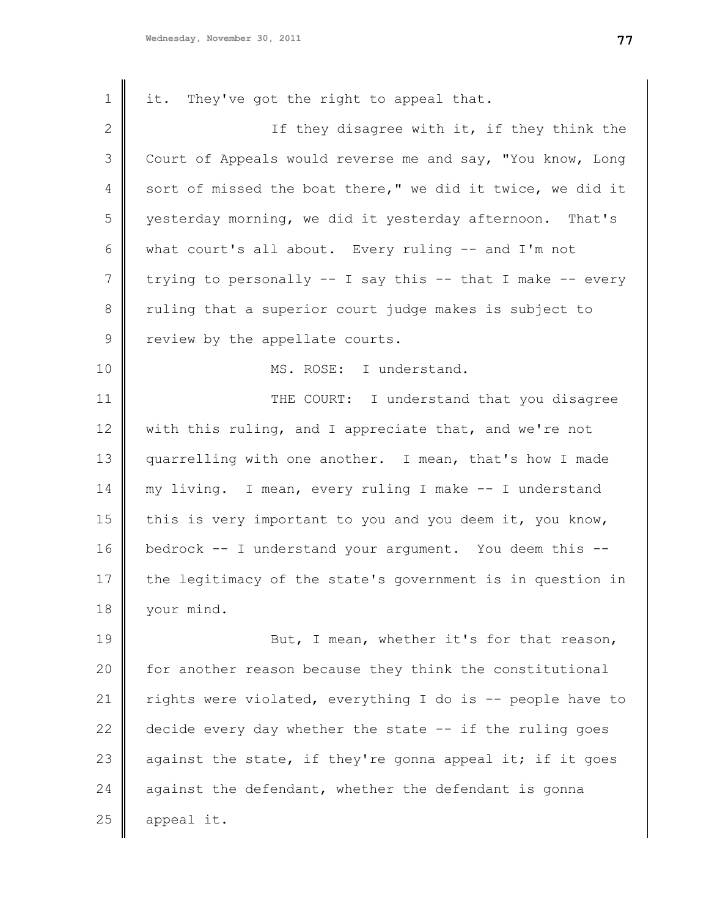| 1            | it. They've got the right to appeal that.                  |
|--------------|------------------------------------------------------------|
| $\mathbf{2}$ | If they disagree with it, if they think the                |
| 3            | Court of Appeals would reverse me and say, "You know, Long |
| 4            | sort of missed the boat there," we did it twice, we did it |
| 5            | yesterday morning, we did it yesterday afternoon. That's   |
| 6            | what court's all about. Every ruling -- and I'm not        |
| 7            | trying to personally -- I say this -- that I make -- every |
| 8            | ruling that a superior court judge makes is subject to     |
| 9            | review by the appellate courts.                            |
| 10           | MS. ROSE: I understand.                                    |
| 11           | THE COURT: I understand that you disagree                  |
| 12           | with this ruling, and I appreciate that, and we're not     |
| 13           | quarrelling with one another. I mean, that's how I made    |
| 14           | my living. I mean, every ruling I make -- I understand     |
| 15           | this is very important to you and you deem it, you know,   |
| 16           | bedrock -- I understand your argument. You deem this --    |
| 17           | the legitimacy of the state's government is in question in |
| 18           | your mind.                                                 |
| 19           | But, I mean, whether it's for that reason,                 |
| 20           | for another reason because they think the constitutional   |
| 21           | rights were violated, everything I do is -- people have to |
| 22           | decide every day whether the state -- if the ruling goes   |
| 23           | against the state, if they're gonna appeal it; if it goes  |
| 24           | against the defendant, whether the defendant is gonna      |
| 25           | appeal it.                                                 |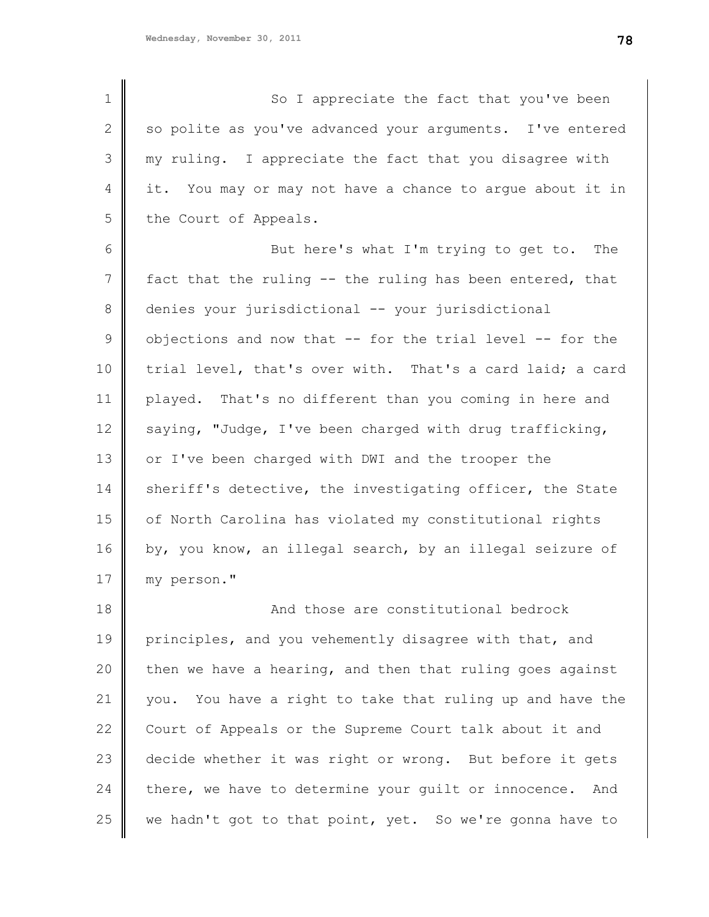1 2 3 4 5 6 7 8 9 10 11 12 13 14 15 16 17 18 So I appreciate the fact that you've been so polite as you've advanced your arguments. I've entered my ruling. I appreciate the fact that you disagree with it. You may or may not have a chance to argue about it in the Court of Appeals. But here's what I'm trying to get to. The fact that the ruling -- the ruling has been entered, that denies your jurisdictional -- your jurisdictional objections and now that -- for the trial level -- for the trial level, that's over with. That's a card laid; a card played. That's no different than you coming in here and saying, "Judge, I've been charged with drug trafficking, or I've been charged with DWI and the trooper the sheriff's detective, the investigating officer, the State of North Carolina has violated my constitutional rights by, you know, an illegal search, by an illegal seizure of my person." And those are constitutional bedrock

19 20 21 22 23 24 25 principles, and you vehemently disagree with that, and then we have a hearing, and then that ruling goes against you. You have a right to take that ruling up and have the Court of Appeals or the Supreme Court talk about it and decide whether it was right or wrong. But before it gets there, we have to determine your guilt or innocence. And we hadn't got to that point, yet. So we're gonna have to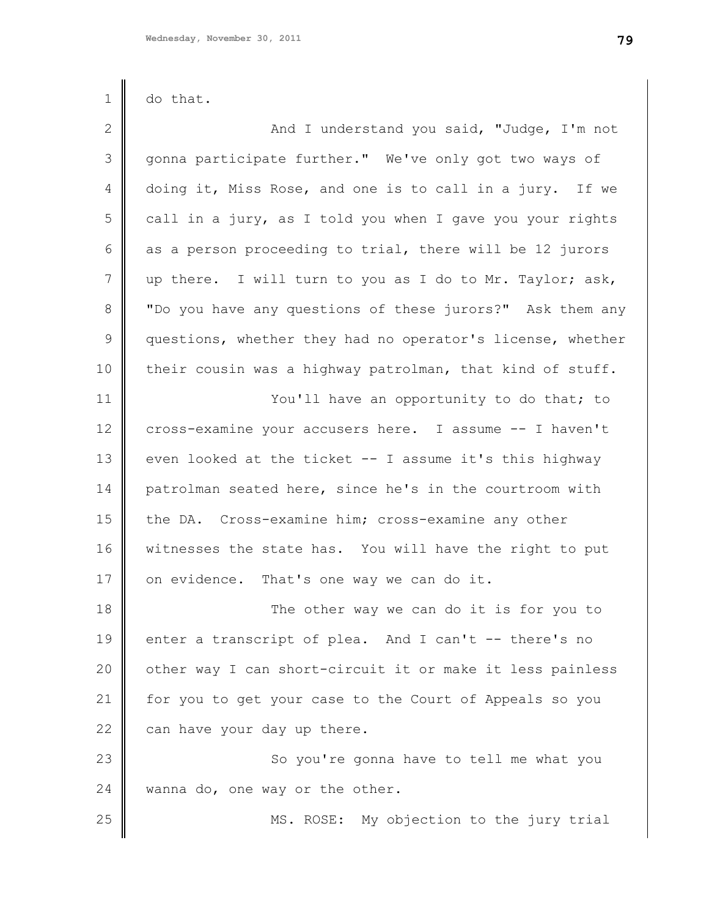1

2

3

4

5

6

7

8

9

10

11

12

13

25

| do that.                                                   |
|------------------------------------------------------------|
| And I understand you said, "Judge, I'm not                 |
| gonna participate further." We've only got two ways of     |
| doing it, Miss Rose, and one is to call in a jury. If we   |
| call in a jury, as I told you when I gave you your rights  |
| as a person proceeding to trial, there will be 12 jurors   |
| up there. I will turn to you as I do to Mr. Taylor; ask,   |
| "Do you have any questions of these jurors?" Ask them any  |
| questions, whether they had no operator's license, whether |
| their cousin was a highway patrolman, that kind of stuff.  |
| You'll have an opportunity to do that; to                  |
| cross-examine your accusers here. I assume -- I haven't    |
| even looked at the ticket -- I assume it's this highway    |
|                                                            |

14 15 16 17 patrolman seated here, since he's in the courtroom with the DA. Cross-examine him; cross-examine any other witnesses the state has. You will have the right to put on evidence. That's one way we can do it.

18 19 20 21 22 The other way we can do it is for you to enter a transcript of plea. And I can't -- there's no other way I can short-circuit it or make it less painless for you to get your case to the Court of Appeals so you can have your day up there.

23 24 So you're gonna have to tell me what you wanna do, one way or the other.

MS. ROSE: My objection to the jury trial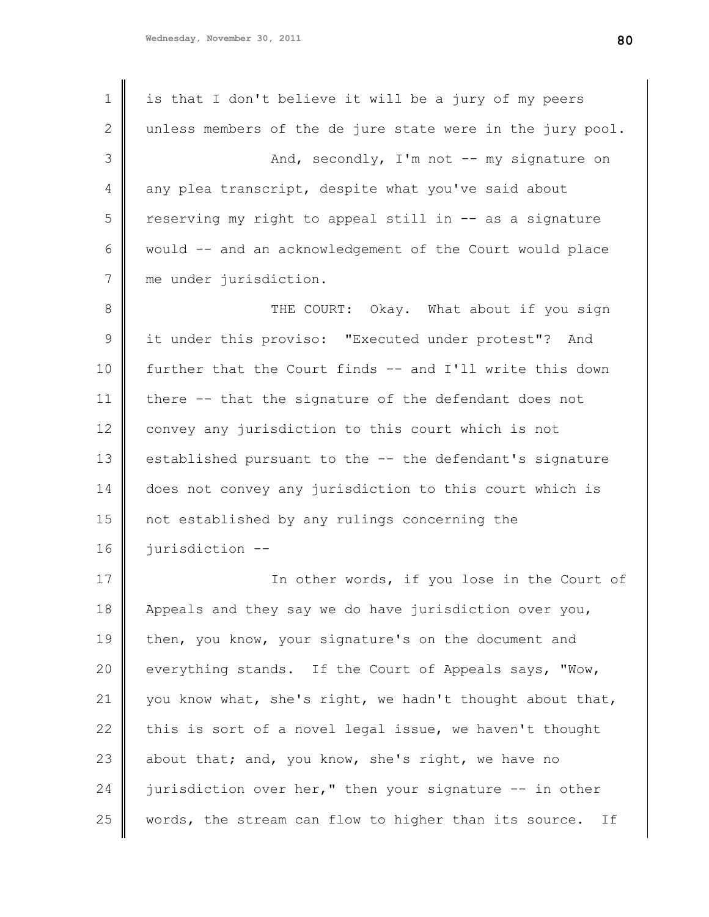| $\mathbf 1$ | is that I don't believe it will be a jury of my peers       |
|-------------|-------------------------------------------------------------|
| 2           | unless members of the de jure state were in the jury pool.  |
| 3           | And, secondly, I'm not -- my signature on                   |
| 4           | any plea transcript, despite what you've said about         |
| 5           | reserving my right to appeal still in -- as a signature     |
| 6           | would -- and an acknowledgement of the Court would place    |
| 7           | me under jurisdiction.                                      |
| 8           | THE COURT: Okay. What about if you sign                     |
| 9           | it under this proviso: "Executed under protest"? And        |
| 10          | further that the Court finds -- and I'll write this down    |
| 11          | there -- that the signature of the defendant does not       |
| 12          | convey any jurisdiction to this court which is not          |
| 13          | established pursuant to the -- the defendant's signature    |
| 14          | does not convey any jurisdiction to this court which is     |
| 15          | not established by any rulings concerning the               |
| 16          | jurisdiction --                                             |
| 17          | In other words, if you lose in the Court of                 |
| 18          | Appeals and they say we do have jurisdiction over you,      |
| 19          | then, you know, your signature's on the document and        |
| 20          | everything stands. If the Court of Appeals says, "Wow,      |
| 21          | you know what, she's right, we hadn't thought about that,   |
| 22          | this is sort of a novel legal issue, we haven't thought     |
| 23          | about that; and, you know, she's right, we have no          |
| 24          | jurisdiction over her," then your signature -- in other     |
| 25          | words, the stream can flow to higher than its source.<br>If |
|             |                                                             |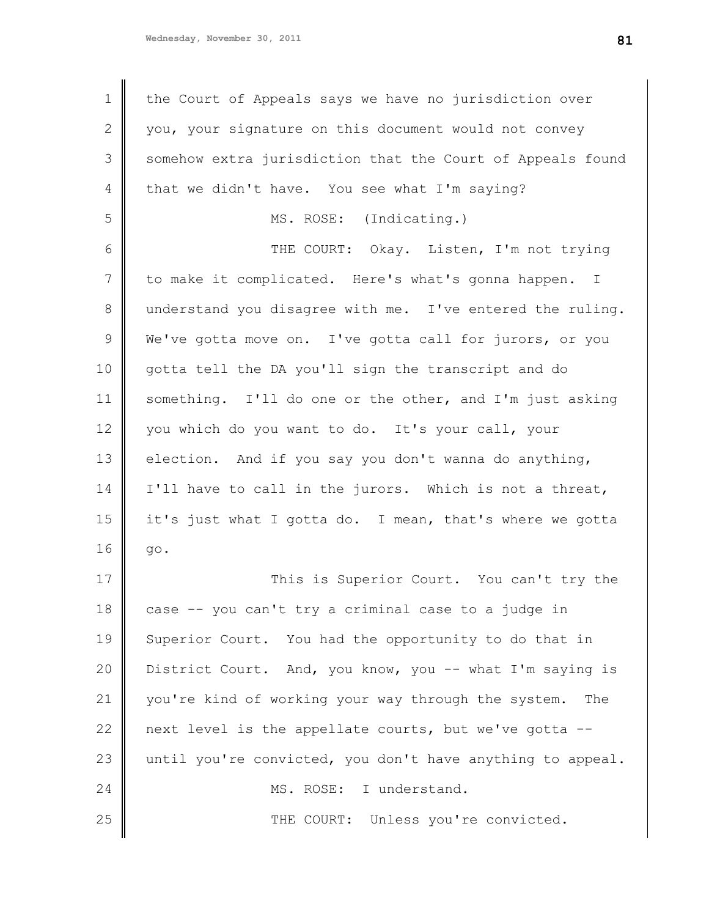1 2 3 4 5 6 7 8 9 10 11 12 13 14 15 16 17 18 19 20 21 22 23 24 25 the Court of Appeals says we have no jurisdiction over you, your signature on this document would not convey somehow extra jurisdiction that the Court of Appeals found that we didn't have. You see what I'm saying? MS. ROSE: (Indicating.) THE COURT: Okay. Listen, I'm not trying to make it complicated. Here's what's gonna happen. I understand you disagree with me. I've entered the ruling. We've gotta move on. I've gotta call for jurors, or you gotta tell the DA you'll sign the transcript and do something. I'll do one or the other, and I'm just asking you which do you want to do. It's your call, your election. And if you say you don't wanna do anything, I'll have to call in the jurors. Which is not a threat, it's just what I gotta do. I mean, that's where we gotta go. This is Superior Court. You can't try the case -- you can't try a criminal case to a judge in Superior Court. You had the opportunity to do that in District Court. And, you know, you -- what I'm saying is you're kind of working your way through the system. The next level is the appellate courts, but we've gotta - until you're convicted, you don't have anything to appeal. MS. ROSE: I understand. THE COURT: Unless you're convicted.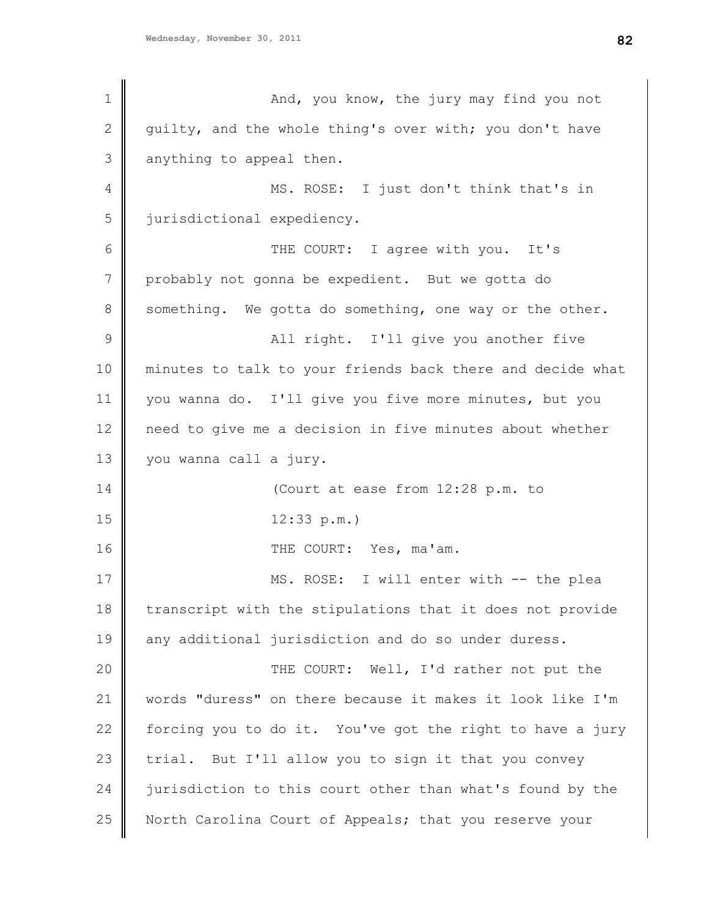1 2 3 4 5 6 7 8 9 10 11 12 13 14 15 16 17 18 19 20 21 22 23 24 25 And, you know, the jury may find you not guilty, and the whole thing's over with; you don't have anything to appeal then. MS. ROSE: I just don't think that's in jurisdictional expediency. THE COURT: I agree with you. It's probably not gonna be expedient. But we gotta do something. We gotta do something, one way or the other. All right. I'll give you another five minutes to talk to your friends back there and decide what you wanna do. I'll give you five more minutes, but you need to give me a decision in five minutes about whether you wanna call a jury. (Court at ease from 12:28 p.m. to 12:33 p.m.) THE COURT: Yes, ma'am. MS. ROSE: I will enter with -- the plea transcript with the stipulations that it does not provide any additional jurisdiction and do so under duress. THE COURT: Well, I'd rather not put the words "duress" on there because it makes it look like I'm forcing you to do it. You've got the right to have a jury trial. But I'll allow you to sign it that you convey jurisdiction to this court other than what's found by the North Carolina Court of Appeals; that you reserve your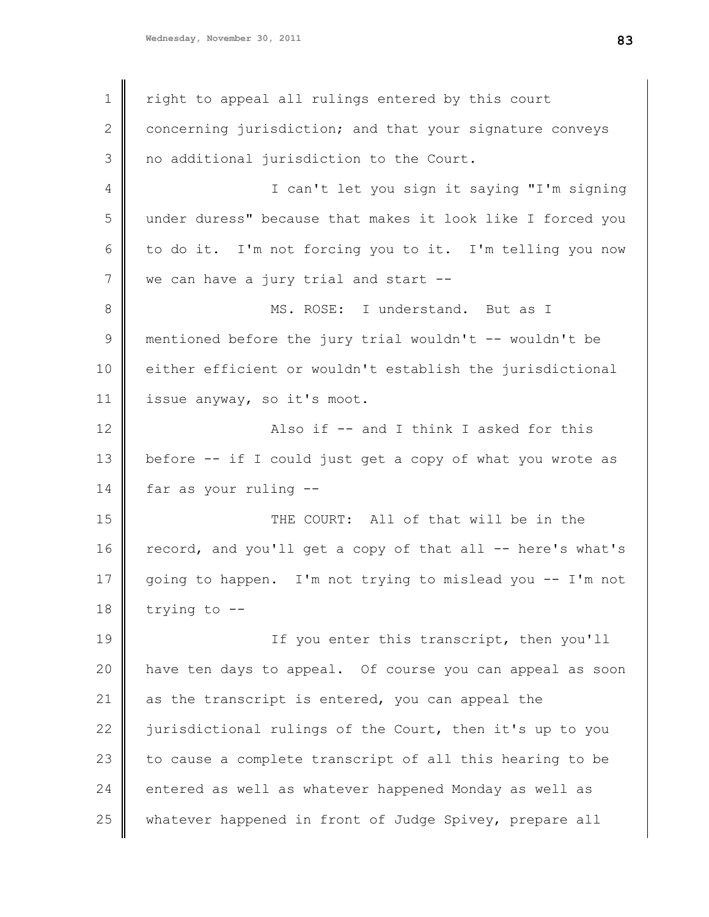1 2 3 4 5 6 7 8 9 10 11 12 13 14 15 16 17 18 19 20 21 22 23 24 25 right to appeal all rulings entered by this court concerning jurisdiction; and that your signature conveys no additional jurisdiction to the Court. I can't let you sign it saying "I'm signing under duress" because that makes it look like I forced you to do it. I'm not forcing you to it. I'm telling you now we can have a jury trial and start --MS. ROSE: I understand. But as I mentioned before the jury trial wouldn't -- wouldn't be either efficient or wouldn't establish the jurisdictional issue anyway, so it's moot. Also if -- and I think I asked for this before -- if I could just get a copy of what you wrote as far as your ruling -- THE COURT: All of that will be in the record, and you'll get a copy of that all -- here's what's going to happen. I'm not trying to mislead you -- I'm not trying to -- If you enter this transcript, then you'll have ten days to appeal. Of course you can appeal as soon as the transcript is entered, you can appeal the jurisdictional rulings of the Court, then it's up to you to cause a complete transcript of all this hearing to be entered as well as whatever happened Monday as well as whatever happened in front of Judge Spivey, prepare all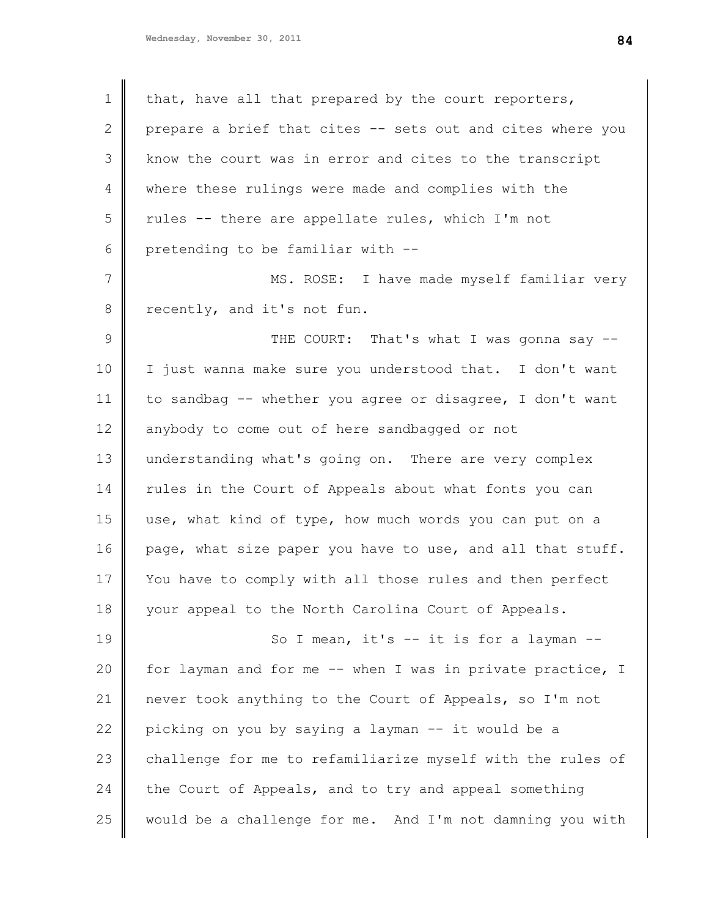| $\mathbf 1$    | that, have all that prepared by the court reporters,       |
|----------------|------------------------------------------------------------|
| $\mathbf{2}$   | prepare a brief that cites -- sets out and cites where you |
| 3              | know the court was in error and cites to the transcript    |
| 4              | where these rulings were made and complies with the        |
| 5              | rules -- there are appellate rules, which I'm not          |
| 6              | pretending to be familiar with --                          |
| $7\phantom{.}$ | MS. ROSE: I have made myself familiar very                 |
| 8              | recently, and it's not fun.                                |
| $\mathcal{G}$  | THE COURT: That's what I was gonna say --                  |
| 10             | I just wanna make sure you understood that. I don't want   |
| 11             | to sandbag -- whether you agree or disagree, I don't want  |
| 12             | anybody to come out of here sandbagged or not              |
| 13             | understanding what's going on. There are very complex      |
| 14             | rules in the Court of Appeals about what fonts you can     |
| 15             | use, what kind of type, how much words you can put on a    |
| 16             | page, what size paper you have to use, and all that stuff. |
| 17             | You have to comply with all those rules and then perfect   |
| 18             | your appeal to the North Carolina Court of Appeals.        |
| 19             | So I mean, it's -- it is for a layman --                   |
| 20             | for layman and for me -- when I was in private practice, I |
| 21             | never took anything to the Court of Appeals, so I'm not    |
| 22             | picking on you by saying a layman -- it would be a         |
| 23             | challenge for me to refamiliarize myself with the rules of |
| 24             | the Court of Appeals, and to try and appeal something      |
| 25             | would be a challenge for me. And I'm not damning you with  |
|                |                                                            |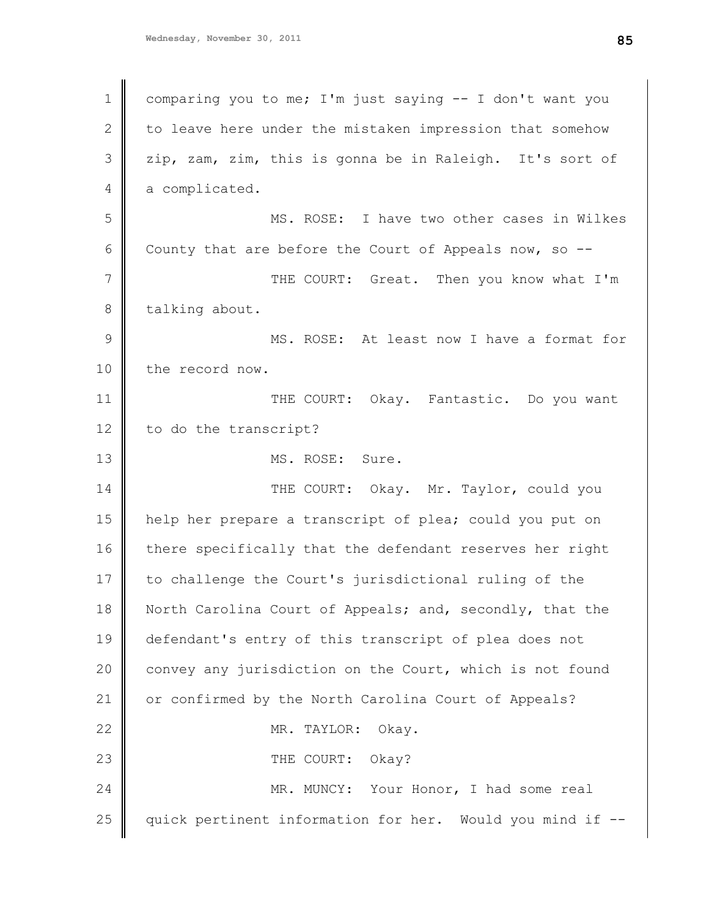| 1             | comparing you to me; I'm just saying -- I don't want you  |
|---------------|-----------------------------------------------------------|
| $\mathbf{2}$  | to leave here under the mistaken impression that somehow  |
| 3             | zip, zam, zim, this is gonna be in Raleigh. It's sort of  |
| 4             | a complicated.                                            |
| 5             | MS. ROSE: I have two other cases in Wilkes                |
| 6             | County that are before the Court of Appeals now, so --    |
| 7             | THE COURT: Great. Then you know what I'm                  |
| 8             | talking about.                                            |
| $\mathcal{G}$ | MS. ROSE: At least now I have a format for                |
| 10            | the record now.                                           |
| 11            | THE COURT: Okay. Fantastic. Do you want                   |
| 12            | to do the transcript?                                     |
| 13            | MS. ROSE: Sure.                                           |
| 14            | THE COURT: Okay. Mr. Taylor, could you                    |
| 15            | help her prepare a transcript of plea; could you put on   |
| 16            | there specifically that the defendant reserves her right  |
| 17            | to challenge the Court's jurisdictional ruling of the     |
| 18            | North Carolina Court of Appeals; and, secondly, that the  |
| 19            | defendant's entry of this transcript of plea does not     |
| 20            | convey any jurisdiction on the Court, which is not found  |
| 21            | or confirmed by the North Carolina Court of Appeals?      |
| 22            | MR. TAYLOR:<br>Okay.                                      |
| 23            | THE COURT: Okay?                                          |
| 24            | MR. MUNCY: Your Honor, I had some real                    |
| 25            | quick pertinent information for her. Would you mind if -- |
|               |                                                           |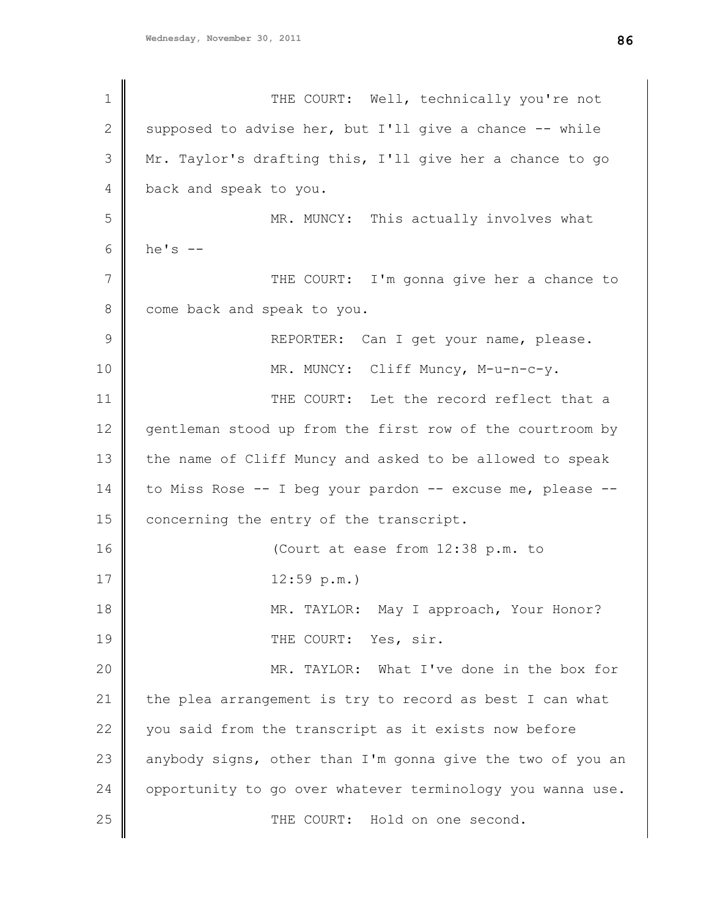1 2 3 4 5 6 7 8 9 10 11 12 13 14 15 16 17 18 19 20 21 22 23 24 25 THE COURT: Well, technically you're not supposed to advise her, but I'll give a chance -- while Mr. Taylor's drafting this, I'll give her a chance to go back and speak to you. MR. MUNCY: This actually involves what he's  $--$ THE COURT: I'm gonna give her a chance to come back and speak to you. REPORTER: Can I get your name, please. MR. MUNCY: Cliff Muncy, M-u-n-c-y. THE COURT: Let the record reflect that a gentleman stood up from the first row of the courtroom by the name of Cliff Muncy and asked to be allowed to speak to Miss Rose -- I beg your pardon -- excuse me, please -concerning the entry of the transcript. (Court at ease from 12:38 p.m. to 12:59 p.m.) MR. TAYLOR: May I approach, Your Honor? THE COURT: Yes, sir. MR. TAYLOR: What I've done in the box for the plea arrangement is try to record as best I can what you said from the transcript as it exists now before anybody signs, other than I'm gonna give the two of you an opportunity to go over whatever terminology you wanna use. THE COURT: Hold on one second.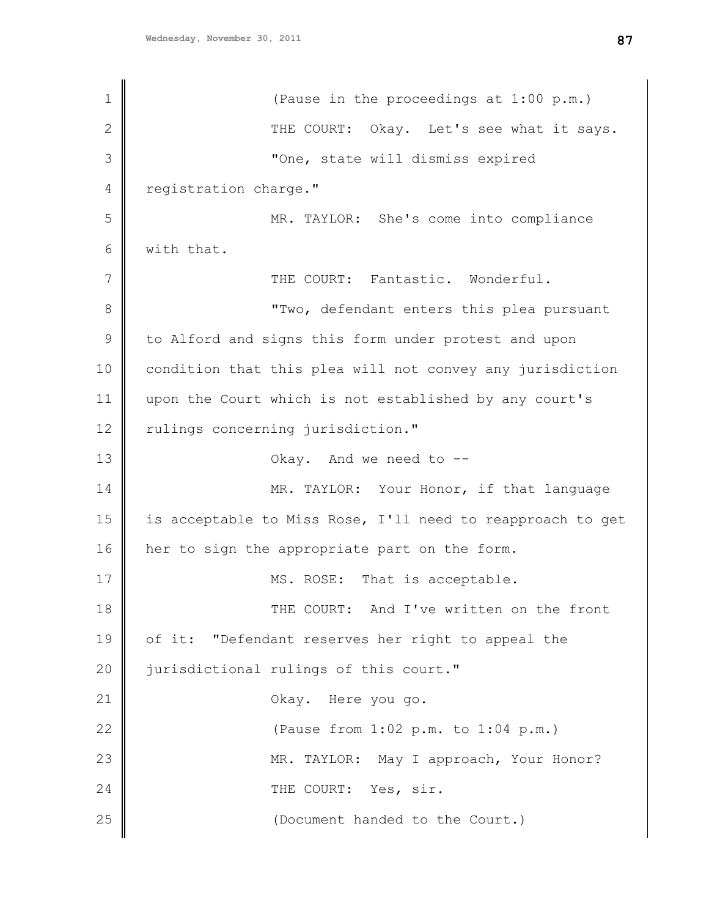1 2 3 4 5 6 7 8 9 10 11 12 13 14 15 16 17 18 19 20 21 22 23 24 25 (Pause in the proceedings at 1:00 p.m.) THE COURT: Okay. Let's see what it says. "One, state will dismiss expired registration charge." MR. TAYLOR: She's come into compliance with that. THE COURT: Fantastic. Wonderful. "Two, defendant enters this plea pursuant to Alford and signs this form under protest and upon condition that this plea will not convey any jurisdiction upon the Court which is not established by any court's rulings concerning jurisdiction." Okay. And we need to -- MR. TAYLOR: Your Honor, if that language is acceptable to Miss Rose, I'll need to reapproach to get her to sign the appropriate part on the form. MS. ROSE: That is acceptable. THE COURT: And I've written on the front of it: "Defendant reserves her right to appeal the jurisdictional rulings of this court." Okay. Here you go. (Pause from 1:02 p.m. to 1:04 p.m.) MR. TAYLOR: May I approach, Your Honor? THE COURT: Yes, sir. (Document handed to the Court.)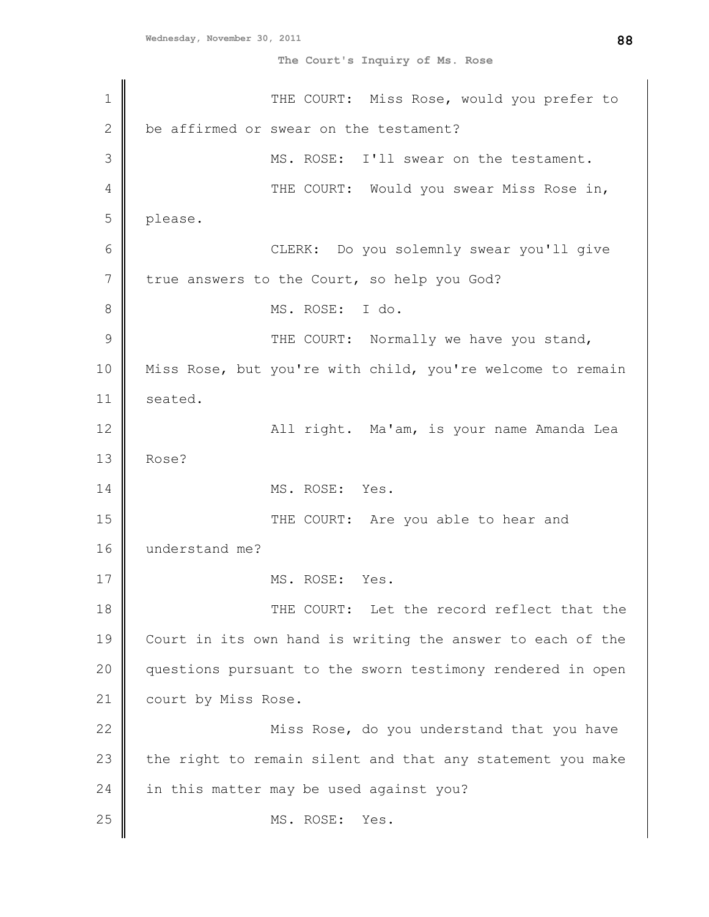**The Court's Inquiry of Ms. Rose**

1 2 3 4 5 6 7 8 9 10 11 12 13 14 15 16 17 18 19 20 21 22 23 24 25 THE COURT: Miss Rose, would you prefer to be affirmed or swear on the testament? MS. ROSE: I'll swear on the testament. THE COURT: Would you swear Miss Rose in, please. CLERK: Do you solemnly swear you'll give true answers to the Court, so help you God? MS. ROSE: I do. THE COURT: Normally we have you stand, Miss Rose, but you're with child, you're welcome to remain seated. All right. Ma'am, is your name Amanda Lea Rose? MS. ROSE: Yes. THE COURT: Are you able to hear and understand me? MS. ROSE: Yes. THE COURT: Let the record reflect that the Court in its own hand is writing the answer to each of the questions pursuant to the sworn testimony rendered in open court by Miss Rose. Miss Rose, do you understand that you have the right to remain silent and that any statement you make in this matter may be used against you? MS. ROSE: Yes.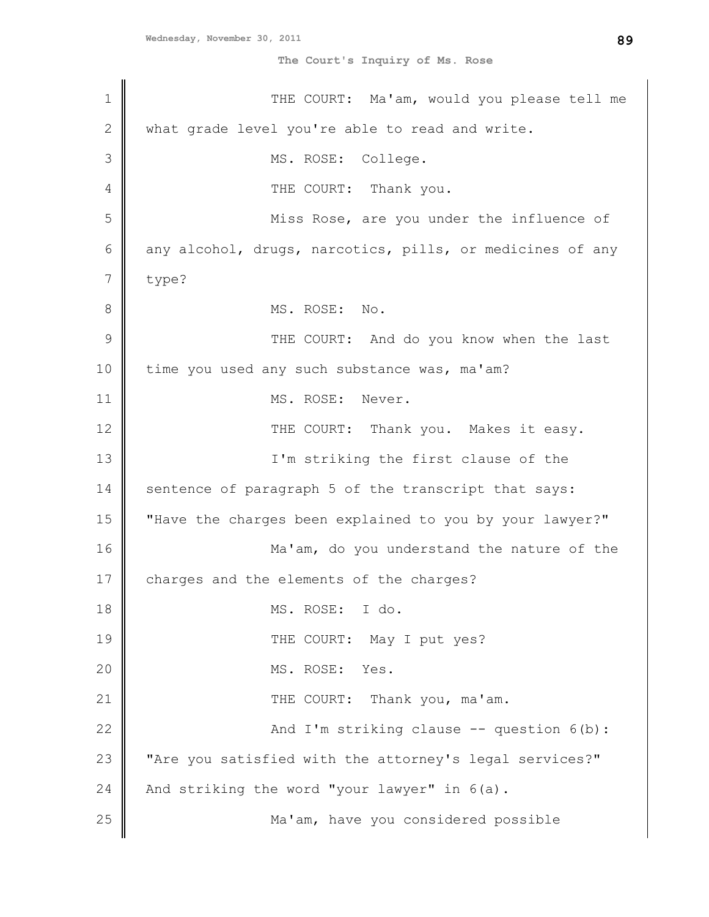**The Court's Inquiry of Ms. Rose**

| $\mathbf 1$   | THE COURT: Ma'am, would you please tell me                |
|---------------|-----------------------------------------------------------|
| $\mathbf{2}$  | what grade level you're able to read and write.           |
| 3             | MS. ROSE: College.                                        |
| 4             | THE COURT: Thank you.                                     |
| 5             | Miss Rose, are you under the influence of                 |
| 6             | any alcohol, drugs, narcotics, pills, or medicines of any |
| 7             | type?                                                     |
| 8             | MS. ROSE: No.                                             |
| $\mathcal{G}$ | THE COURT: And do you know when the last                  |
| 10            | time you used any such substance was, ma'am?              |
| 11            | MS. ROSE: Never.                                          |
| 12            | THE COURT: Thank you. Makes it easy.                      |
| 13            | I'm striking the first clause of the                      |
| 14            | sentence of paragraph 5 of the transcript that says:      |
| 15            | "Have the charges been explained to you by your lawyer?"  |
| 16            | Ma'am, do you understand the nature of the                |
| 17            | charges and the elements of the charges?                  |
| 18            | MS. ROSE: I do.                                           |
| 19            | THE COURT: May I put yes?                                 |
| 20            | MS. ROSE:<br>Yes.                                         |
| 21            | THE COURT: Thank you, ma'am.                              |
| 22            | And I'm striking clause -- question 6(b):                 |
| 23            | "Are you satisfied with the attorney's legal services?"   |
| 24            | And striking the word "your lawyer" in 6(a).              |
| 25            | Ma'am, have you considered possible                       |
|               |                                                           |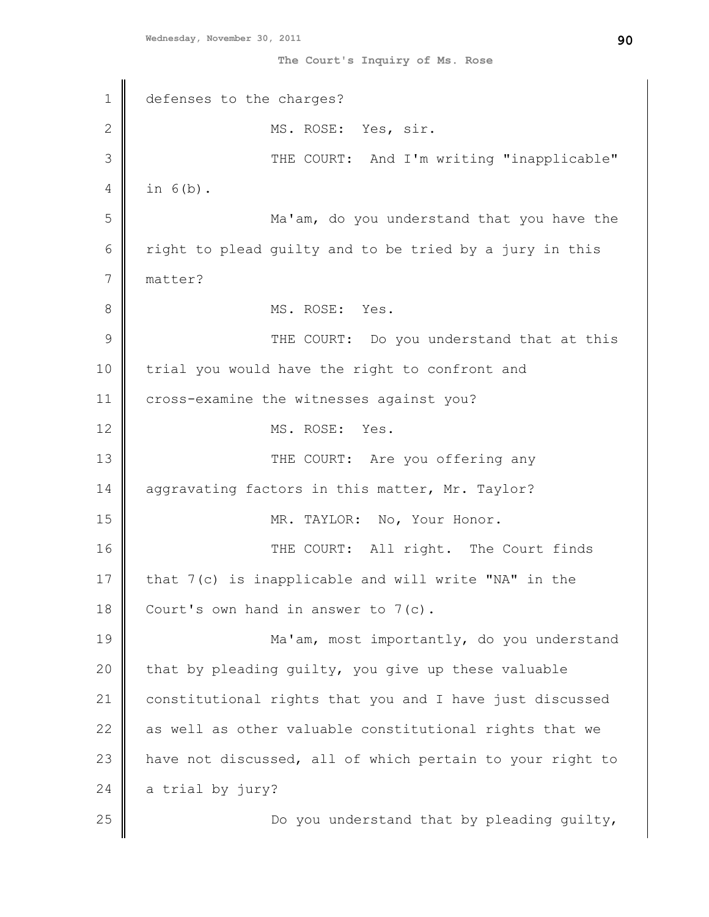**The Court's Inquiry of Ms. Rose**

1 2 3 4 5 6 7 8 9 10 11 12 13 14 15 16 17 18 19 20 21 22 23 24 25 defenses to the charges? MS. ROSE: Yes, sir. THE COURT: And I'm writing "inapplicable" in 6(b). Ma'am, do you understand that you have the right to plead guilty and to be tried by a jury in this matter? MS. ROSE: Yes. THE COURT: Do you understand that at this trial you would have the right to confront and cross-examine the witnesses against you? MS. ROSE: Yes. THE COURT: Are you offering any aggravating factors in this matter, Mr. Taylor? MR. TAYLOR: No, Your Honor. THE COURT: All right. The Court finds that 7(c) is inapplicable and will write "NA" in the Court's own hand in answer to 7(c). Ma'am, most importantly, do you understand that by pleading guilty, you give up these valuable constitutional rights that you and I have just discussed as well as other valuable constitutional rights that we have not discussed, all of which pertain to your right to a trial by jury? Do you understand that by pleading guilty,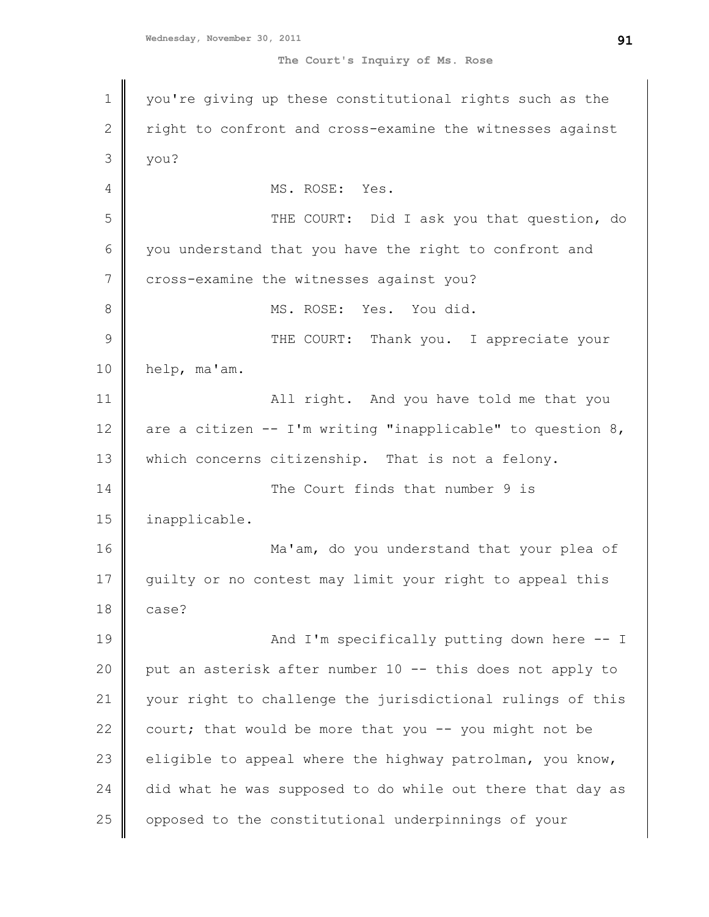1 2 3 4 5 6 7 8 9 10 11 12 13 14 15 16 17 18 19 20 21 22 23 24 25 you're giving up these constitutional rights such as the right to confront and cross-examine the witnesses against you? MS. ROSE: Yes. THE COURT: Did I ask you that question, do you understand that you have the right to confront and cross-examine the witnesses against you? MS. ROSE: Yes. You did. THE COURT: Thank you. I appreciate your help, ma'am. All right. And you have told me that you are a citizen  $--$  I'm writing "inapplicable" to question  $8$ , which concerns citizenship. That is not a felony. The Court finds that number 9 is inapplicable. Ma'am, do you understand that your plea of guilty or no contest may limit your right to appeal this case? And I'm specifically putting down here -- I put an asterisk after number 10 -- this does not apply to your right to challenge the jurisdictional rulings of this court; that would be more that you  $-$ - you might not be eligible to appeal where the highway patrolman, you know, did what he was supposed to do while out there that day as opposed to the constitutional underpinnings of your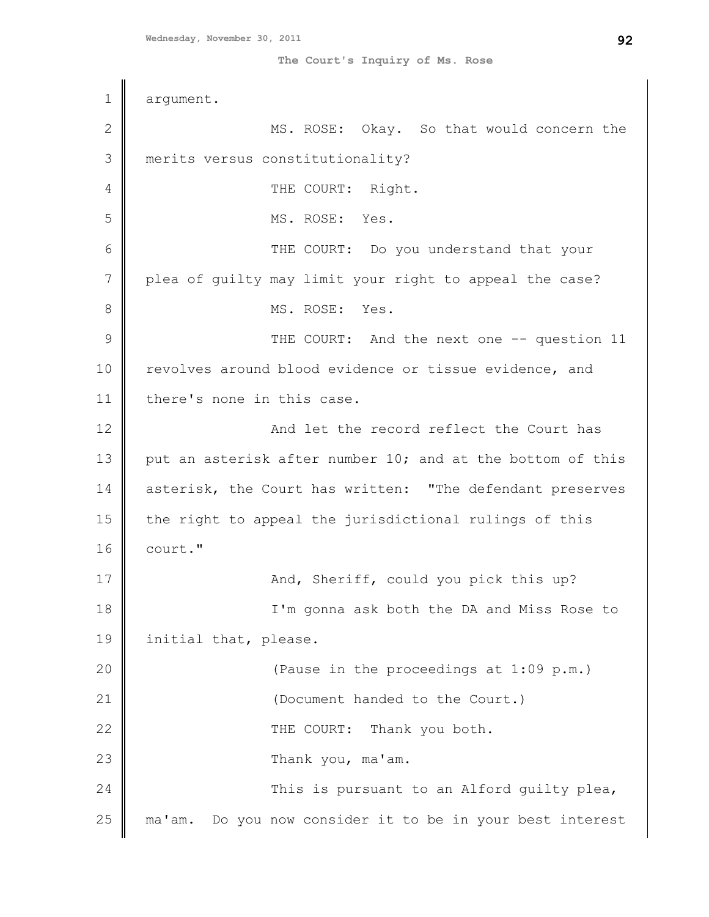1 2 3 4 5 6 7 8 9 10 11 12 13 14 15 16 17 18 19 20 21 22 23 24 25 argument. MS. ROSE: Okay. So that would concern the merits versus constitutionality? THE COURT: Right. MS. ROSE: Yes. THE COURT: Do you understand that your plea of guilty may limit your right to appeal the case? MS. ROSE: Yes. THE COURT: And the next one -- question 11 revolves around blood evidence or tissue evidence, and there's none in this case. And let the record reflect the Court has put an asterisk after number 10; and at the bottom of this asterisk, the Court has written: "The defendant preserves the right to appeal the jurisdictional rulings of this court." And, Sheriff, could you pick this up? I'm gonna ask both the DA and Miss Rose to initial that, please. (Pause in the proceedings at 1:09 p.m.) (Document handed to the Court.) THE COURT: Thank you both. Thank you, ma'am. This is pursuant to an Alford quilty plea, ma'am. Do you now consider it to be in your best interest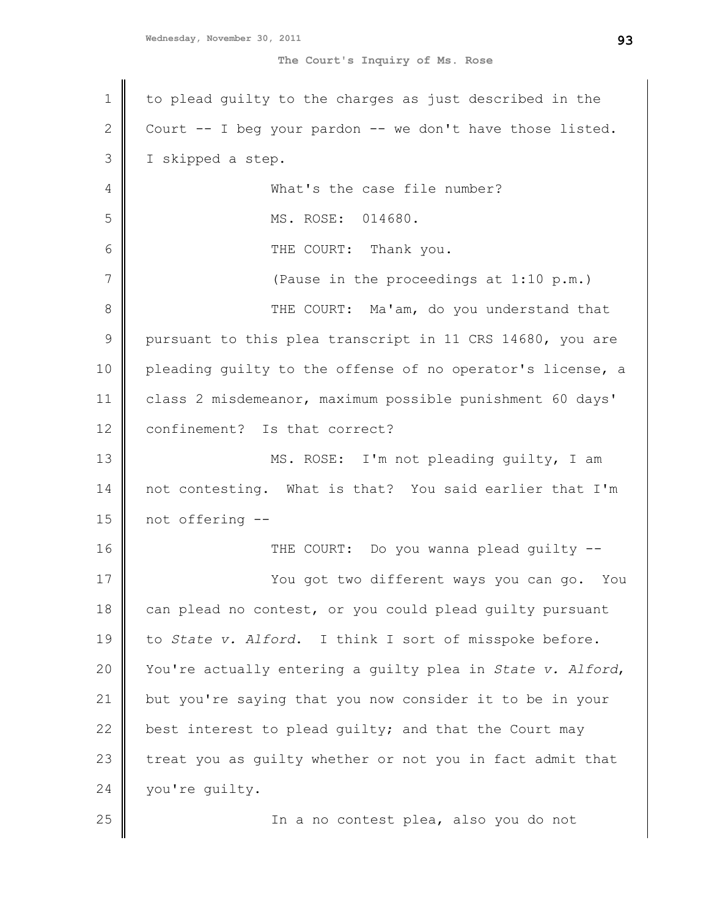| $\mathbf 1$    | to plead quilty to the charges as just described in the    |
|----------------|------------------------------------------------------------|
| $\mathbf{2}$   | Court -- I beg your pardon -- we don't have those listed.  |
| 3              | I skipped a step.                                          |
| $\overline{4}$ | What's the case file number?                               |
| 5              | MS. ROSE: 014680.                                          |
| 6              | THE COURT: Thank you.                                      |
| 7              | (Pause in the proceedings at 1:10 p.m.)                    |
| 8              | THE COURT: Ma'am, do you understand that                   |
| $\mathsf 9$    | pursuant to this plea transcript in 11 CRS 14680, you are  |
| 10             | pleading quilty to the offense of no operator's license, a |
| 11             | class 2 misdemeanor, maximum possible punishment 60 days'  |
| 12             | confinement? Is that correct?                              |
| 13             | MS. ROSE: I'm not pleading guilty, I am                    |
| 14             | not contesting. What is that? You said earlier that I'm    |
| 15             | not offering --                                            |
| 16             | THE COURT: Do you wanna plead guilty --                    |
| 17             | You got two different ways you can go. You                 |
| 18             | can plead no contest, or you could plead guilty pursuant   |
| 19             | to State v. Alford. I think I sort of misspoke before.     |
| 20             | You're actually entering a quilty plea in State v. Alford, |
| 21             | but you're saying that you now consider it to be in your   |
| 22             | best interest to plead guilty; and that the Court may      |
| 23             | treat you as guilty whether or not you in fact admit that  |
| 24             | you're guilty.                                             |
| 25             | In a no contest plea, also you do not                      |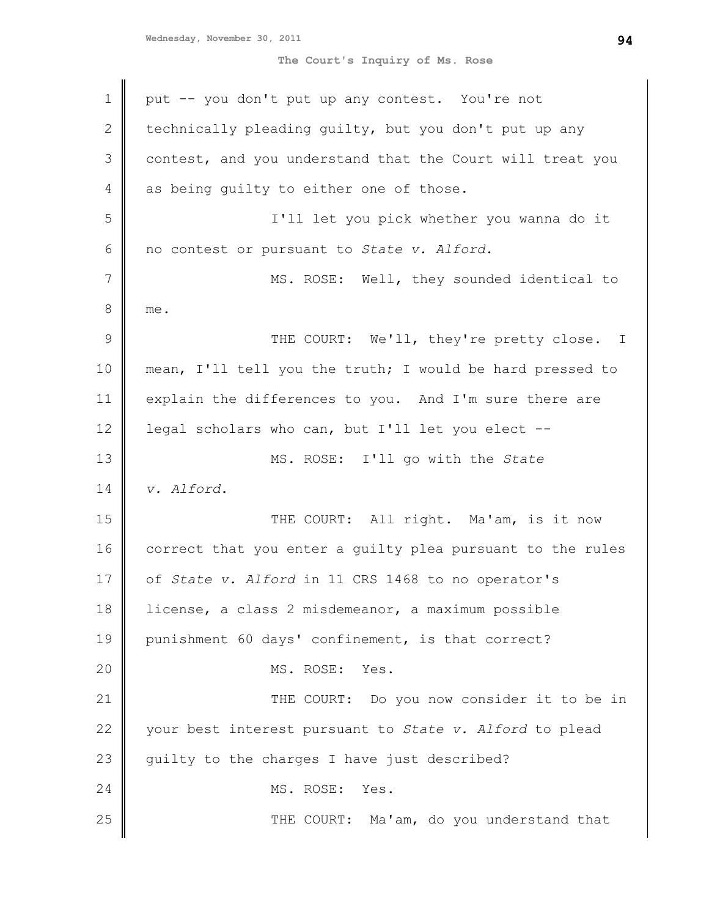| 1             | put -- you don't put up any contest. You're not            |
|---------------|------------------------------------------------------------|
| 2             | technically pleading guilty, but you don't put up any      |
| 3             | contest, and you understand that the Court will treat you  |
| 4             | as being quilty to either one of those.                    |
| 5             | I'll let you pick whether you wanna do it                  |
| 6             | no contest or pursuant to State v. Alford.                 |
| 7             | MS. ROSE: Well, they sounded identical to                  |
| 8             | me.                                                        |
| $\mathcal{G}$ | THE COURT: We'll, they're pretty close. I                  |
| 10            | mean, I'll tell you the truth; I would be hard pressed to  |
| 11            | explain the differences to you. And I'm sure there are     |
| 12            | legal scholars who can, but I'll let you elect --          |
| 13            | MS. ROSE: I'll go with the State                           |
| 14            | v. Alford.                                                 |
| 15            | THE COURT: All right. Ma'am, is it now                     |
| 16            | correct that you enter a quilty plea pursuant to the rules |
| 17            | of State v. Alford in 11 CRS 1468 to no operator's         |
| 18            | license, a class 2 misdemeanor, a maximum possible         |
| 19            | punishment 60 days' confinement, is that correct?          |
| 20            | MS. ROSE:<br>Yes.                                          |
| 21            | THE COURT: Do you now consider it to be in                 |
| 22            | your best interest pursuant to State v. Alford to plead    |
| 23            | guilty to the charges I have just described?               |
| 24            | MS. ROSE:<br>Yes.                                          |
| 25            | THE COURT: Ma'am, do you understand that                   |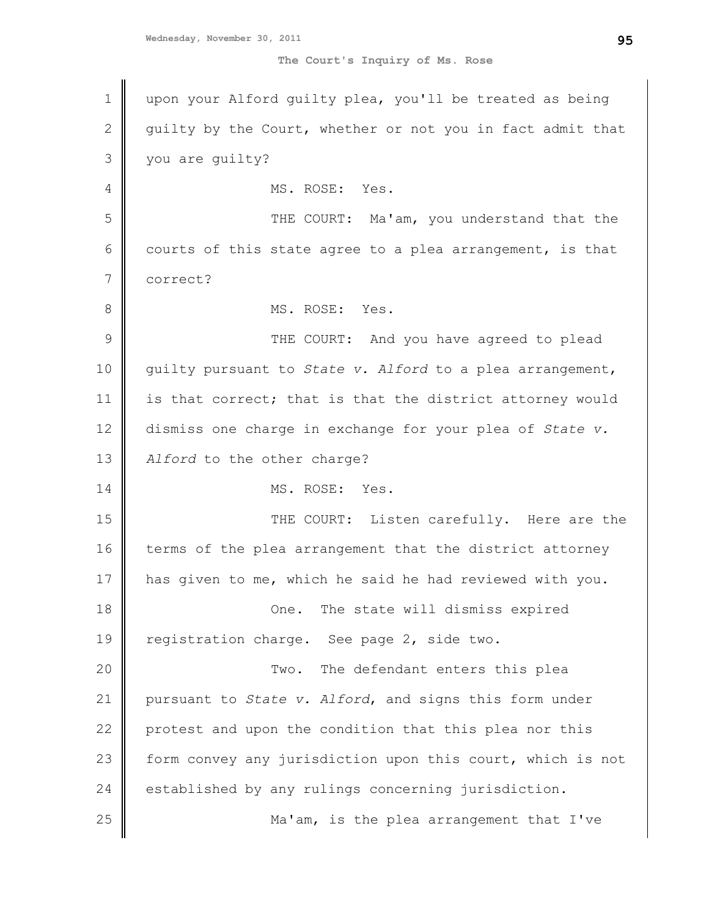| 1            | upon your Alford guilty plea, you'll be treated as being   |
|--------------|------------------------------------------------------------|
| $\mathbf{2}$ | quilty by the Court, whether or not you in fact admit that |
| 3            | you are quilty?                                            |
| 4            | MS. ROSE: Yes.                                             |
| 5            | THE COURT: Ma'am, you understand that the                  |
| 6            | courts of this state agree to a plea arrangement, is that  |
| 7            | correct?                                                   |
| 8            | MS. ROSE: Yes.                                             |
| 9            | THE COURT: And you have agreed to plead                    |
| 10           | guilty pursuant to State v. Alford to a plea arrangement,  |
| 11           | is that correct; that is that the district attorney would  |
| 12           | dismiss one charge in exchange for your plea of State v.   |
| 13           | Alford to the other charge?                                |
| 14           | MS. ROSE: Yes.                                             |
| 15           | THE COURT: Listen carefully. Here are the                  |
| 16           | terms of the plea arrangement that the district attorney   |
| 17           | has given to me, which he said he had reviewed with you.   |
| 18           | One. The state will dismiss expired                        |
| 19           | registration charge. See page 2, side two.                 |
| 20           | The defendant enters this plea<br>Two.                     |
| 21           | pursuant to State v. Alford, and signs this form under     |
| 22           | protest and upon the condition that this plea nor this     |
| 23           | form convey any jurisdiction upon this court, which is not |
| 24           | established by any rulings concerning jurisdiction.        |
| 25           | Ma'am, is the plea arrangement that I've                   |
|              |                                                            |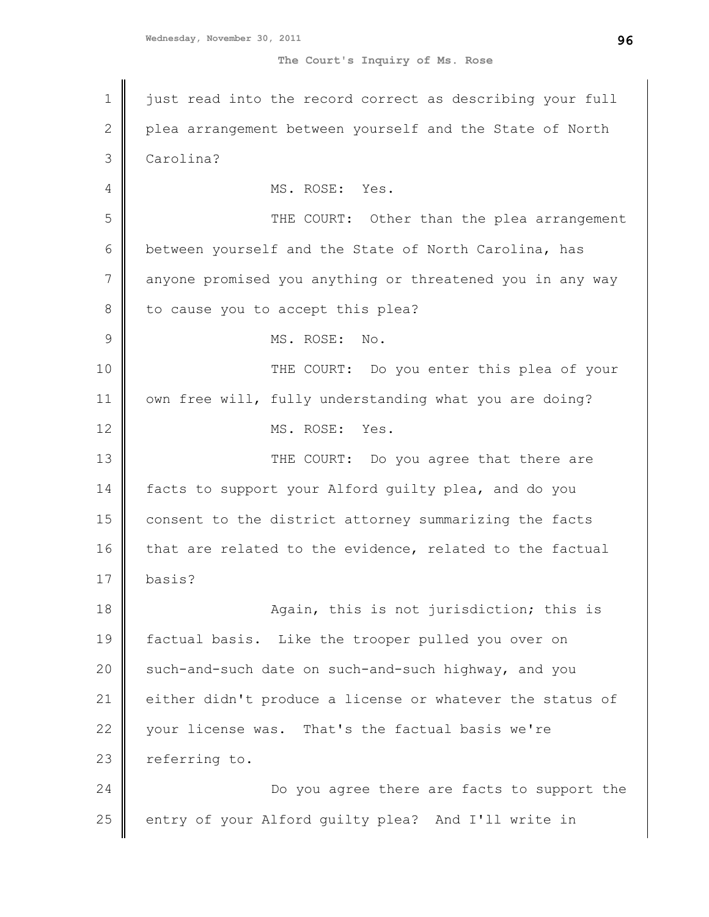1 2 3 4 5 6 7 8 9 10 11 12 13 14 15 16 17 18 19 20 21 22 23 24 25 just read into the record correct as describing your full plea arrangement between yourself and the State of North Carolina? MS. ROSE: Yes. THE COURT: Other than the plea arrangement between yourself and the State of North Carolina, has anyone promised you anything or threatened you in any way to cause you to accept this plea? MS. ROSE: No. THE COURT: Do you enter this plea of your own free will, fully understanding what you are doing? MS. ROSE: Yes. THE COURT: Do you agree that there are facts to support your Alford guilty plea, and do you consent to the district attorney summarizing the facts that are related to the evidence, related to the factual basis? Again, this is not jurisdiction; this is factual basis. Like the trooper pulled you over on such-and-such date on such-and-such highway, and you either didn't produce a license or whatever the status of your license was. That's the factual basis we're referring to. Do you agree there are facts to support the entry of your Alford guilty plea? And I'll write in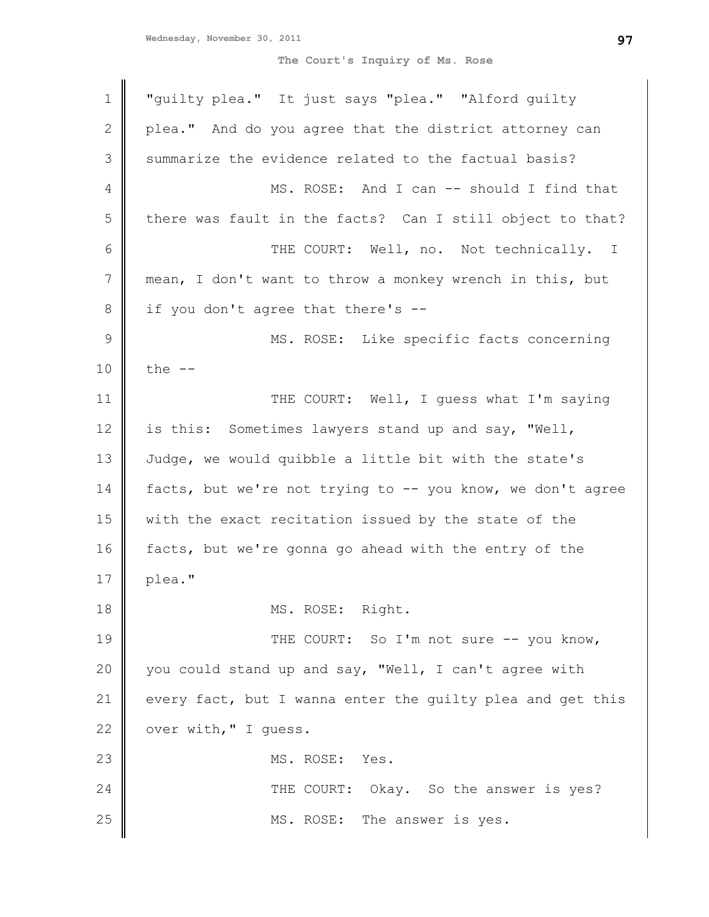| $\mathbf 1$   | "guilty plea." It just says "plea." "Alford guilty         |
|---------------|------------------------------------------------------------|
| $\mathbf{2}$  | plea." And do you agree that the district attorney can     |
| 3             | summarize the evidence related to the factual basis?       |
| 4             | MS. ROSE: And I can -- should I find that                  |
| 5             | there was fault in the facts? Can I still object to that?  |
| 6             | THE COURT: Well, no. Not technically. I                    |
| 7             | mean, I don't want to throw a monkey wrench in this, but   |
| $\,8\,$       | if you don't agree that there's --                         |
| $\mathcal{G}$ | MS. ROSE: Like specific facts concerning                   |
| $10$          | the $--$                                                   |
| 11            | THE COURT: Well, I guess what I'm saying                   |
| 12            | is this: Sometimes lawyers stand up and say, "Well,        |
| 13            | Judge, we would quibble a little bit with the state's      |
| 14            | facts, but we're not trying to -- you know, we don't agree |
| 15            | with the exact recitation issued by the state of the       |
| 16            | facts, but we're gonna go ahead with the entry of the      |
| 17            | plea."                                                     |
| 18            | MS. ROSE: Right.                                           |
| 19            | THE COURT: So I'm not sure -- you know,                    |
| 20            | you could stand up and say, "Well, I can't agree with      |
| 21            | every fact, but I wanna enter the quilty plea and get this |
| 22            | over with, " I guess.                                      |
| 23            | MS. ROSE:<br>Yes.                                          |
| 24            | THE COURT: Okay. So the answer is yes?                     |
| 25            | MS. ROSE: The answer is yes.                               |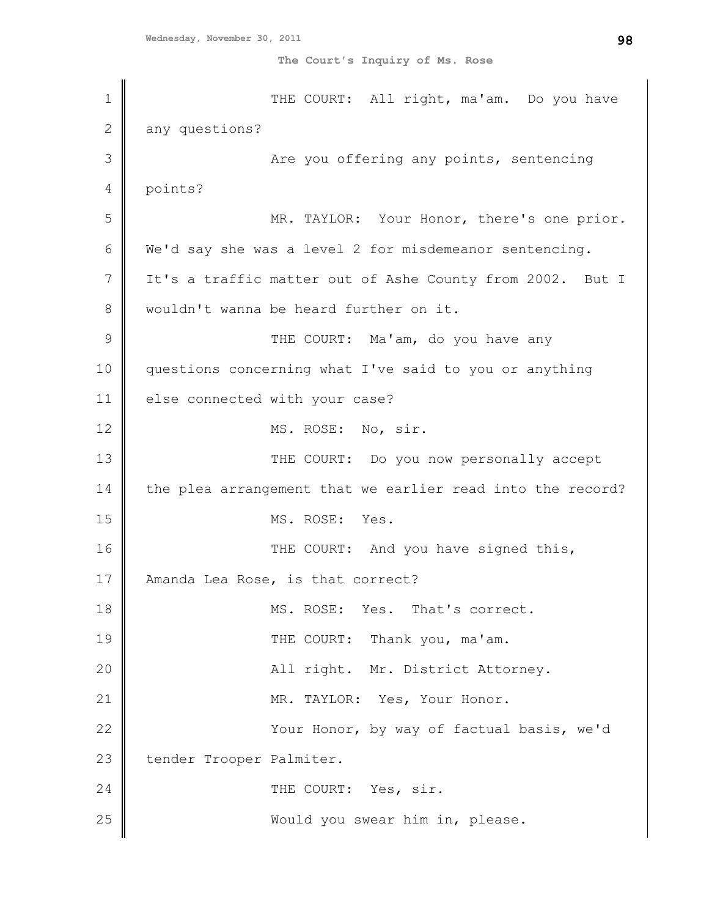1 2 3 4 5 6 7 8 9 10 11 12 13 14 15 16 17 18 19 20 21 22 23 24 25 THE COURT: All right, ma'am. Do you have any questions? Are you offering any points, sentencing points? MR. TAYLOR: Your Honor, there's one prior. We'd say she was a level 2 for misdemeanor sentencing. It's a traffic matter out of Ashe County from 2002. But I wouldn't wanna be heard further on it. THE COURT: Ma'am, do you have any questions concerning what I've said to you or anything else connected with your case? MS. ROSE: No, sir. THE COURT: Do you now personally accept the plea arrangement that we earlier read into the record? MS. ROSE: Yes. THE COURT: And you have signed this, Amanda Lea Rose, is that correct? MS. ROSE: Yes. That's correct. THE COURT: Thank you, ma'am. All right. Mr. District Attorney. MR. TAYLOR: Yes, Your Honor. Your Honor, by way of factual basis, we'd tender Trooper Palmiter. THE COURT: Yes, sir. Would you swear him in, please.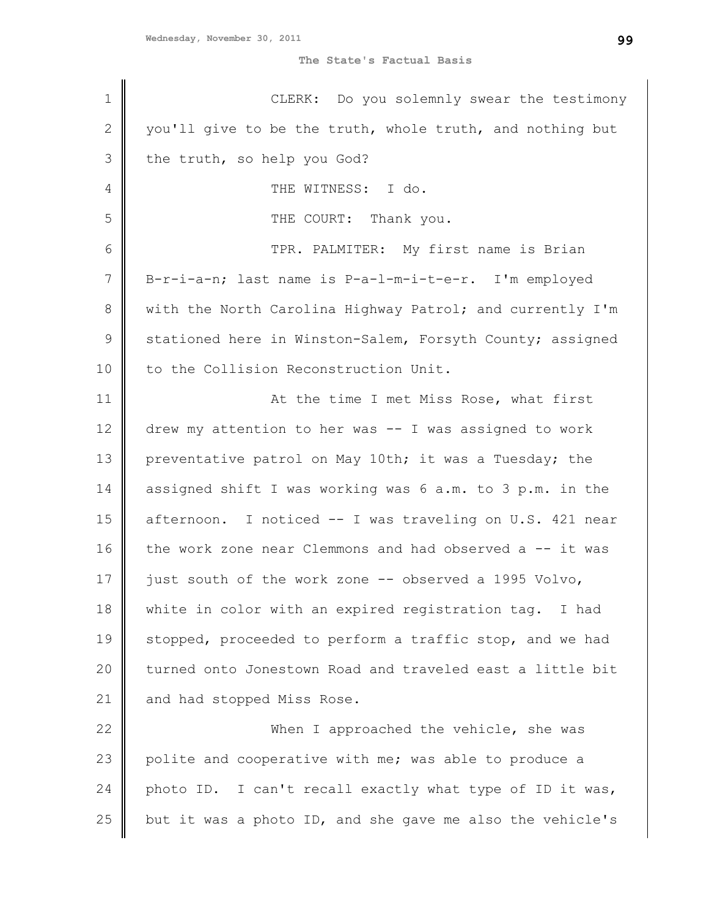**The State's Factual Basis**

| $\mathbf 1$  | CLERK: Do you solemnly swear the testimony                |
|--------------|-----------------------------------------------------------|
| $\mathbf{2}$ | you'll give to be the truth, whole truth, and nothing but |
| 3            | the truth, so help you God?                               |
| 4            | THE WITNESS: I do.                                        |
| 5            | THE COURT: Thank you.                                     |
| 6            | TPR. PALMITER: My first name is Brian                     |
| 7            | B-r-i-a-n; last name is P-a-l-m-i-t-e-r. I'm employed     |
| $8\,$        | with the North Carolina Highway Patrol; and currently I'm |
| $\mathsf 9$  | stationed here in Winston-Salem, Forsyth County; assigned |
| 10           | to the Collision Reconstruction Unit.                     |
| 11           | At the time I met Miss Rose, what first                   |
| 12           | drew my attention to her was -- I was assigned to work    |
| 13           | preventative patrol on May 10th; it was a Tuesday; the    |
| 14           | assigned shift I was working was 6 a.m. to 3 p.m. in the  |
| 15           | afternoon. I noticed -- I was traveling on U.S. 421 near  |
| 16           | the work zone near Clemmons and had observed a -- it was  |
| 17           | just south of the work zone -- observed a 1995 Volvo,     |
| 18           | white in color with an expired registration tag. I had    |
| 19           | stopped, proceeded to perform a traffic stop, and we had  |
| 20           | turned onto Jonestown Road and traveled east a little bit |
| 21           | and had stopped Miss Rose.                                |
| 22           | When I approached the vehicle, she was                    |
| 23           | polite and cooperative with me; was able to produce a     |
| 24           | photo ID. I can't recall exactly what type of ID it was,  |
| 25           | but it was a photo ID, and she gave me also the vehicle's |
|              |                                                           |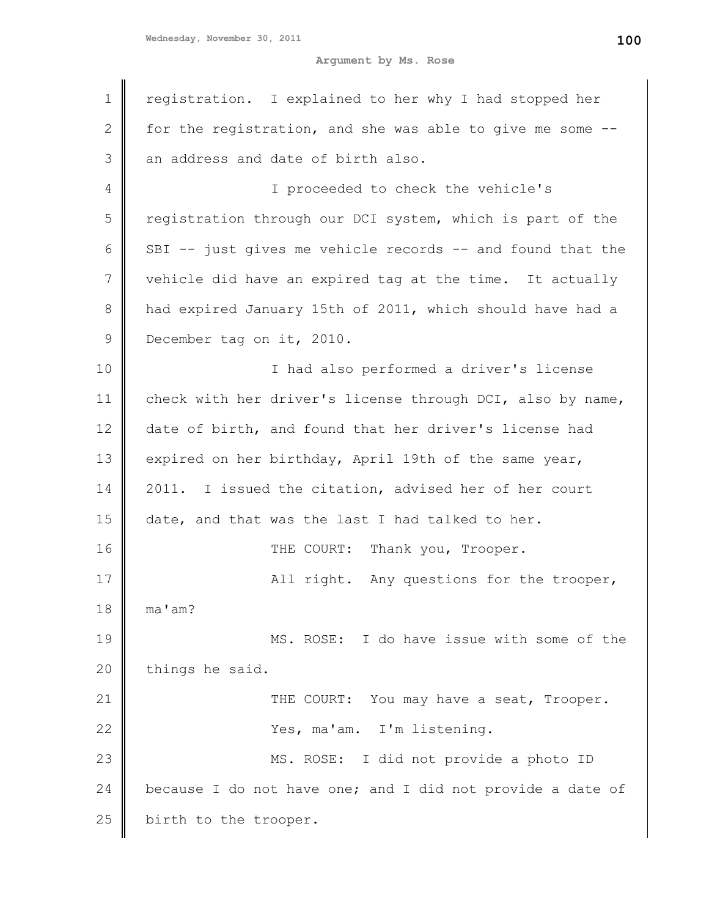**Argument by Ms. Rose**

| $\mathbf 1$  | registration. I explained to her why I had stopped her     |
|--------------|------------------------------------------------------------|
|              |                                                            |
| $\mathbf{2}$ | for the registration, and she was able to give me some --  |
| 3            | an address and date of birth also.                         |
| 4            | I proceeded to check the vehicle's                         |
| 5            | registration through our DCI system, which is part of the  |
| 6            | SBI -- just gives me vehicle records -- and found that the |
| 7            | vehicle did have an expired tag at the time. It actually   |
| 8            | had expired January 15th of 2011, which should have had a  |
| 9            | December tag on it, 2010.                                  |
| 10           | I had also performed a driver's license                    |
| 11           | check with her driver's license through DCI, also by name, |
| 12           | date of birth, and found that her driver's license had     |
| 13           | expired on her birthday, April 19th of the same year,      |
| 14           | 2011. I issued the citation, advised her of her court      |
| 15           | date, and that was the last I had talked to her.           |
| 16           | THE COURT: Thank you, Trooper.                             |
| 17           | All right. Any questions for the trooper,                  |
| 18           | ma'am?                                                     |
| 19           | MS. ROSE: I do have issue with some of the                 |
| 20           | things he said.                                            |
| 21           | THE COURT: You may have a seat, Trooper.                   |
| 22           | Yes, ma'am. I'm listening.                                 |
| 23           | MS. ROSE: I did not provide a photo ID                     |
| 24           | because I do not have one; and I did not provide a date of |
| 25           | birth to the trooper.                                      |
|              |                                                            |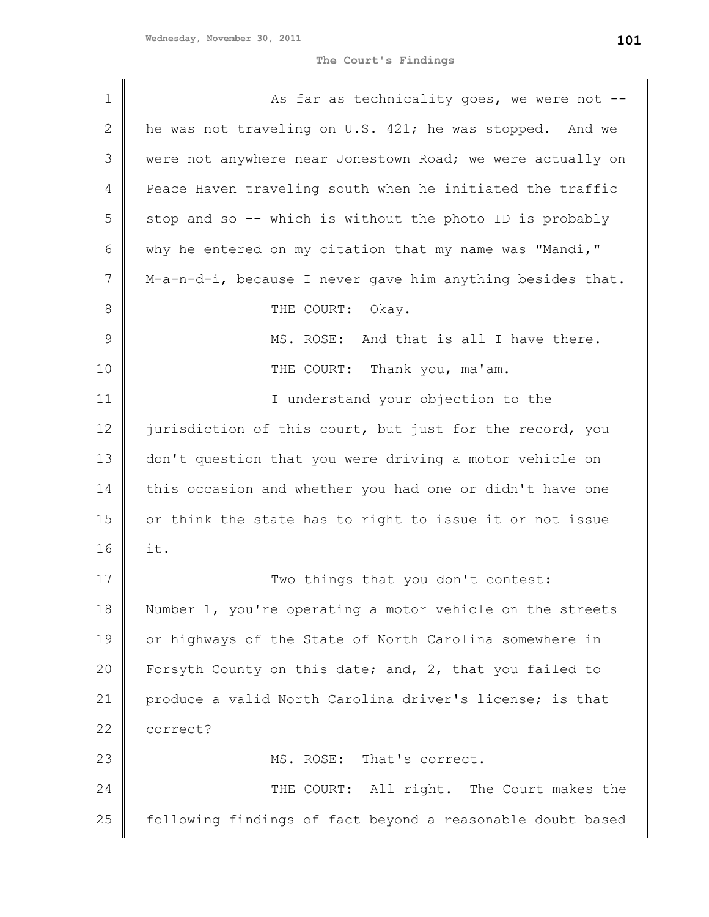**The Court's Findings**

| $\mathbf 1$  | As far as technicality goes, we were not --                |
|--------------|------------------------------------------------------------|
| $\mathbf{2}$ | he was not traveling on U.S. 421; he was stopped. And we   |
| 3            | were not anywhere near Jonestown Road; we were actually on |
| 4            | Peace Haven traveling south when he initiated the traffic  |
| 5            | stop and so -- which is without the photo ID is probably   |
| 6            | why he entered on my citation that my name was "Mandi,"    |
| 7            | M-a-n-d-i, because I never gave him anything besides that. |
| 8            | THE COURT: Okay.                                           |
| 9            | MS. ROSE: And that is all I have there.                    |
| 10           | THE COURT: Thank you, ma'am.                               |
| 11           | I understand your objection to the                         |
| 12           | jurisdiction of this court, but just for the record, you   |
| 13           | don't question that you were driving a motor vehicle on    |
| 14           | this occasion and whether you had one or didn't have one   |
| 15           | or think the state has to right to issue it or not issue   |
| 16           | it.                                                        |
| 17           | Two things that you don't contest:                         |
| 18           | Number 1, you're operating a motor vehicle on the streets  |
| 19           | or highways of the State of North Carolina somewhere in    |
| 20           | Forsyth County on this date; and, 2, that you failed to    |
| 21           | produce a valid North Carolina driver's license; is that   |
| 22           | correct?                                                   |
| 23           | MS. ROSE: That's correct.                                  |
| 24           | THE COURT: All right. The Court makes the                  |
| 25           | following findings of fact beyond a reasonable doubt based |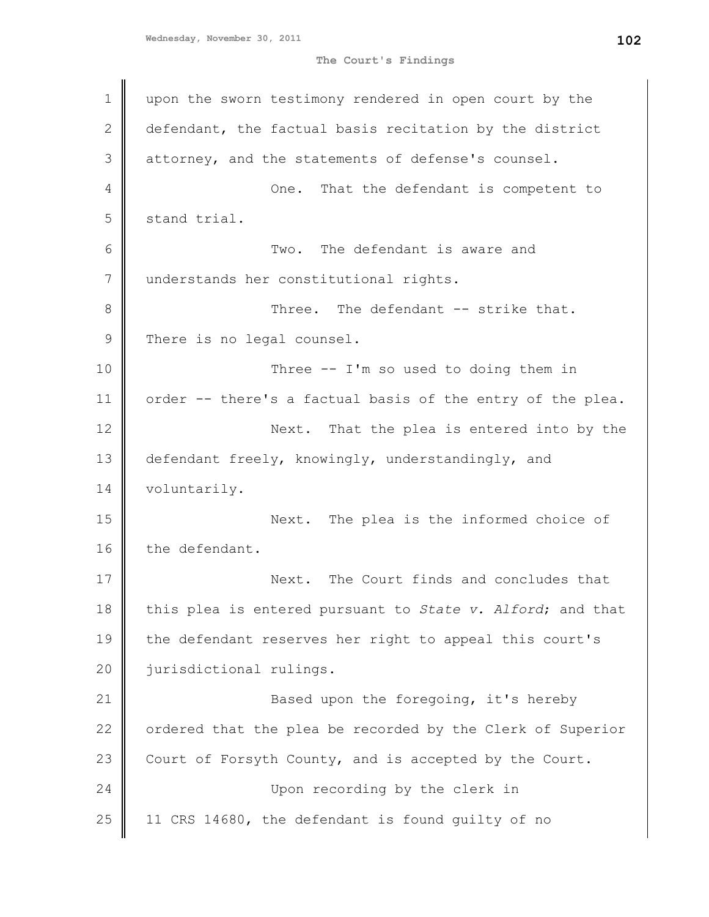```
Wednesday, November 30, 2011
```
**The Court's Findings**

1 2 3 4 5 6 7 8 9 10 11 12 13 14 15 16 17 18 19 20 21 22 23 24 25 upon the sworn testimony rendered in open court by the defendant, the factual basis recitation by the district attorney, and the statements of defense's counsel. One. That the defendant is competent to stand trial. Two. The defendant is aware and understands her constitutional rights. Three. The defendant -- strike that. There is no legal counsel. Three -- I'm so used to doing them in order -- there's a factual basis of the entry of the plea. Next. That the plea is entered into by the defendant freely, knowingly, understandingly, and voluntarily. Next. The plea is the informed choice of the defendant. Next. The Court finds and concludes that this plea is entered pursuant to *State v. Alford*; and that the defendant reserves her right to appeal this court's jurisdictional rulings. Based upon the foregoing, it's hereby ordered that the plea be recorded by the Clerk of Superior Court of Forsyth County, and is accepted by the Court. Upon recording by the clerk in 11 CRS 14680, the defendant is found guilty of no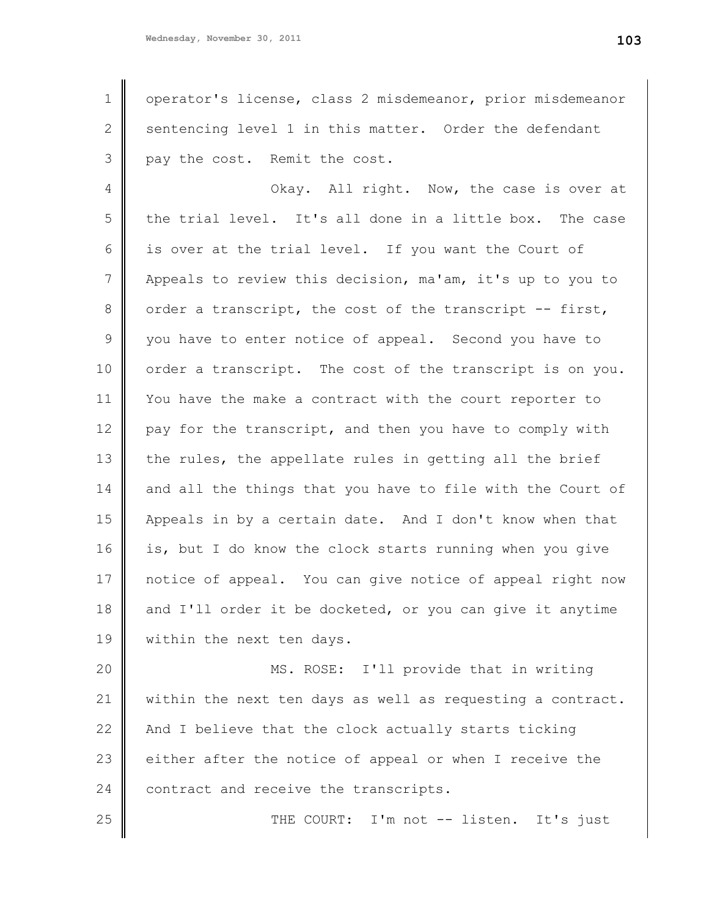1 2 3 operator's license, class 2 misdemeanor, prior misdemeanor sentencing level 1 in this matter. Order the defendant pay the cost. Remit the cost.

4 5 6 7 8 9 10 11 12 13 14 15 16 17 18 19 Okay. All right. Now, the case is over at the trial level. It's all done in a little box. The case is over at the trial level. If you want the Court of Appeals to review this decision, ma'am, it's up to you to order a transcript, the cost of the transcript -- first, you have to enter notice of appeal. Second you have to order a transcript. The cost of the transcript is on you. You have the make a contract with the court reporter to pay for the transcript, and then you have to comply with the rules, the appellate rules in getting all the brief and all the things that you have to file with the Court of Appeals in by a certain date. And I don't know when that is, but I do know the clock starts running when you give notice of appeal. You can give notice of appeal right now and I'll order it be docketed, or you can give it anytime within the next ten days.

20 21 22 23 24 MS. ROSE: I'll provide that in writing within the next ten days as well as requesting a contract. And I believe that the clock actually starts ticking either after the notice of appeal or when I receive the contract and receive the transcripts.

25

THE COURT: I'm not -- listen. It's just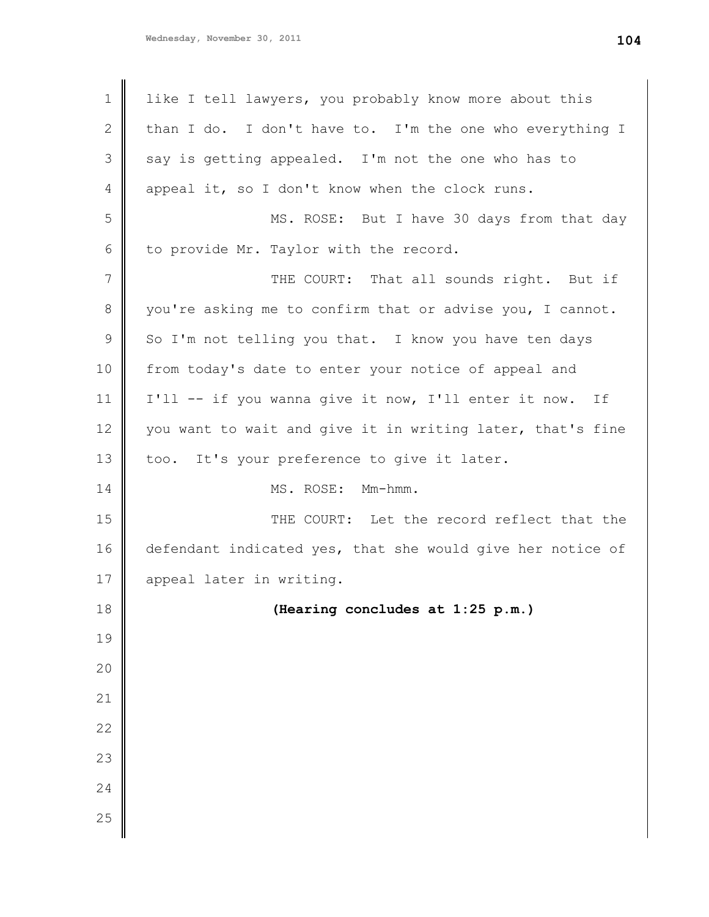| $\mathbf 1$ | like I tell lawyers, you probably know more about this     |
|-------------|------------------------------------------------------------|
| 2           | than I do. I don't have to. I'm the one who everything I   |
| 3           | say is getting appealed. I'm not the one who has to        |
| 4           | appeal it, so I don't know when the clock runs.            |
| 5           | MS. ROSE: But I have 30 days from that day                 |
| 6           | to provide Mr. Taylor with the record.                     |
| 7           | THE COURT: That all sounds right. But if                   |
| 8           | you're asking me to confirm that or advise you, I cannot.  |
| 9           | So I'm not telling you that. I know you have ten days      |
| 10          | from today's date to enter your notice of appeal and       |
| 11          | I'll -- if you wanna give it now, I'll enter it now. If    |
| 12          | you want to wait and give it in writing later, that's fine |
| 13          | too. It's your preference to give it later.                |
| 14          | MS. ROSE: Mm-hmm.                                          |
| 15          | THE COURT: Let the record reflect that the                 |
| 16          | defendant indicated yes, that she would give her notice of |
| 17          | appeal later in writing.                                   |
| 18          | (Hearing concludes at 1:25 p.m.)                           |
| 19          |                                                            |
| 20          |                                                            |
| 21          |                                                            |
| 22          |                                                            |
| 23          |                                                            |
| 24          |                                                            |
| 25          |                                                            |